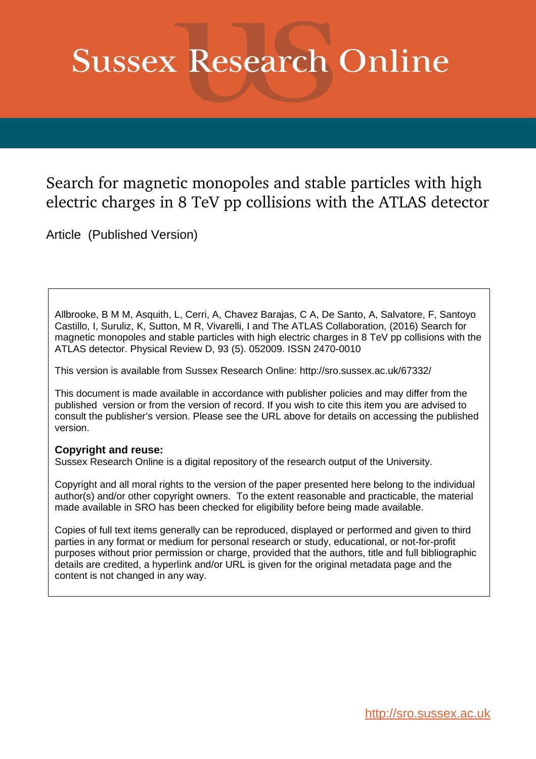# **Sussex Research Online**

# Search for magnetic monopoles and stable particles with high electric charges in 8 TeV pp collisions with the ATLAS detector

Article (Published Version)

Allbrooke, B M M, Asquith, L, Cerri, A, Chavez Barajas, C A, De Santo, A, Salvatore, F, Santoyo Castillo, I, Suruliz, K, Sutton, M R, Vivarelli, I and The ATLAS Collaboration, (2016) Search for magnetic monopoles and stable particles with high electric charges in 8 TeV pp collisions with the ATLAS detector. Physical Review D, 93 (5). 052009. ISSN 2470-0010

This version is available from Sussex Research Online: http://sro.sussex.ac.uk/67332/

This document is made available in accordance with publisher policies and may differ from the published version or from the version of record. If you wish to cite this item you are advised to consult the publisher's version. Please see the URL above for details on accessing the published version.

## **Copyright and reuse:**

Sussex Research Online is a digital repository of the research output of the University.

Copyright and all moral rights to the version of the paper presented here belong to the individual author(s) and/or other copyright owners. To the extent reasonable and practicable, the material made available in SRO has been checked for eligibility before being made available.

<span id="page-0-0"></span>Copies of full text items generally can be reproduced, displayed or performed and given to third parties in any format or medium for personal research or study, educational, or not-for-profit purposes without prior permission or charge, provided that the authors, title and full bibliographic details are credited, a hyperlink and/or URL is given for the original metadata page and the content is not changed in any way.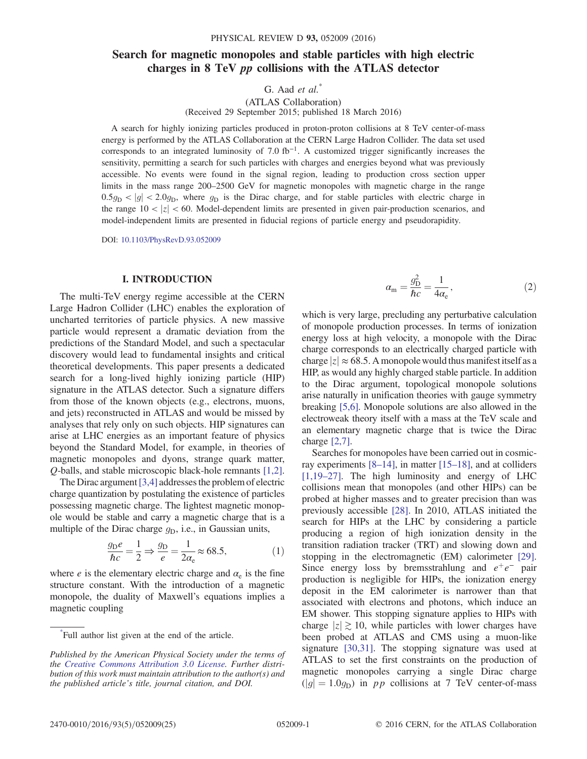### Search for magnetic monopoles and stable particles with high electric charges in 8 TeV pp collisions with the ATLAS detector

G. Aad  $et \ al.^*$ 

(ATLAS Collaboration) (Received 29 September 2015; published 18 March 2016)

A search for highly ionizing particles produced in proton-proton collisions at 8 TeV center-of-mass energy is performed by the ATLAS Collaboration at the CERN Large Hadron Collider. The data set used corresponds to an integrated luminosity of 7.0  $fb^{-1}$ . A customized trigger significantly increases the sensitivity, permitting a search for such particles with charges and energies beyond what was previously accessible. No events were found in the signal region, leading to production cross section upper limits in the mass range 200–2500 GeV for magnetic monopoles with magnetic charge in the range  $0.5g_D < |g| < 2.0g_D$ , where  $g_D$  is the Dirac charge, and for stable particles with electric charge in the range  $10 < |z| < 60$ . Model-dependent limits are presented in given pair-production scenarios, and model-independent limits are presented in fiducial regions of particle energy and pseudorapidity.

DOI: [10.1103/PhysRevD.93.052009](http://dx.doi.org/10.1103/PhysRevD.93.052009)

#### I. INTRODUCTION

The multi-TeV energy regime accessible at the CERN Large Hadron Collider (LHC) enables the exploration of uncharted territories of particle physics. A new massive particle would represent a dramatic deviation from the predictions of the Standard Model, and such a spectacular discovery would lead to fundamental insights and critical theoretical developments. This paper presents a dedicated search for a long-lived highly ionizing particle (HIP) signature in the ATLAS detector. Such a signature differs from those of the known objects (e.g., electrons, muons, and jets) reconstructed in ATLAS and would be missed by analyses that rely only on such objects. HIP signatures can arise at LHC energies as an important feature of physics beyond the Standard Model, for example, in theories of magnetic monopoles and dyons, strange quark matter, Q-balls, and stable microscopic black-hole remnants [\[1,2\]](#page-11-0).

The Dirac argument  $[3,4]$  addresses the problem of electric charge quantization by postulating the existence of particles possessing magnetic charge. The lightest magnetic monopole would be stable and carry a magnetic charge that is a multiple of the Dirac charge  $g_D$ , i.e., in Gaussian units,

$$
\frac{g_{\rm D}e}{\hbar c} = \frac{1}{2} \Rightarrow \frac{g_{\rm D}}{e} = \frac{1}{2\alpha_{\rm e}} \approx 68.5,\tag{1}
$$

where  $e$  is the elementary electric charge and  $\alpha_e$  is the fine structure constant. With the introduction of a magnetic monopole, the duality of Maxwell's equations implies a magnetic coupling

$$
\alpha_{\rm m} = \frac{g_{\rm D}^2}{\hbar c} = \frac{1}{4\alpha_{\rm e}},\tag{2}
$$

which is very large, precluding any perturbative calculation of monopole production processes. In terms of ionization energy loss at high velocity, a monopole with the Dirac charge corresponds to an electrically charged particle with charge  $|z| \approx 68.5$ . A monopole would thus manifest itself as a HIP, as would any highly charged stable particle. In addition to the Dirac argument, topological monopole solutions arise naturally in unification theories with gauge symmetry breaking [\[5,6\].](#page-11-2) Monopole solutions are also allowed in the electroweak theory itself with a mass at the TeV scale and an elementary magnetic charge that is twice the Dirac charge [\[2,7\].](#page-11-3)

<span id="page-1-0"></span>Searches for monopoles have been carried out in cosmicray experiments [8–[14\]](#page-11-4), in matter [15–[18\],](#page-11-5) and at colliders [\[1,19](#page-11-0)–27]. The high luminosity and energy of LHC collisions mean that monopoles (and other HIPs) can be probed at higher masses and to greater precision than was previously accessible [\[28\].](#page-11-6) In 2010, ATLAS initiated the search for HIPs at the LHC by considering a particle producing a region of high ionization density in the transition radiation tracker (TRT) and slowing down and stopping in the electromagnetic (EM) calorimeter [\[29\]](#page-11-7). Since energy loss by bremsstrahlung and  $e^+e^-$  pair production is negligible for HIPs, the ionization energy deposit in the EM calorimeter is narrower than that associated with electrons and photons, which induce an EM shower. This stopping signature applies to HIPs with charge  $|z| \gtrsim 10$ , while particles with lower charges have been probed at ATLAS and CMS using a muon-like signature [\[30,31\]](#page-11-8). The stopping signature was used at ATLAS to set the first constraints on the production of magnetic monopoles carrying a single Dirac charge  $(|g| = 1.0g_D)$  in pp collisions at 7 TeV center-of-mass

<sup>\*</sup> Full author list given at the end of the article.

Published by the American Physical Society under the terms of the [Creative Commons Attribution 3.0 License.](http://creativecommons.org/licenses/by/3.0/) Further distribution of this work must maintain attribution to the author(s) and the published article's title, journal citation, and DOI.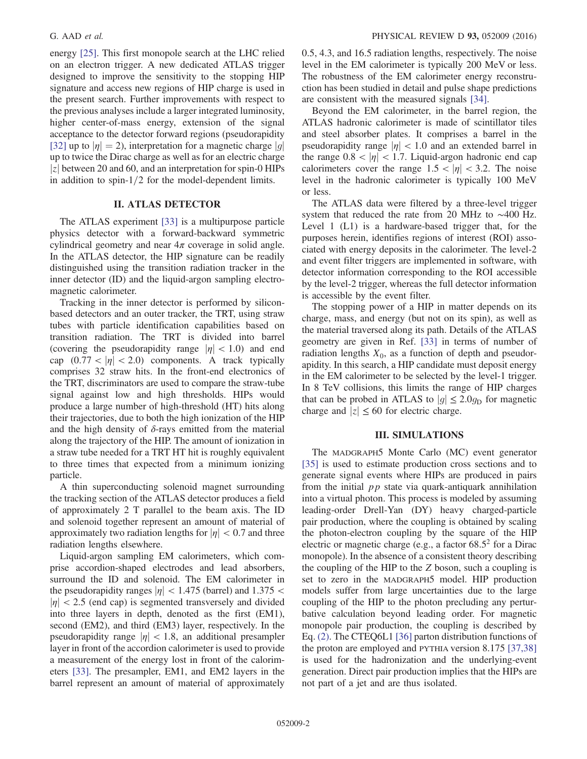energy [\[25\].](#page-11-9) This first monopole search at the LHC relied on an electron trigger. A new dedicated ATLAS trigger designed to improve the sensitivity to the stopping HIP signature and access new regions of HIP charge is used in the present search. Further improvements with respect to the previous analyses include a larger integrated luminosity, higher center-of-mass energy, extension of the signal acceptance to the detector forward regions (pseudorapidity [\[32\]](#page-11-10) up to  $|\eta| = 2$ ), interpretation for a magnetic charge  $|g|$ up to twice the Dirac charge as well as for an electric charge  $|z|$  between 20 and 60, and an interpretation for spin-0 HIPs in addition to spin- $1/2$  for the model-dependent limits.

#### II. ATLAS DETECTOR

The ATLAS experiment [\[33\]](#page-11-11) is a multipurpose particle physics detector with a forward-backward symmetric cylindrical geometry and near  $4\pi$  coverage in solid angle. In the ATLAS detector, the HIP signature can be readily distinguished using the transition radiation tracker in the inner detector (ID) and the liquid-argon sampling electromagnetic calorimeter.

Tracking in the inner detector is performed by siliconbased detectors and an outer tracker, the TRT, using straw tubes with particle identification capabilities based on transition radiation. The TRT is divided into barrel (covering the pseudorapidity range  $|\eta| < 1.0$ ) and end cap  $(0.77 < |\eta| < 2.0)$  components. A track typically comprises 32 straw hits. In the front-end electronics of the TRT, discriminators are used to compare the straw-tube signal against low and high thresholds. HIPs would produce a large number of high-threshold (HT) hits along their trajectories, due to both the high ionization of the HIP and the high density of  $\delta$ -rays emitted from the material along the trajectory of the HIP. The amount of ionization in a straw tube needed for a TRT HT hit is roughly equivalent to three times that expected from a minimum ionizing particle.

A thin superconducting solenoid magnet surrounding the tracking section of the ATLAS detector produces a field of approximately 2 T parallel to the beam axis. The ID and solenoid together represent an amount of material of approximately two radiation lengths for  $|\eta| < 0.7$  and three radiation lengths elsewhere.

Liquid-argon sampling EM calorimeters, which comprise accordion-shaped electrodes and lead absorbers, surround the ID and solenoid. The EM calorimeter in the pseudorapidity ranges  $|\eta|$  < 1.475 (barrel) and 1.375 <  $|\eta|$  < 2.5 (end cap) is segmented transversely and divided into three layers in depth, denoted as the first (EM1), second (EM2), and third (EM3) layer, respectively. In the pseudorapidity range  $|\eta|$  < 1.8, an additional presampler layer in front of the accordion calorimeter is used to provide a measurement of the energy lost in front of the calorimeters [\[33\].](#page-11-11) The presampler, EM1, and EM2 layers in the barrel represent an amount of material of approximately 0.5, 4.3, and 16.5 radiation lengths, respectively. The noise level in the EM calorimeter is typically 200 MeV or less. The robustness of the EM calorimeter energy reconstruction has been studied in detail and pulse shape predictions are consistent with the measured signals [\[34\].](#page-11-12)

Beyond the EM calorimeter, in the barrel region, the ATLAS hadronic calorimeter is made of scintillator tiles and steel absorber plates. It comprises a barrel in the pseudorapidity range  $|\eta|$  < 1.0 and an extended barrel in the range  $0.8 < |\eta| < 1.7$ . Liquid-argon hadronic end cap calorimeters cover the range  $1.5 < |\eta| < 3.2$ . The noise level in the hadronic calorimeter is typically 100 MeV or less.

The ATLAS data were filtered by a three-level trigger system that reduced the rate from 20 MHz to ∼400 Hz. Level 1 (L1) is a hardware-based trigger that, for the purposes herein, identifies regions of interest (ROI) associated with energy deposits in the calorimeter. The level-2 and event filter triggers are implemented in software, with detector information corresponding to the ROI accessible by the level-2 trigger, whereas the full detector information is accessible by the event filter.

The stopping power of a HIP in matter depends on its charge, mass, and energy (but not on its spin), as well as the material traversed along its path. Details of the ATLAS geometry are given in Ref. [\[33\]](#page-11-11) in terms of number of radiation lengths  $X_0$ , as a function of depth and pseudorapidity. In this search, a HIP candidate must deposit energy in the EM calorimeter to be selected by the level-1 trigger. In 8 TeV collisions, this limits the range of HIP charges that can be probed in ATLAS to  $|g| \leq 2.0q_D$  for magnetic charge and  $|z| \leq 60$  for electric charge.

#### III. SIMULATIONS

The MADGRAPH5 Monte Carlo (MC) event generator [\[35\]](#page-11-13) is used to estimate production cross sections and to generate signal events where HIPs are produced in pairs from the initial  $pp$  state via quark-antiquark annihilation into a virtual photon. This process is modeled by assuming leading-order Drell-Yan (DY) heavy charged-particle pair production, where the coupling is obtained by scaling the photon-electron coupling by the square of the HIP electric or magnetic charge (e.g., a factor 68.5 2 for a Dirac monopole). In the absence of a consistent theory describing the coupling of the HIP to the Z boson, such a coupling is set to zero in the MADGRAPH5 model. HIP production models suffer from large uncertainties due to the large coupling of the HIP to the photon precluding any perturbative calculation beyond leading order. For magnetic monopole pair production, the coupling is described by Eq. [\(2\)](#page-0-0). The CTEQ6L1 [\[36\]](#page-11-14) parton distribution functions of the proton are employed and PYTHIA version 8.175 [\[37,38\]](#page-11-15) is used for the hadronization and the underlying-event generation. Direct pair production implies that the HIPs are not part of a jet and are thus isolated.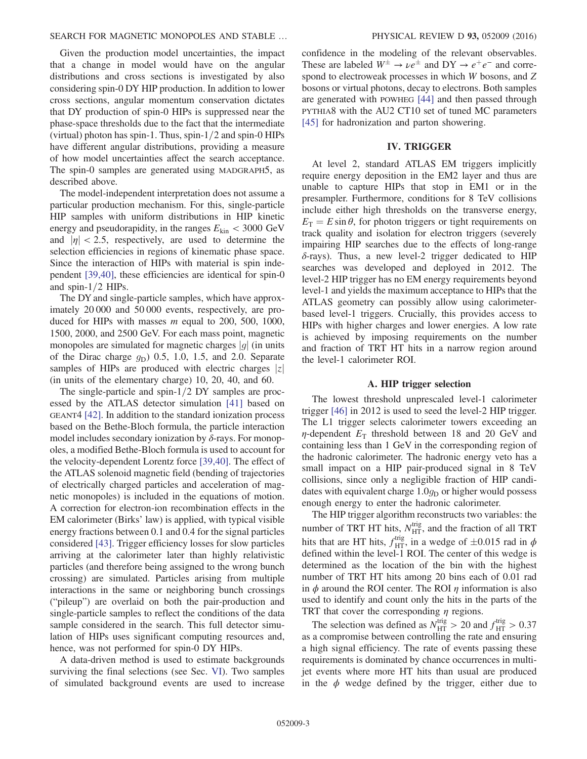<span id="page-3-0"></span>Given the production model uncertainties, the impact that a change in model would have on the angular distributions and cross sections is investigated by also considering spin-0 DY HIP production. In addition to lower cross sections, angular momentum conservation dictates that DY production of spin-0 HIPs is suppressed near the phase-space thresholds due to the fact that the intermediate (virtual) photon has spin-1. Thus, spin- $1/2$  and spin-0 HIPs have different angular distributions, providing a measure of how model uncertainties affect the search acceptance. The spin-0 samples are generated using MADGRAPH5, as described above.

The model-independent interpretation does not assume a particular production mechanism. For this, single-particle HIP samples with uniform distributions in HIP kinetic energy and pseudorapidity, in the ranges  $E_{kin}$  < 3000 GeV and  $|\eta| < 2.5$ , respectively, are used to determine the selection efficiencies in regions of kinematic phase space. Since the interaction of HIPs with material is spin independent [\[39,40\],](#page-11-16) these efficiencies are identical for spin-0 and spin- $1/2$  HIPs.

The DY and single-particle samples, which have approximately 20 000 and 50 000 events, respectively, are produced for HIPs with masses  $m$  equal to 200, 500, 1000, 1500, 2000, and 2500 GeV. For each mass point, magnetic monopoles are simulated for magnetic charges  $|g|$  (in units of the Dirac charge  $g_D$ ) 0.5, 1.0, 1.5, and 2.0. Separate samples of HIPs are produced with electric charges  $|z|$ (in units of the elementary charge) 10, 20, 40, and 60.

The single-particle and spin- $1/2$  DY samples are processed by the ATLAS detector simulation [\[41\]](#page-11-17) based on GEANT4 [\[42\]](#page-11-18). In addition to the standard ionization process based on the Bethe-Bloch formula, the particle interaction model includes secondary ionization by  $\delta$ -rays. For monopoles, a modified Bethe-Bloch formula is used to account for the velocity-dependent Lorentz force [\[39,40\]](#page-11-16). The effect of the ATLAS solenoid magnetic field (bending of trajectories of electrically charged particles and acceleration of magnetic monopoles) is included in the equations of motion. A correction for electron-ion recombination effects in the EM calorimeter (Birks' law) is applied, with typical visible energy fractions between 0.1 and 0.4 for the signal particles considered [\[43\].](#page-11-19) Trigger efficiency losses for slow particles arriving at the calorimeter later than highly relativistic particles (and therefore being assigned to the wrong bunch crossing) are simulated. Particles arising from multiple interactions in the same or neighboring bunch crossings ("pileup") are overlaid on both the pair-production and single-particle samples to reflect the conditions of the data sample considered in the search. This full detector simulation of HIPs uses significant computing resources and, hence, was not performed for spin-0 DY HIPs.

<span id="page-3-1"></span>A data-driven method is used to estimate backgrounds surviving the final selections (see Sec. [VI\)](#page-6-0). Two samples of simulated background events are used to increase confidence in the modeling of the relevant observables. These are labeled  $W^{\pm} \rightarrow \nu e^{\pm}$  and  $DY \rightarrow e^+e^-$  and correspond to electroweak processes in which W bosons, and Z bosons or virtual photons, decay to electrons. Both samples are generated with POWHEG [\[44\]](#page-11-20) and then passed through PYTHIA8 with the AU2 CT10 set of tuned MC parameters [\[45\]](#page-11-21) for hadronization and parton showering.

#### IV. TRIGGER

At level 2, standard ATLAS EM triggers implicitly require energy deposition in the EM2 layer and thus are unable to capture HIPs that stop in EM1 or in the presampler. Furthermore, conditions for 8 TeV collisions include either high thresholds on the transverse energy,  $E<sub>T</sub> = E \sin \theta$ , for photon triggers or tight requirements on track quality and isolation for electron triggers (severely impairing HIP searches due to the effects of long-range  $\delta$ -rays). Thus, a new level-2 trigger dedicated to HIP searches was developed and deployed in 2012. The level-2 HIP trigger has no EM energy requirements beyond level-1 and yields the maximum acceptance to HIPs that the ATLAS geometry can possibly allow using calorimeterbased level-1 triggers. Crucially, this provides access to HIPs with higher charges and lower energies. A low rate is achieved by imposing requirements on the number and fraction of TRT HT hits in a narrow region around the level-1 calorimeter ROI.

#### A. HIP trigger selection

The lowest threshold unprescaled level-1 calorimeter trigger [\[46\]](#page-11-22) in 2012 is used to seed the level-2 HIP trigger. The L1 trigger selects calorimeter towers exceeding an  $\eta$ -dependent  $E_T$  threshold between 18 and 20 GeV and containing less than 1 GeV in the corresponding region of the hadronic calorimeter. The hadronic energy veto has a small impact on a HIP pair-produced signal in 8 TeV collisions, since only a negligible fraction of HIP candidates with equivalent charge  $1.0g_D$  or higher would possess enough energy to enter the hadronic calorimeter.

The HIP trigger algorithm reconstructs two variables: the number of TRT HT hits,  $N_{\text{HT}}^{\text{trig}}$ , and the fraction of all TRT hits that are HT hits,  $f_{\text{HT}}^{\text{trig}}$ , in a wedge of  $\pm 0.015$  rad in  $\phi$ defined within the level-1 ROI. The center of this wedge is determined as the location of the bin with the highest number of TRT HT hits among 20 bins each of 0.01 rad in  $\phi$  around the ROI center. The ROI  $\eta$  information is also used to identify and count only the hits in the parts of the TRT that cover the corresponding  $\eta$  regions.

The selection was defined as  $N_{\text{HT}}^{\text{trig}} > 20$  and  $f_{\text{HT}}^{\text{trig}} > 0.37$ as a compromise between controlling the rate and ensuring a high signal efficiency. The rate of events passing these requirements is dominated by chance occurrences in multijet events where more HT hits than usual are produced in the  $\phi$  wedge defined by the trigger, either due to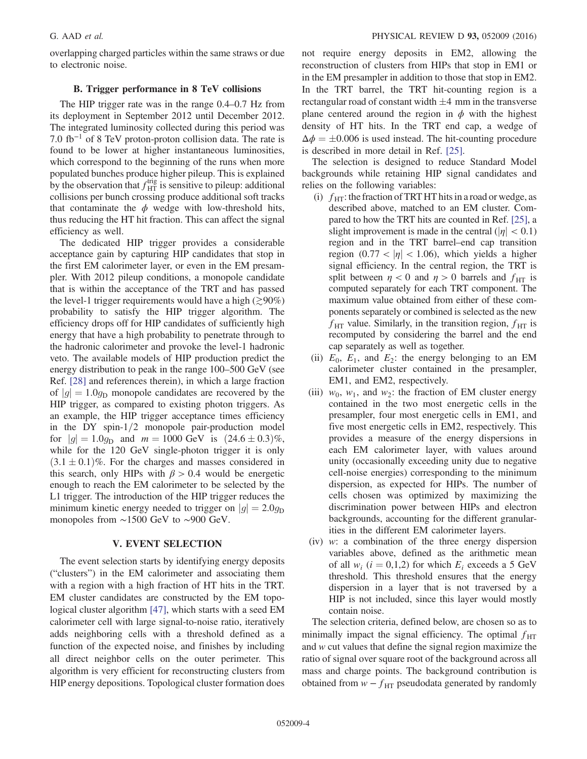overlapping charged particles within the same straws or due to electronic noise.

#### B. Trigger performance in 8 TeV collisions

The HIP trigger rate was in the range 0.4–0.7 Hz from its deployment in September 2012 until December 2012. The integrated luminosity collected during this period was 7.0 fb<sup>-1</sup> of 8 TeV proton-proton collision data. The rate is found to be lower at higher instantaneous luminosities, which correspond to the beginning of the runs when more populated bunches produce higher pileup. This is explained by the observation that  $f_{\text{HT}}^{\text{trig}}$  is sensitive to pileup: additional collisions per bunch crossing produce additional soft tracks that contaminate the  $\phi$  wedge with low-threshold hits, thus reducing the HT hit fraction. This can affect the signal efficiency as well.

The dedicated HIP trigger provides a considerable acceptance gain by capturing HIP candidates that stop in the first EM calorimeter layer, or even in the EM presampler. With 2012 pileup conditions, a monopole candidate that is within the acceptance of the TRT and has passed the level-1 trigger requirements would have a high ( $\gtrsim$ 90%) probability to satisfy the HIP trigger algorithm. The efficiency drops off for HIP candidates of sufficiently high energy that have a high probability to penetrate through to the hadronic calorimeter and provoke the level-1 hadronic veto. The available models of HIP production predict the energy distribution to peak in the range 100–500 GeV (see Ref. [\[28\]](#page-11-6) and references therein), in which a large fraction of  $|g|=1.0g_D$  monopole candidates are recovered by the HIP trigger, as compared to existing photon triggers. As an example, the HIP trigger acceptance times efficiency in the DY spin- $1/2$  monopole pair-production model for  $|g| = 1.0g_D$  and  $m = 1000$  GeV is  $(24.6 \pm 0.3)\%$ , while for the 120 GeV single-photon trigger it is only  $(3.1 \pm 0.1)\%$ . For the charges and masses considered in this search, only HIPs with  $\beta > 0.4$  would be energetic enough to reach the EM calorimeter to be selected by the L1 trigger. The introduction of the HIP trigger reduces the minimum kinetic energy needed to trigger on  $|q| = 2.0q_D$ monopoles from ∼1500 GeV to ∼900 GeV.

#### V. EVENT SELECTION

<span id="page-4-1"></span>The event selection starts by identifying energy deposits ("clusters") in the EM calorimeter and associating them with a region with a high fraction of HT hits in the TRT. EM cluster candidates are constructed by the EM topological cluster algorithm [\[47\],](#page-12-0) which starts with a seed EM calorimeter cell with large signal-to-noise ratio, iteratively adds neighboring cells with a threshold defined as a function of the expected noise, and finishes by including all direct neighbor cells on the outer perimeter. This algorithm is very efficient for reconstructing clusters from HIP energy depositions. Topological cluster formation does <span id="page-4-0"></span>not require energy deposits in EM2, allowing the reconstruction of clusters from HIPs that stop in EM1 or in the EM presampler in addition to those that stop in EM2. In the TRT barrel, the TRT hit-counting region is a rectangular road of constant width  $\pm 4$  mm in the transverse plane centered around the region in  $\phi$  with the highest density of HT hits. In the TRT end cap, a wedge of  $\Delta \phi = \pm 0.006$  is used instead. The hit-counting procedure is described in more detail in Ref. [\[25\].](#page-11-9)

The selection is designed to reduce Standard Model backgrounds while retaining HIP signal candidates and relies on the following variables:

- (i)  $f_{\text{HT}}$ : the fraction of TRT HT hits in a road or wedge, as described above, matched to an EM cluster. Compared to how the TRT hits are counted in Ref. [\[25\]](#page-11-9), a slight improvement is made in the central ( $|\eta| < 0.1$ ) region and in the TRT barrel–end cap transition region  $(0.77 < |\eta| < 1.06)$ , which yields a higher signal efficiency. In the central region, the TRT is split between  $\eta$  < 0 and  $\eta$  > 0 barrels and  $f_{\text{HT}}$  is computed separately for each TRT component. The maximum value obtained from either of these components separately or combined is selected as the new  $f_{\text{HT}}$  value. Similarly, in the transition region,  $f_{\text{HT}}$  is recomputed by considering the barrel and the end cap separately as well as together.
- (ii)  $E_0$ ,  $E_1$ , and  $E_2$ : the energy belonging to an EM calorimeter cluster contained in the presampler, EM1, and EM2, respectively.
- (iii)  $w_0$ ,  $w_1$ , and  $w_2$ : the fraction of EM cluster energy contained in the two most energetic cells in the presampler, four most energetic cells in EM1, and five most energetic cells in EM2, respectively. This provides a measure of the energy dispersions in each EM calorimeter layer, with values around unity (occasionally exceeding unity due to negative cell-noise energies) corresponding to the minimum dispersion, as expected for HIPs. The number of cells chosen was optimized by maximizing the discrimination power between HIPs and electron backgrounds, accounting for the different granularities in the different EM calorimeter layers.
- (iv) w: a combination of the three energy dispersion variables above, defined as the arithmetic mean of all  $w_i$  ( $i = 0,1,2$ ) for which  $E_i$  exceeds a 5 GeV threshold. This threshold ensures that the energy dispersion in a layer that is not traversed by a HIP is not included, since this layer would mostly contain noise.

The selection criteria, defined below, are chosen so as to minimally impact the signal efficiency. The optimal  $f_{\text{HT}}$ and w cut values that define the signal region maximize the ratio of signal over square root of the background across all mass and charge points. The background contribution is obtained from  $w - f_{\text{HT}}$  pseudodata generated by randomly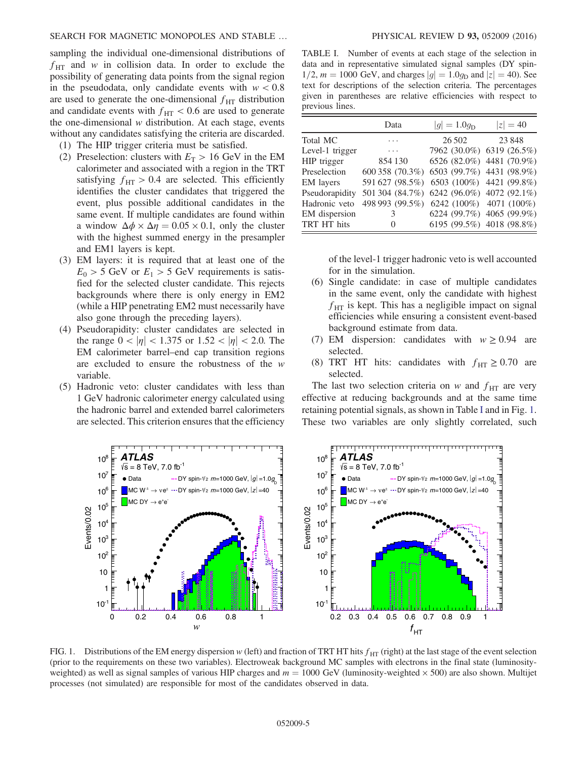sampling the individual one-dimensional distributions of  $f_{\text{HT}}$  and w in collision data. In order to exclude the possibility of generating data points from the signal region in the pseudodata, only candidate events with  $w < 0.8$ are used to generate the one-dimensional  $f_{\text{HT}}$  distribution and candidate events with  $f_{\text{HT}}$  < 0.6 are used to generate the one-dimensional  $w$  distribution. At each stage, events without any candidates satisfying the criteria are discarded.

- (1) The HIP trigger criteria must be satisfied.
- <span id="page-5-0"></span>(2) Preselection: clusters with  $E_T > 16$  GeV in the EM calorimeter and associated with a region in the TRT satisfying  $f_{\text{HT}} > 0.4$  are selected. This efficiently identifies the cluster candidates that triggered the event, plus possible additional candidates in the same event. If multiple candidates are found within a window  $\Delta \phi \times \Delta \eta = 0.05 \times 0.1$ , only the cluster with the highest summed energy in the presampler and EM1 layers is kept.
- (3) EM layers: it is required that at least one of the  $E_0 > 5$  GeV or  $E_1 > 5$  GeV requirements is satisfied for the selected cluster candidate. This rejects backgrounds where there is only energy in EM2 (while a HIP penetrating EM2 must necessarily have also gone through the preceding layers).
- (4) Pseudorapidity: cluster candidates are selected in the range  $0 < |\eta| < 1.375$  or  $1.52 < |\eta| < 2.0$ . The EM calorimeter barrel–end cap transition regions are excluded to ensure the robustness of the w variable.
- (5) Hadronic veto: cluster candidates with less than 1 GeV hadronic calorimeter energy calculated using the hadronic barrel and extended barrel calorimeters are selected. This criterion ensures that the efficiency

TABLE I. Number of events at each stage of the selection in data and in representative simulated signal samples (DY spin- $1/2$ ,  $m = 1000$  GeV, and charges  $|g| = 1.0g_D$  and  $|z| = 40$ ). See text for descriptions of the selection criteria. The percentages given in parentheses are relative efficiencies with respect to previous lines.

|                 | Data            | $ g  = 1.0g_{\rm D}$ | $ z  = 40$                |  |
|-----------------|-----------------|----------------------|---------------------------|--|
| Total MC        |                 | 26 502               | 23848                     |  |
| Level-1 trigger | .               |                      | 7962 (30.0%) 6319 (26.5%) |  |
| HIP trigger     | 854 130         |                      | 6526 (82.0%) 4481 (70.9%) |  |
| Preselection    | 600 358 (70.3%) |                      | 6503 (99.7%) 4431 (98.9%) |  |
| EM layers       | 591 627 (98.5%) |                      | 6503 (100%) 4421 (99.8%)  |  |
| Pseudorapidity  | 501 304 (84.7%) |                      | 6242 (96.0%) 4072 (92.1%) |  |
| Hadronic veto   | 498 993 (99.5%) |                      | 6242 (100%) 4071 (100%)   |  |
| EM dispersion   | 3               |                      | 6224 (99.7%) 4065 (99.9%) |  |
| TRT HT hits     | $\Omega$        |                      | 6195 (99.5%) 4018 (98.8%) |  |

of the level-1 trigger hadronic veto is well accounted for in the simulation.

- (6) Single candidate: in case of multiple candidates in the same event, only the candidate with highest  $f_{\text{HT}}$  is kept. This has a negligible impact on signal efficiencies while ensuring a consistent event-based background estimate from data.
- (7) EM dispersion: candidates with  $w \ge 0.94$  are selected.
- (8) TRT HT hits: candidates with  $f_{\text{HT}} \geq 0.70$  are selected.

The last two selection criteria on w and  $f_{\text{HT}}$  are very effective at reducing backgrounds and at the same time retaining potential signals, as shown in Table [I](#page-4-0) and in Fig. [1](#page-4-1). These two variables are only slightly correlated, such



FIG. 1. Distributions of the EM energy dispersion w (left) and fraction of TRT HT hits  $f_{\text{HT}}$  (right) at the last stage of the event selection (prior to the requirements on these two variables). Electroweak background MC samples with electrons in the final state (luminosityweighted) as well as signal samples of various HIP charges and  $m = 1000$  GeV (luminosity-weighted  $\times$  500) are also shown. Multijet processes (not simulated) are responsible for most of the candidates observed in data.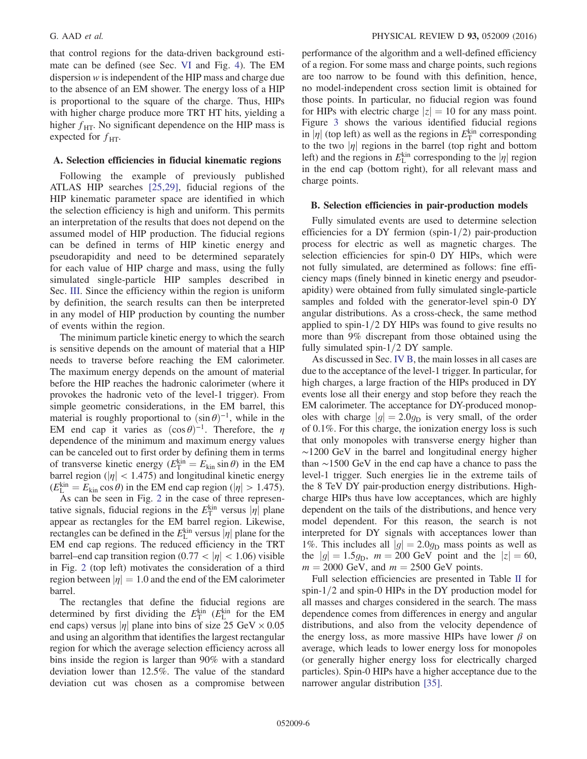<span id="page-6-1"></span>that control regions for the data-driven background estimate can be defined (see Sec. [VI](#page-6-0) and Fig. [4](#page-8-0)). The EM dispersion w is independent of the HIP mass and charge due to the absence of an EM shower. The energy loss of a HIP is proportional to the square of the charge. Thus, HIPs with higher charge produce more TRT HT hits, yielding a higher  $f_{\text{HT}}$ . No significant dependence on the HIP mass is expected for  $f_{\text{HT}}$ .

#### A. Selection efficiencies in fiducial kinematic regions

Following the example of previously published ATLAS HIP searches [\[25,29\]](#page-11-9), fiducial regions of the HIP kinematic parameter space are identified in which the selection efficiency is high and uniform. This permits an interpretation of the results that does not depend on the assumed model of HIP production. The fiducial regions can be defined in terms of HIP kinetic energy and pseudorapidity and need to be determined separately for each value of HIP charge and mass, using the fully simulated single-particle HIP samples described in Sec. [III.](#page-1-0) Since the efficiency within the region is uniform by definition, the search results can then be interpreted in any model of HIP production by counting the number of events within the region.

The minimum particle kinetic energy to which the search is sensitive depends on the amount of material that a HIP needs to traverse before reaching the EM calorimeter. The maximum energy depends on the amount of material before the HIP reaches the hadronic calorimeter (where it provokes the hadronic veto of the level-1 trigger). From simple geometric considerations, in the EM barrel, this material is roughly proportional to  $(\sin \theta)^{-1}$ , while in the EM end cap it varies as  $(\cos \theta)^{-1}$ . Therefore, the  $\eta$ dependence of the minimum and maximum energy values can be canceled out to first order by defining them in terms of transverse kinetic energy ( $E_{\text{T}}^{\text{kin}} = E_{\text{kin}} \sin \theta$ ) in the EM barrel region ( $|\eta|$  < 1.475) and longitudinal kinetic energy  $(E_{\text{L}}^{\text{kin}} = E_{\text{kin}} \cos \theta)$  in the EM end cap region ( $|\eta| > 1.475$ ).

<span id="page-6-0"></span>As can be seen in Fig. [2](#page-6-1) in the case of three representative signals, fiducial regions in the  $E_{\rm T}^{\rm kin}$  versus  $|\eta|$  plane appear as rectangles for the EM barrel region. Likewise, rectangles can be defined in the  $E_{\text{L}}^{\text{kin}}$  versus  $|\eta|$  plane for the EM end cap regions. The reduced efficiency in the TRT barrel–end cap transition region  $(0.77 < |\eta| < 1.06)$  visible in Fig. [2](#page-6-1) (top left) motivates the consideration of a third region between  $|\eta| = 1.0$  and the end of the EM calorimeter barrel.

The rectangles that define the fiducial regions are determined by first dividing the  $E_{\rm T}^{\rm kin}$  ( $E_{\rm L}^{\rm kin}$  for the EM end caps) versus  $|\eta|$  plane into bins of size 25 GeV  $\times$  0.05 and using an algorithm that identifies the largest rectangular region for which the average selection efficiency across all bins inside the region is larger than 90% with a standard deviation lower than 12.5%. The value of the standard deviation cut was chosen as a compromise between performance of the algorithm and a well-defined efficiency of a region. For some mass and charge points, such regions are too narrow to be found with this definition, hence, no model-independent cross section limit is obtained for those points. In particular, no fiducial region was found for HIPs with electric charge  $|z| = 10$  for any mass point. Figure [3](#page-7-0) shows the various identified fiducial regions in  $|\eta|$  (top left) as well as the regions in  $E_{\rm T}^{\rm kin}$  corresponding to the two  $|\eta|$  regions in the barrel (top right and bottom left) and the regions in  $E_{\text{L}}^{\text{kin}}$  corresponding to the  $|\eta|$  region in the end cap (bottom right), for all relevant mass and charge points.

#### B. Selection efficiencies in pair-production models

Fully simulated events are used to determine selection efficiencies for a DY fermion (spin- $1/2$ ) pair-production process for electric as well as magnetic charges. The selection efficiencies for spin-0 DY HIPs, which were not fully simulated, are determined as follows: fine efficiency maps (finely binned in kinetic energy and pseudorapidity) were obtained from fully simulated single-particle samples and folded with the generator-level spin-0 DY angular distributions. As a cross-check, the same method applied to spin- $1/2$  DY HIPs was found to give results no more than 9% discrepant from those obtained using the fully simulated spin- $1/2$  DY sample.

As discussed in Sec. [IV B](#page-3-0), the main losses in all cases are due to the acceptance of the level-1 trigger. In particular, for high charges, a large fraction of the HIPs produced in DY events lose all their energy and stop before they reach the EM calorimeter. The acceptance for DY-produced monopoles with charge  $|g| = 2.0g_D$  is very small, of the order of 0.1%. For this charge, the ionization energy loss is such that only monopoles with transverse energy higher than ∼1200 GeV in the barrel and longitudinal energy higher than ∼1500 GeV in the end cap have a chance to pass the level-1 trigger. Such energies lie in the extreme tails of the 8 TeV DY pair-production energy distributions. Highcharge HIPs thus have low acceptances, which are highly dependent on the tails of the distributions, and hence very model dependent. For this reason, the search is not interpreted for DY signals with acceptances lower than 1%. This includes all  $|g| = 2.0g_D$  mass points as well as the  $|g| = 1.5g_D$ ,  $m = 200 \text{ GeV}$  point and the  $|z| = 60$ ,  $m = 2000$  GeV, and  $m = 2500$  GeV points.

Full selection efficiencies are presented in Table [II](#page-7-1) for spin- $1/2$  and spin-0 HIPs in the DY production model for all masses and charges considered in the search. The mass dependence comes from differences in energy and angular distributions, and also from the velocity dependence of the energy loss, as more massive HIPs have lower  $\beta$  on average, which leads to lower energy loss for monopoles (or generally higher energy loss for electrically charged particles). Spin-0 HIPs have a higher acceptance due to the narrower angular distribution [\[35\]](#page-11-13).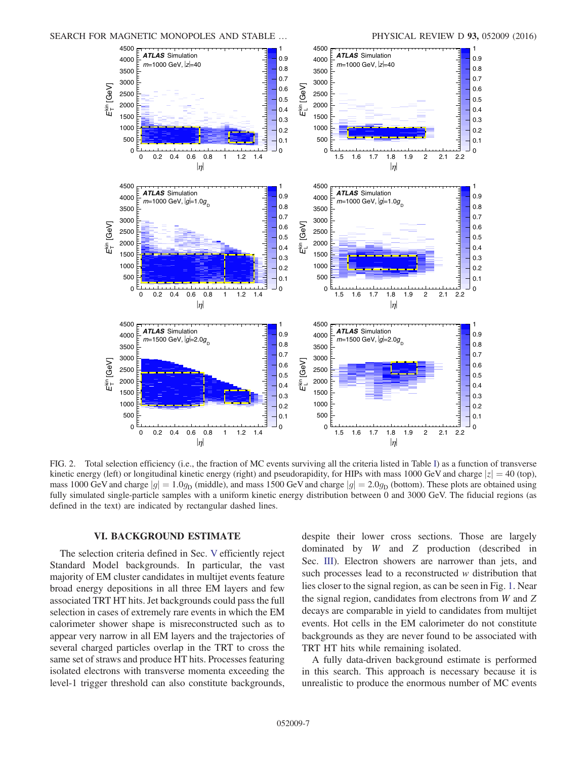<span id="page-7-0"></span>

<span id="page-7-1"></span>FIG. 2. Total selection efficiency (i.e., the fraction of MC events surviving all the criteria listed in Table [I\)](#page-4-0) as a function of transverse kinetic energy (left) or longitudinal kinetic energy (right) and pseudorapidity, for HIPs with mass 1000 GeV and charge  $|z| = 40$  (top), mass 1000 GeV and charge  $|g| = 1.0g_D$  (middle), and mass 1500 GeV and charge  $|g| = 2.0g_D$  (bottom). These plots are obtained using fully simulated single-particle samples with a uniform kinetic energy distribution between 0 and 3000 GeV. The fiducial regions (as defined in the text) are indicated by rectangular dashed lines.

#### VI. BACKGROUND ESTIMATE

The selection criteria defined in Sec. [V](#page-3-1) efficiently reject Standard Model backgrounds. In particular, the vast majority of EM cluster candidates in multijet events feature broad energy depositions in all three EM layers and few associated TRT HT hits. Jet backgrounds could pass the full selection in cases of extremely rare events in which the EM calorimeter shower shape is misreconstructed such as to appear very narrow in all EM layers and the trajectories of several charged particles overlap in the TRT to cross the same set of straws and produce HT hits. Processes featuring isolated electrons with transverse momenta exceeding the level-1 trigger threshold can also constitute backgrounds, despite their lower cross sections. Those are largely dominated by W and Z production (described in Sec. [III](#page-1-0)). Electron showers are narrower than jets, and such processes lead to a reconstructed w distribution that lies closer to the signal region, as can be seen in Fig. [1](#page-4-1). Near the signal region, candidates from electrons from W and Z decays are comparable in yield to candidates from multijet events. Hot cells in the EM calorimeter do not constitute backgrounds as they are never found to be associated with TRT HT hits while remaining isolated.

A fully data-driven background estimate is performed in this search. This approach is necessary because it is unrealistic to produce the enormous number of MC events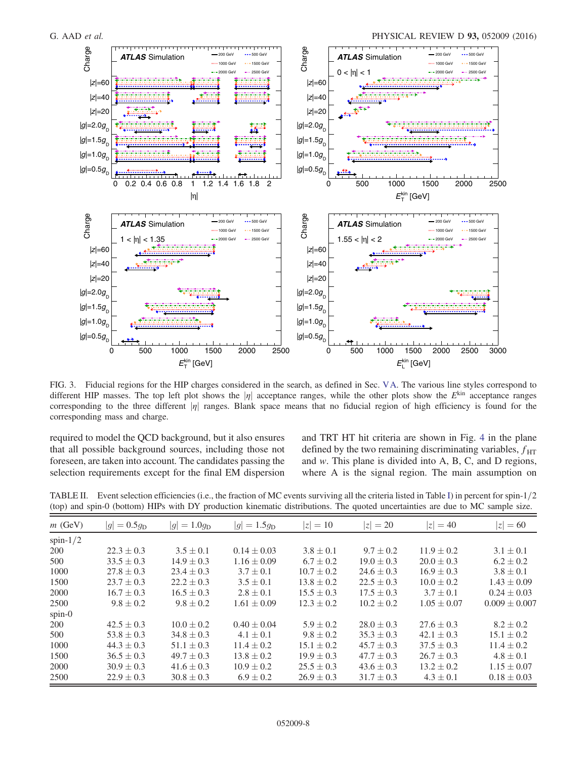<span id="page-8-0"></span>

FIG. 3. Fiducial regions for the HIP charges considered in the search, as defined in Sec. [VA.](#page-5-0) The various line styles correspond to different HIP masses. The top left plot shows the  $|\eta|$  acceptance ranges, while the other plots show the  $E^{\text{kin}}$  acceptance ranges corresponding to the three different  $|\eta|$  ranges. Blank space means that no fiducial region of high efficiency is found for the corresponding mass and charge.

required to model the QCD background, but it also ensures that all possible background sources, including those not foreseen, are taken into account. The candidates passing the selection requirements except for the final EM dispersion and TRT HT hit criteria are shown in Fig. [4](#page-8-0) in the plane defined by the two remaining discriminating variables,  $f_{\text{HT}}$ and w. This plane is divided into A, B, C, and D regions, where A is the signal region. The main assumption on

TABLE II. Event selection efficiencies (i.e., the fraction of MC events surviving all the criteria listed in Table [I\)](#page-4-0) in percent for spin- $1/2$ (top) and spin-0 (bottom) HIPs with DY production kinematic distributions. The quoted uncertainties are due to MC sample size.

| $m$ (GeV)   | $ g  = 0.5g_{\rm D}$ | $= 1.0 q_{\rm D}$<br> g | $ g  = 1.5g_{\rm D}$ | $ z  = 10$     | $=20$<br>IzI   | $ z  = 40$      | $= 60$<br>IzI     |
|-------------|----------------------|-------------------------|----------------------|----------------|----------------|-----------------|-------------------|
| spin- $1/2$ |                      |                         |                      |                |                |                 |                   |
| <b>200</b>  | $22.3 \pm 0.3$       | $3.5 \pm 0.1$           | $0.14 \pm 0.03$      | $3.8 \pm 0.1$  | $9.7 \pm 0.2$  | $11.9 \pm 0.2$  | $3.1 \pm 0.1$     |
| 500         | $33.5 \pm 0.3$       | $14.9 \pm 0.3$          | $1.16 \pm 0.09$      | $6.7 \pm 0.2$  | $19.0 \pm 0.3$ | $20.0 \pm 0.3$  | $6.2 \pm 0.2$     |
| 1000        | $27.8 \pm 0.3$       | $23.4 \pm 0.3$          | $3.7 \pm 0.1$        | $10.7 \pm 0.2$ | $24.6 \pm 0.3$ | $16.9 \pm 0.3$  | $3.8 \pm 0.1$     |
| 1500        | $23.7 \pm 0.3$       | $22.2 \pm 0.3$          | $3.5 \pm 0.1$        | $13.8 \pm 0.2$ | $22.5 \pm 0.3$ | $10.0 \pm 0.2$  | $1.43 \pm 0.09$   |
| 2000        | $16.7 \pm 0.3$       | $16.5 \pm 0.3$          | $2.8 \pm 0.1$        | $15.5 \pm 0.3$ | $17.5 \pm 0.3$ | $3.7 \pm 0.1$   | $0.24 \pm 0.03$   |
| 2500        | $9.8 \pm 0.2$        | $9.8 \pm 0.2$           | $1.61 \pm 0.09$      | $12.3 \pm 0.2$ | $10.2 \pm 0.2$ | $1.05 \pm 0.07$ | $0.009 \pm 0.007$ |
| spin-0      |                      |                         |                      |                |                |                 |                   |
| 200         | $42.5 \pm 0.3$       | $10.0 \pm 0.2$          | $0.40 \pm 0.04$      | $5.9 \pm 0.2$  | $28.0 \pm 0.3$ | $27.6 \pm 0.3$  | $8.2 \pm 0.2$     |
| 500         | $53.8 \pm 0.3$       | $34.8 \pm 0.3$          | $4.1 \pm 0.1$        | $9.8 \pm 0.2$  | $35.3 \pm 0.3$ | $42.1 \pm 0.3$  | $15.1 \pm 0.2$    |
| 1000        | $44.3 \pm 0.3$       | $51.1 \pm 0.3$          | $11.4 \pm 0.2$       | $15.1 \pm 0.2$ | $45.7 \pm 0.3$ | $37.5 \pm 0.3$  | $11.4 \pm 0.2$    |
| 1500        | $36.5 \pm 0.3$       | $49.7 \pm 0.3$          | $13.8 \pm 0.2$       | $19.9 \pm 0.3$ | $47.7 \pm 0.3$ | $26.7 \pm 0.3$  | $4.8 \pm 0.1$     |
| 2000        | $30.9 \pm 0.3$       | $41.6 \pm 0.3$          | $10.9 \pm 0.2$       | $25.5 \pm 0.3$ | $43.6 \pm 0.3$ | $13.2 \pm 0.2$  | $1.15 \pm 0.07$   |
| 2500        | $22.9 \pm 0.3$       | $30.8 \pm 0.3$          | $6.9 \pm 0.2$        | $26.9 \pm 0.3$ | $31.7 \pm 0.3$ | $4.3 \pm 0.1$   | $0.18 \pm 0.03$   |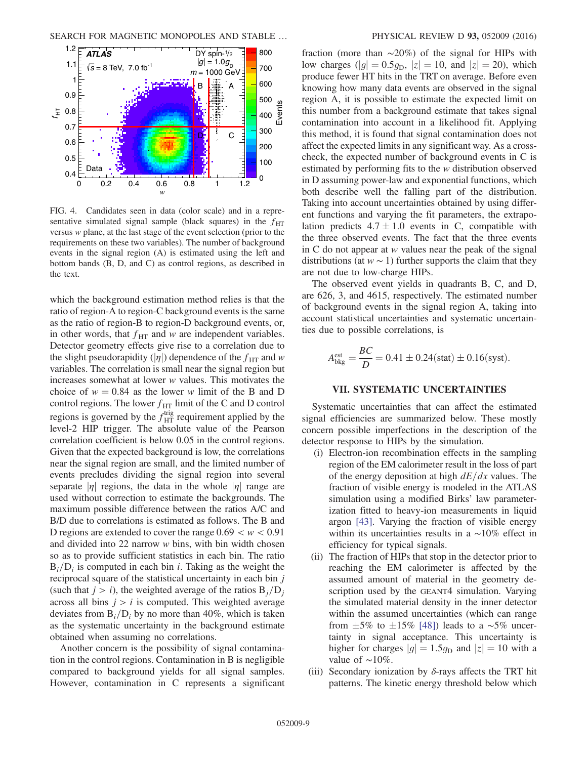<span id="page-9-0"></span>

FIG. 4. Candidates seen in data (color scale) and in a representative simulated signal sample (black squares) in the  $f_{\text{HT}}$ versus w plane, at the last stage of the event selection (prior to the requirements on these two variables). The number of background events in the signal region (A) is estimated using the left and bottom bands (B, D, and C) as control regions, as described in the text.

which the background estimation method relies is that the ratio of region-A to region-C background events is the same as the ratio of region-B to region-D background events, or, in other words, that  $f_{\text{HT}}$  and w are independent variables. Detector geometry effects give rise to a correlation due to the slight pseudorapidity ( $|\eta|$ ) dependence of the  $f_{\text{HT}}$  and w variables. The correlation is small near the signal region but increases somewhat at lower w values. This motivates the choice of  $w = 0.84$  as the lower w limit of the B and D control regions. The lower  $f_{\text{HT}}$  limit of the C and D control regions is governed by the  $f_{\text{HT}}^{\text{trig}}$  requirement applied by the level-2 HIP trigger. The absolute value of the Pearson correlation coefficient is below 0.05 in the control regions. Given that the expected background is low, the correlations near the signal region are small, and the limited number of events precludes dividing the signal region into several separate  $|\eta|$  regions, the data in the whole  $|\eta|$  range are used without correction to estimate the backgrounds. The maximum possible difference between the ratios A/C and B/D due to correlations is estimated as follows. The B and D regions are extended to cover the range  $0.69 < w < 0.91$ and divided into 22 narrow w bins, with bin width chosen so as to provide sufficient statistics in each bin. The ratio  $B_i/D_i$  is computed in each bin *i*. Taking as the weight the reciprocal square of the statistical uncertainty in each bin j (such that  $j>i$ ), the weighted average of the ratios  $B_j/D_j$ across all bins  $j > i$  is computed. This weighted average deviates from  $B_i/D_i$  by no more than 40%, which is taken as the systematic uncertainty in the background estimate obtained when assuming no correlations.

Another concern is the possibility of signal contamination in the control regions. Contamination in B is negligible compared to background yields for all signal samples. However, contamination in C represents a significant fraction (more than ∼20%) of the signal for HIPs with low charges ( $|g| = 0.5g_D$ ,  $|z| = 10$ , and  $|z| = 20$ ), which produce fewer HT hits in the TRT on average. Before even knowing how many data events are observed in the signal region A, it is possible to estimate the expected limit on this number from a background estimate that takes signal contamination into account in a likelihood fit. Applying this method, it is found that signal contamination does not affect the expected limits in any significant way. As a crosscheck, the expected number of background events in C is estimated by performing fits to the w distribution observed in D assuming power-law and exponential functions, which both describe well the falling part of the distribution. Taking into account uncertainties obtained by using different functions and varying the fit parameters, the extrapolation predicts  $4.7 \pm 1.0$  events in C, compatible with the three observed events. The fact that the three events in C do not appear at w values near the peak of the signal distributions (at  $w \sim 1$ ) further supports the claim that they are not due to low-charge HIPs.

The observed event yields in quadrants B, C, and D, are 626, 3, and 4615, respectively. The estimated number of background events in the signal region A, taking into account statistical uncertainties and systematic uncertainties due to possible correlations, is

$$
A_{\text{bkg}}^{\text{est}} = \frac{BC}{D} = 0.41 \pm 0.24 \text{(stat)} \pm 0.16 \text{(syst)}.
$$

#### VII. SYSTEMATIC UNCERTAINTIES

Systematic uncertainties that can affect the estimated signal efficiencies are summarized below. These mostly concern possible imperfections in the description of the detector response to HIPs by the simulation.

- (i) Electron-ion recombination effects in the sampling region of the EM calorimeter result in the loss of part of the energy deposition at high  $dE/dx$  values. The fraction of visible energy is modeled in the ATLAS simulation using a modified Birks' law parameterization fitted to heavy-ion measurements in liquid argon [\[43\]](#page-11-19). Varying the fraction of visible energy within its uncertainties results in a ∼10% effect in efficiency for typical signals.
- (ii) The fraction of HIPs that stop in the detector prior to reaching the EM calorimeter is affected by the assumed amount of material in the geometry description used by the GEANT4 simulation. Varying the simulated material density in the inner detector within the assumed uncertainties (which can range from  $\pm 5\%$  to  $\pm 15\%$  [\[48\]](#page-12-1)) leads to a ~5% uncertainty in signal acceptance. This uncertainty is higher for charges  $|g| = 1.5g_D$  and  $|z| = 10$  with a value of  $~\sim 10\%$ .
- (iii) Secondary ionization by  $\delta$ -rays affects the TRT hit patterns. The kinetic energy threshold below which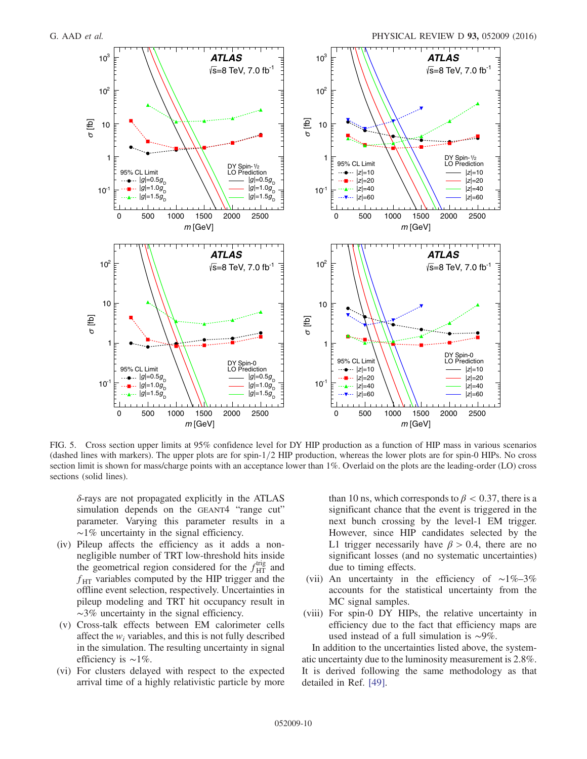<span id="page-10-0"></span>

FIG. 5. Cross section upper limits at 95% confidence level for DY HIP production as a function of HIP mass in various scenarios (dashed lines with markers). The upper plots are for spin- $1/2$  HIP production, whereas the lower plots are for spin-0 HIPs. No cross section limit is shown for mass/charge points with an acceptance lower than 1%. Overlaid on the plots are the leading-order (LO) cross sections (solid lines).

δ-rays are not propagated explicitly in the ATLAS simulation depends on the GEANT4 "range cut" parameter. Varying this parameter results in a ∼1% uncertainty in the signal efficiency.

- (iv) Pileup affects the efficiency as it adds a nonnegligible number of TRT low-threshold hits inside the geometrical region considered for the  $f_{\text{HT}}^{\text{trig}}$  and  $f_{\text{HT}}$  variables computed by the HIP trigger and the offline event selection, respectively. Uncertainties in pileup modeling and TRT hit occupancy result in  $~\sim$ 3% uncertainty in the signal efficiency.
- (v) Cross-talk effects between EM calorimeter cells affect the  $w_i$  variables, and this is not fully described in the simulation. The resulting uncertainty in signal efficiency is ∼1%.
- (vi) For clusters delayed with respect to the expected arrival time of a highly relativistic particle by more

than 10 ns, which corresponds to  $\beta$  < 0.37, there is a significant chance that the event is triggered in the next bunch crossing by the level-1 EM trigger. However, since HIP candidates selected by the L1 trigger necessarily have  $\beta > 0.4$ , there are no significant losses (and no systematic uncertainties) due to timing effects.

- (vii) An uncertainty in the efficiency of ∼1%–3% accounts for the statistical uncertainty from the MC signal samples.
- (viii) For spin-0 DY HIPs, the relative uncertainty in efficiency due to the fact that efficiency maps are used instead of a full simulation is ∼9%.

In addition to the uncertainties listed above, the systematic uncertainty due to the luminosity measurement is 2.8%. It is derived following the same methodology as that detailed in Ref. [\[49\].](#page-12-2)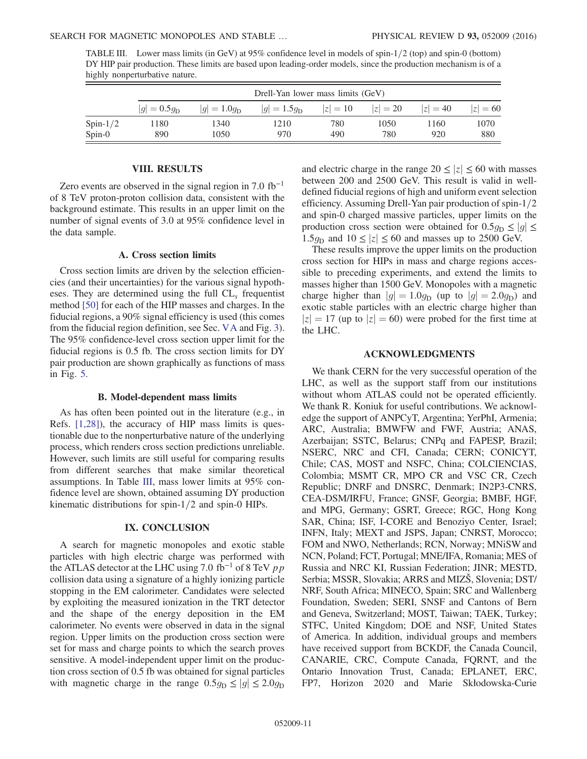| TABLE III. Lower mass limits (in GeV) at 95% confidence level in models of spin-1/2 (top) and spin-0 (bottom)    |
|------------------------------------------------------------------------------------------------------------------|
| DY HIP pair production. These limits are based upon leading-order models, since the production mechanism is of a |
| highly nonperturbative nature.                                                                                   |

|             | Drell-Yan lower mass limits (GeV) |                  |                      |            |            |            |            |
|-------------|-----------------------------------|------------------|----------------------|------------|------------|------------|------------|
|             | $ g  = 0.5g_{\rm D}$              | $ g  = 1.0q_{D}$ | $ g  = 1.5g_{\rm D}$ | $ z  = 10$ | $ z  = 20$ | $ z  = 40$ | $ z  = 60$ |
| Spin- $1/2$ | 1180                              | 1340             | 1210                 | 780        | 1050       | 1160       | 1070       |
| $Spin-0$    | 890                               | 1050             | 970                  | 490        | 780        | 920        | 880        |

#### VIII. RESULTS

<span id="page-11-3"></span><span id="page-11-0"></span>Zero events are observed in the signal region in  $7.0 \text{ fb}^{-1}$ of 8 TeV proton-proton collision data, consistent with the background estimate. This results in an upper limit on the number of signal events of 3.0 at 95% confidence level in the data sample.

#### A. Cross section limits

<span id="page-11-4"></span><span id="page-11-2"></span><span id="page-11-1"></span>Cross section limits are driven by the selection efficiencies (and their uncertainties) for the various signal hypotheses. They are determined using the full  $CL<sub>s</sub>$  frequentist method [\[50\]](#page-12-3) for each of the HIP masses and charges. In the fiducial regions, a 90% signal efficiency is used (this comes from the fiducial region definition, see Sec. [VA](#page-5-0) and Fig. [3](#page-7-0)). The 95% confidence-level cross section upper limit for the fiducial regions is 0.5 fb. The cross section limits for DY pair production are shown graphically as functions of mass in Fig. [5](#page-9-0).

#### B. Model-dependent mass limits

<span id="page-11-5"></span>As has often been pointed out in the literature (e.g., in Refs. [\[1,28\]\)](#page-11-0), the accuracy of HIP mass limits is questionable due to the nonperturbative nature of the underlying process, which renders cross section predictions unreliable. However, such limits are still useful for comparing results from different searches that make similar theoretical assumptions. In Table [III](#page-10-0), mass lower limits at 95% confidence level are shown, obtained assuming DY production kinematic distributions for spin- $1/2$  and spin-0 HIPs.

#### <span id="page-11-22"></span><span id="page-11-21"></span><span id="page-11-20"></span><span id="page-11-19"></span><span id="page-11-18"></span><span id="page-11-17"></span>IX. CONCLUSION

<span id="page-11-9"></span>A search for magnetic monopoles and exotic stable particles with high electric charge was performed with the ATLAS detector at the LHC using 7.0 fb<sup>-1</sup> of 8 TeV  $pp$ collision data using a signature of a highly ionizing particle stopping in the EM calorimeter. Candidates were selected by exploiting the measured ionization in the TRT detector and the shape of the energy deposition in the EM calorimeter. No events were observed in data in the signal region. Upper limits on the production cross section were set for mass and charge points to which the search proves sensitive. A model-independent upper limit on the production cross section of 0.5 fb was obtained for signal particles with magnetic charge in the range  $0.5g_D \le |g| \le 2.0g_D$  and electric charge in the range  $20 \le |z| \le 60$  with masses between 200 and 2500 GeV. This result is valid in welldefined fiducial regions of high and uniform event selection efficiency. Assuming Drell-Yan pair production of spin- $1/2$ and spin-0 charged massive particles, upper limits on the production cross section were obtained for  $0.5g_D \le |g| \le$ 1.5 $g_D$  and 10  $\leq |z| \leq 60$  and masses up to 2500 GeV.

<span id="page-11-7"></span><span id="page-11-6"></span>These results improve the upper limits on the production cross section for HIPs in mass and charge regions accessible to preceding experiments, and extend the limits to masses higher than 1500 GeV. Monopoles with a magnetic charge higher than  $|g| = 1.0g_D$  (up to  $|g| = 2.0g_D$ ) and exotic stable particles with an electric charge higher than  $|z| = 17$  (up to  $|z| = 60$ ) were probed for the first time at the LHC.

#### ACKNOWLEDGMENTS

<span id="page-11-16"></span><span id="page-11-15"></span><span id="page-11-14"></span><span id="page-11-13"></span><span id="page-11-12"></span><span id="page-11-11"></span><span id="page-11-10"></span><span id="page-11-8"></span>We thank CERN for the very successful operation of the LHC, as well as the support staff from our institutions without whom ATLAS could not be operated efficiently. We thank R. Koniuk for useful contributions. We acknowledge the support of ANPCyT, Argentina; YerPhI, Armenia; ARC, Australia; BMWFW and FWF, Austria; ANAS, Azerbaijan; SSTC, Belarus; CNPq and FAPESP, Brazil; NSERC, NRC and CFI, Canada; CERN; CONICYT, Chile; CAS, MOST and NSFC, China; COLCIENCIAS, Colombia; MSMT CR, MPO CR and VSC CR, Czech Republic; DNRF and DNSRC, Denmark; IN2P3-CNRS, CEA-DSM/IRFU, France; GNSF, Georgia; BMBF, HGF, and MPG, Germany; GSRT, Greece; RGC, Hong Kong SAR, China; ISF, I-CORE and Benoziyo Center, Israel; INFN, Italy; MEXT and JSPS, Japan; CNRST, Morocco; FOM and NWO, Netherlands; RCN, Norway; MNiSW and NCN, Poland; FCT, Portugal; MNE/IFA, Romania; MES of Russia and NRC KI, Russian Federation; JINR; MESTD, Serbia; MSSR, Slovakia; ARRS and MIZŠ, Slovenia; DST/ NRF, South Africa; MINECO, Spain; SRC and Wallenberg Foundation, Sweden; SERI, SNSF and Cantons of Bern and Geneva, Switzerland; MOST, Taiwan; TAEK, Turkey; STFC, United Kingdom; DOE and NSF, United States of America. In addition, individual groups and members have received support from BCKDF, the Canada Council, CANARIE, CRC, Compute Canada, FQRNT, and the Ontario Innovation Trust, Canada; EPLANET, ERC, FP7, Horizon 2020 and Marie Skłodowska-Curie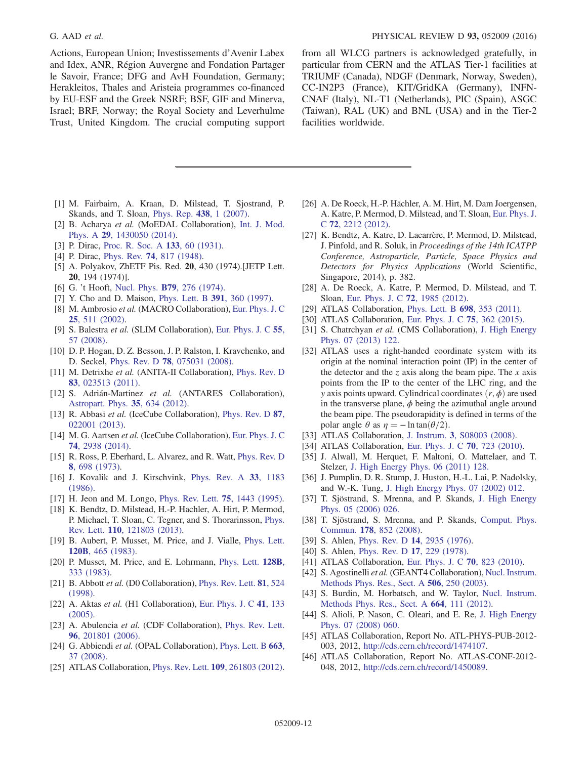<span id="page-12-0"></span>Actions, European Union; Investissements d'Avenir Labex and Idex, ANR, Région Auvergne and Fondation Partager le Savoir, France; DFG and AvH Foundation, Germany; Herakleitos, Thales and Aristeia programmes co-financed by EU-ESF and the Greek NSRF; BSF, GIF and Minerva, Israel; BRF, Norway; the Royal Society and Leverhulme Trust, United Kingdom. The crucial computing support <span id="page-12-3"></span><span id="page-12-2"></span><span id="page-12-1"></span>from all WLCG partners is acknowledged gratefully, in particular from CERN and the ATLAS Tier-1 facilities at TRIUMF (Canada), NDGF (Denmark, Norway, Sweden), CC-IN2P3 (France), KIT/GridKA (Germany), INFN-CNAF (Italy), NL-T1 (Netherlands), PIC (Spain), ASGC (Taiwan), RAL (UK) and BNL (USA) and in the Tier-2 facilities worldwide.

- <span id="page-12-6"></span><span id="page-12-5"></span>[1] M. Fairbairn, A. Kraan, D. Milstead, T. Sjostrand, P. Skands, and T. Sloan, [Phys. Rep.](http://dx.doi.org/10.1016/j.physrep.2006.10.002) 438, 1 (2007).
- [2] B. Acharya et al. (MoEDAL Collaboration), [Int. J. Mod.](http://dx.doi.org/10.1142/S0217751X14300506) Phys. A 29[, 1430050 \(2014\)](http://dx.doi.org/10.1142/S0217751X14300506).
- [3] P. Dirac, [Proc. R. Soc. A](http://dx.doi.org/10.1098/rspa.1931.0130) 133, 60 (1931).
- [4] P. Dirac, Phys. Rev. 74[, 817 \(1948\).](http://dx.doi.org/10.1103/PhysRev.74.817)
- [5] A. Polyakov, ZhETF Pis. Red. 20, 430 (1974).[JETP Lett. 20, 194 (1974)].
- [6] G. 't Hooft, Nucl. Phys. **B79**[, 276 \(1974\).](http://dx.doi.org/10.1016/0550-3213(74)90486-6)
- [7] Y. Cho and D. Maison, [Phys. Lett. B](http://dx.doi.org/10.1016/S0370-2693(96)01492-X) 391, 360 (1997).
- [8] M. Ambrosio et al. (MACRO Collaboration), [Eur. Phys. J. C](http://dx.doi.org/10.1140/epjc/s2002-01046-9) 25[, 511 \(2002\).](http://dx.doi.org/10.1140/epjc/s2002-01046-9)
- [9] S. Balestra et al. (SLIM Collaboration), [Eur. Phys. J. C](http://dx.doi.org/10.1140/epjc/s10052-008-0597-3) 55, [57 \(2008\).](http://dx.doi.org/10.1140/epjc/s10052-008-0597-3)
- <span id="page-12-8"></span>[10] D. P. Hogan, D. Z. Besson, J. P. Ralston, I. Kravchenko, and D. Seckel, Phys. Rev. D 78[, 075031 \(2008\).](http://dx.doi.org/10.1103/PhysRevD.78.075031)
- [11] M. Detrixhe et al. (ANITA-II Collaboration), [Phys. Rev. D](http://dx.doi.org/10.1103/PhysRevD.83.023513) 83[, 023513 \(2011\).](http://dx.doi.org/10.1103/PhysRevD.83.023513)
- [12] S. Adrián-Martinez et al. (ANTARES Collaboration), [Astropart. Phys.](http://dx.doi.org/10.1016/j.astropartphys.2012.02.007) 35, 634 (2012).
- [13] R. Abbasi et al. (IceCube Collaboration), [Phys. Rev. D](http://dx.doi.org/10.1103/PhysRevD.87.022001) 87, [022001 \(2013\).](http://dx.doi.org/10.1103/PhysRevD.87.022001)
- <span id="page-12-10"></span><span id="page-12-9"></span>[14] M. G. Aartsen et al. (IceCube Collaboration), [Eur. Phys. J. C](http://dx.doi.org/10.1140/epjc/s10052-014-2938-8) 74[, 2938 \(2014\)](http://dx.doi.org/10.1140/epjc/s10052-014-2938-8).
- [15] R. Ross, P. Eberhard, L. Alvarez, and R. Watt, [Phys. Rev. D](http://dx.doi.org/10.1103/PhysRevD.8.698) 8[, 698 \(1973\).](http://dx.doi.org/10.1103/PhysRevD.8.698)
- [16] J. Kovalik and J. Kirschvink, [Phys. Rev. A](http://dx.doi.org/10.1103/PhysRevA.33.1183) 33, 1183 [\(1986\).](http://dx.doi.org/10.1103/PhysRevA.33.1183)
- [17] H. Jeon and M. Longo, [Phys. Rev. Lett.](http://dx.doi.org/10.1103/PhysRevLett.75.1443) 75, 1443 (1995).
- [18] K. Bendtz, D. Milstead, H.-P. Hachler, A. Hirt, P. Mermod, P. Michael, T. Sloan, C. Tegner, and S. Thorarinsson, [Phys.](http://dx.doi.org/10.1103/PhysRevLett.110.121803) Rev. Lett. 110[, 121803 \(2013\).](http://dx.doi.org/10.1103/PhysRevLett.110.121803)
- [19] B. Aubert, P. Musset, M. Price, and J. Vialle, [Phys. Lett.](http://dx.doi.org/10.1016/0370-2693(83)90488-4) 120B[, 465 \(1983\).](http://dx.doi.org/10.1016/0370-2693(83)90488-4)
- [20] P. Musset, M. Price, and E. Lohrmann, [Phys. Lett.](http://dx.doi.org/10.1016/0370-2693(83)90270-8) 128B, [333 \(1983\)](http://dx.doi.org/10.1016/0370-2693(83)90270-8).
- [21] B. Abbott et al. (D0 Collaboration), [Phys. Rev. Lett.](http://dx.doi.org/10.1103/PhysRevLett.81.524) 81, 524 [\(1998\).](http://dx.doi.org/10.1103/PhysRevLett.81.524)
- <span id="page-12-7"></span>[22] A. Aktas *et al.* (H1 Collaboration), [Eur. Phys. J. C](http://dx.doi.org/10.1140/epjc/s2005-02201-6)  $41$ , 133 [\(2005\).](http://dx.doi.org/10.1140/epjc/s2005-02201-6)
- [23] A. Abulencia et al. (CDF Collaboration), [Phys. Rev. Lett.](http://dx.doi.org/10.1103/PhysRevLett.96.201801) 96[, 201801 \(2006\).](http://dx.doi.org/10.1103/PhysRevLett.96.201801)
- [24] G. Abbiendi et al. (OPAL Collaboration), [Phys. Lett. B](http://dx.doi.org/10.1016/j.physletb.2008.03.057) 663, [37 \(2008\).](http://dx.doi.org/10.1016/j.physletb.2008.03.057)
- <span id="page-12-4"></span>[25] ATLAS Collaboration, *Phys. Rev. Lett.* **109**[, 261803 \(2012\).](http://dx.doi.org/10.1103/PhysRevLett.109.261803)
- [26] A. De Roeck, H.-P. Hächler, A. M. Hirt, M. Dam Joergensen, A. Katre, P. Mermod, D. Milstead, and T. Sloan, [Eur. Phys. J.](http://dx.doi.org/10.1140/epjc/s10052-012-2212-x) C 72[, 2212 \(2012\)](http://dx.doi.org/10.1140/epjc/s10052-012-2212-x).
- [27] K. Bendtz, A. Katre, D. Lacarrère, P. Mermod, D. Milstead, J. Pinfold, and R. Soluk, in Proceedings of the 14th ICATPP Conference, Astroparticle, Particle, Space Physics and Detectors for Physics Applications (World Scientific, Singapore, 2014), p. 382.
- [28] A. De Roeck, A. Katre, P. Mermod, D. Milstead, and T. Sloan, [Eur. Phys. J. C](http://dx.doi.org/10.1140/epjc/s10052-012-1985-2) 72, 1985 (2012).
- [29] ATLAS Collaboration, [Phys. Lett. B](http://dx.doi.org/10.1016/j.physletb.2011.03.033) 698, 353 (2011).
- [30] ATLAS Collaboration, [Eur. Phys. J. C](http://dx.doi.org/10.1140/epjc/s10052-015-3534-2) 75, 362 (2015).
- [31] S. Chatrchyan et al. (CMS Collaboration), [J. High Energy](http://dx.doi.org/10.1007/JHEP07(2013)122) [Phys. 07 \(2013\) 122.](http://dx.doi.org/10.1007/JHEP07(2013)122)
- [32] ATLAS uses a right-handed coordinate system with its origin at the nominal interaction point (IP) in the center of the detector and the z axis along the beam pipe. The  $x$  axis points from the IP to the center of the LHC ring, and the y axis points upward. Cylindrical coordinates  $(r, \phi)$  are used in the transverse plane,  $\phi$  being the azimuthal angle around the beam pipe. The pseudorapidity is defined in terms of the polar angle  $\theta$  as  $\eta = -\ln \tan(\theta/2)$ .
- [33] ATLAS Collaboration, J. Instrum. 3[, S08003 \(2008\)](http://dx.doi.org/10.1088/1748-0221/3/08/S08003).
- [34] ATLAS Collaboration, [Eur. Phys. J. C](http://dx.doi.org/10.1140/epjc/s10052-010-1354-y) **70**, 723 (2010).
- [35] J. Alwall, M. Herquet, F. Maltoni, O. Mattelaer, and T. Stelzer, [J. High Energy Phys. 06 \(2011\) 128.](http://dx.doi.org/10.1007/JHEP06(2011)128)
- [36] J. Pumplin, D. R. Stump, J. Huston, H.-L. Lai, P. Nadolsky, and W.-K. Tung, [J. High Energy Phys. 07 \(2002\) 012.](http://dx.doi.org/10.1088/1126-6708/2002/07/012)
- [37] T. Sjöstrand, S. Mrenna, and P. Skands, [J. High Energy](http://dx.doi.org/10.1088/1126-6708/2006/05/026) [Phys. 05 \(2006\) 026.](http://dx.doi.org/10.1088/1126-6708/2006/05/026)
- [38] T. Sjöstrand, S. Mrenna, and P. Skands, [Comput. Phys.](http://dx.doi.org/10.1016/j.cpc.2008.01.036) Commun. 178[, 852 \(2008\)](http://dx.doi.org/10.1016/j.cpc.2008.01.036).
- [39] S. Ahlen, Phys. Rev. D 14[, 2935 \(1976\).](http://dx.doi.org/10.1103/PhysRevD.14.2935)
- [40] S. Ahlen, [Phys. Rev. D](http://dx.doi.org/10.1103/PhysRevD.17.229) 17, 229 (1978).
- [41] ATLAS Collaboration, [Eur. Phys. J. C](http://dx.doi.org/10.1140/epjc/s10052-010-1429-9) 70, 823 (2010).
- [42] S. Agostinelli et al. (GEANT4 Collaboration), [Nucl. Instrum.](http://dx.doi.org/10.1016/S0168-9002(03)01368-8) [Methods Phys. Res., Sect. A](http://dx.doi.org/10.1016/S0168-9002(03)01368-8) 506, 250 (2003).
- [43] S. Burdin, M. Horbatsch, and W. Taylor, [Nucl. Instrum.](http://dx.doi.org/10.1016/j.nima.2011.10.044) [Methods Phys. Res., Sect. A](http://dx.doi.org/10.1016/j.nima.2011.10.044) 664, 111 (2012).
- [44] S. Alioli, P. Nason, C. Oleari, and E. Re, [J. High Energy](http://dx.doi.org/10.1088/1126-6708/2008/07/060) [Phys. 07 \(2008\) 060.](http://dx.doi.org/10.1088/1126-6708/2008/07/060)
- [45] ATLAS Collaboration, Report No. ATL-PHYS-PUB-2012- 003, 2012, [http://cds.cern.ch/record/1474107.](http://cds.cern.ch/record/1474107)
- [46] ATLAS Collaboration, Report No. ATLAS-CONF-2012- 048, 2012, [http://cds.cern.ch/record/1450089.](http://cds.cern.ch/record/1450089)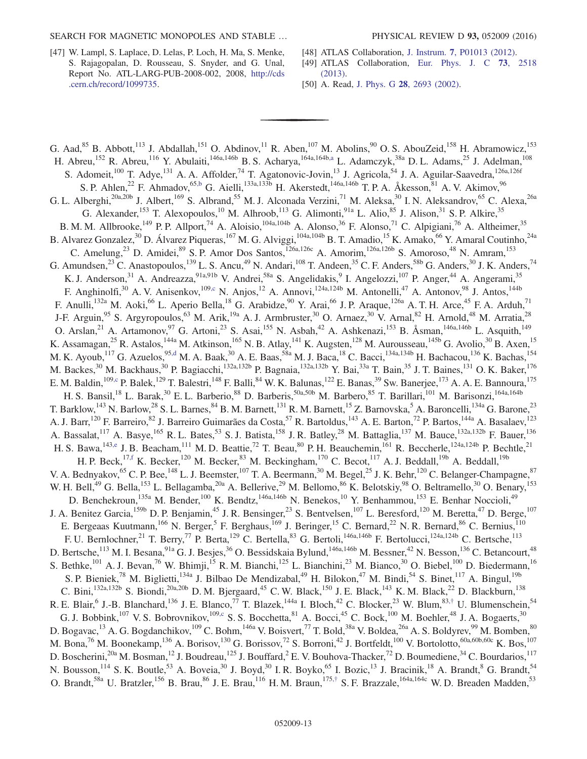- [47] W. Lampl, S. Laplace, D. Lelas, P. Loch, H. Ma, S. Menke, S. Rajagopalan, D. Rousseau, S. Snyder, and G. Unal, Report No. ATL-LARG-PUB-2008-002, 2008, [http://cds](http://cds.cern.ch/record/1099735) [.cern.ch/record/1099735.](http://cds.cern.ch/record/1099735)
- [48] ATLAS Collaboration, J. Instrum. 7[, P01013 \(2012\)](http://dx.doi.org/10.1088/1748-0221/7/01/P01013).
- [49] ATLAS Collaboration, [Eur. Phys. J. C](http://dx.doi.org/10.1140/epjc/s10052-013-2518-3) 73, 2518 [\(2013\).](http://dx.doi.org/10.1140/epjc/s10052-013-2518-3)
- [50] A. Read, J. Phys. G **28**[, 2693 \(2002\).](http://dx.doi.org/10.1088/0954-3899/28/10/313)

<span id="page-13-4"></span><span id="page-13-3"></span><span id="page-13-2"></span><span id="page-13-1"></span><span id="page-13-0"></span>G. Aad,  $^{85}$  B. Abbott,<sup>113</sup> J. Abdallah,<sup>151</sup> O. Abdinov,<sup>11</sup> R. Aben,<sup>107</sup> M. Abolins,<sup>90</sup> O. S. AbouZeid,<sup>158</sup> H. Abramowicz,<sup>153</sup> H. Abreu,<sup>152</sup> R. Abreu,<sup>116</sup> Y. Abulaiti,<sup>146a,146b</sup> B. S. Acharya,<sup>164a,164[b,a](#page-24-0)</sup> L. Adamczyk,<sup>38a</sup> D. L. Adams,<sup>25</sup> J. Adelman,<sup>108</sup> S. Adomeit,<sup>100</sup> T. Adye,<sup>131</sup> A. A. Affolder,<sup>74</sup> T. Agatonovic-Jovin,<sup>13</sup> J. Agricola,<sup>54</sup> J. A. Aguilar-Saavedra,<sup>126a,126f</sup> S. P. Ahlen,<sup>22</sup> F. Ahmadov,<sup>6[5,b](#page-24-1)</sup> G. Aielli,<sup>133a,133b</sup> H. Akerstedt,<sup>146a,146b</sup> T. P. A. Åkesson,<sup>81</sup> A. V. Akimov,<sup>96</sup> G. L. Alberghi,<sup>20a,20b</sup> J. Albert,<sup>169</sup> S. Albrand,<sup>55</sup> M. J. Alconada Verzini,<sup>71</sup> M. Aleksa,<sup>30</sup> I. N. Aleksandrov,<sup>65</sup> C. Alexa,<sup>26a</sup> G. Alexander, <sup>153</sup> T. Alexopoulos, <sup>10</sup> M. Alhroob, <sup>113</sup> G. Alimonti, <sup>91a</sup> L. Alio, <sup>85</sup> J. Alison, <sup>31</sup> S. P. Alkire, <sup>35</sup> B. M. M. Allbrooke,<sup>149</sup> P. P. Allport,<sup>74</sup> A. Aloisio,<sup>104a,104b</sup> A. Alonso,<sup>36</sup> F. Alonso,<sup>71</sup> C. Alpigiani,<sup>76</sup> A. Altheimer,<sup>35</sup> B. Alvarez Gonzalez,<sup>30</sup> D. Álvarez Piqueras,<sup>167</sup> M. G. Alviggi,<sup>104a,104b</sup> B. T. Amadio,<sup>15</sup> K. Amako,<sup>66</sup> Y. Amaral Coutinho,<sup>24a</sup> C. Amelung,<sup>23</sup> D. Amidei,<sup>89</sup> S. P. Amor Dos Santos,<sup>126a,126c</sup> A. Amorim,<sup>126a,126b</sup> S. Amoroso,<sup>48</sup> N. Amram,<sup>153</sup> G. Amundsen,<sup>23</sup> C. Anastopoulos,<sup>139</sup> L. S. Ancu,<sup>49</sup> N. Andari,<sup>108</sup> T. Andeen,<sup>35</sup> C. F. Anders,<sup>58b</sup> G. Anders,<sup>30</sup> J. K. Anders,<sup>74</sup> K. J. Anderson,<sup>31</sup> A. Andreazza,<sup>91a,91b</sup> V. Andrei,<sup>58a</sup> S. Angelidakis,<sup>9</sup> I. Angelozzi,<sup>107</sup> P. Anger,<sup>44</sup> A. Angerami,<sup>35</sup> F. Anghinolfi,<sup>30</sup> A. V. Anisenkov,<sup>109[,c](#page-24-2)</sup> N. Anjos,<sup>12</sup> A. Annovi,<sup>124a,124b</sup> M. Antonelli,<sup>47</sup> A. Antonov,<sup>98</sup> J. Antos,<sup>144b</sup> F. Anulli,<sup>132a</sup> M. Aoki,<sup>66</sup> L. Aperio Bella,<sup>18</sup> G. Arabidze,<sup>90</sup> Y. Arai,<sup>66</sup> J. P. Araque,<sup>126a</sup> A. T. H. Arce,<sup>45</sup> F. A. Arduh,<sup>71</sup> J-F. Arguin,<sup>95</sup> S. Argyropoulos,<sup>63</sup> M. Arik,<sup>19a</sup> A. J. Armbruster,<sup>30</sup> O. Arnaez,<sup>30</sup> V. Arnal,<sup>82</sup> H. Arnold,<sup>48</sup> M. Arratia,<sup>28</sup> O. Arslan,<sup>21</sup> A. Artamonov,<sup>97</sup> G. Artoni,<sup>23</sup> S. Asai,<sup>155</sup> N. Asbah,<sup>42</sup> A. Ashkenazi,<sup>153</sup> B. Åsman,<sup>146a,146b</sup> L. Asquith,<sup>149</sup> K. Assamagan,<sup>25</sup> R. Astalos,<sup>144a</sup> M. Atkinson,<sup>165</sup> N. B. Atlay,<sup>141</sup> K. Augsten,<sup>128</sup> M. Aurousseau,<sup>145b</sup> G. Avolio,<sup>30</sup> B. Axen,<sup>15</sup> M. K. Ayoub,<sup>117</sup> G. Azuelos, <sup>95[,d](#page-24-3)</sup> M. A. Baak,<sup>30</sup> A. E. Baas,<sup>58a</sup> M. J. Baca,<sup>18</sup> C. Bacci,<sup>134a,134b</sup> H. Bachacou,<sup>136</sup> K. Bachas,<sup>154</sup>, 154a,134b H. Bachacou,<sup>136</sup> K. Bachas,154 M. Backes,<sup>30</sup> M. Backhaus,<sup>30</sup> P. Bagiacchi,<sup>132a,132b</sup> P. Bagnaia,<sup>132a,132b</sup> Y. Bai,<sup>33a</sup> T. Bain,<sup>35</sup> J. T. Baines,<sup>131</sup> O. K. Baker,<sup>176</sup> E. M. Baldin, <sup>10[9,c](#page-24-2)</sup> P. Balek, <sup>129</sup> T. Balestri, <sup>148</sup> F. Balli, <sup>84</sup> W. K. Balunas, <sup>122</sup> E. Banas, <sup>39</sup> Sw. Banerjee, <sup>173</sup> A. A. E. Bannoura, <sup>175</sup> H. S. Bansil,<sup>18</sup> L. Barak,<sup>30</sup> E. L. Barberio,<sup>88</sup> D. Barberis,<sup>50a,50b</sup> M. Barbero,<sup>85</sup> T. Barillari,<sup>101</sup> M. Barisonzi,<sup>164a,164b</sup> T. Barklow,<sup>143</sup> N. Barlow,<sup>28</sup> S. L. Barnes,<sup>84</sup> B. M. Barnett,<sup>131</sup> R. M. Barnett,<sup>15</sup> Z. Barnovska,<sup>5</sup> A. Baroncelli,<sup>134a</sup> G. Barone,<sup>23</sup> A. J. Barr, <sup>120</sup> F. Barreiro, <sup>82</sup> J. Barreiro Guimarães da Costa, <sup>57</sup> R. Bartoldus, <sup>143</sup> A. E. Barton, <sup>72</sup> P. Bartos, <sup>144a</sup> A. Basalaev, <sup>123</sup> A. Bassalat,<sup>117</sup> A. Basye,<sup>165</sup> R. L. Bates,<sup>53</sup> S. J. Batista,<sup>158</sup> J. R. Batley,<sup>28</sup> M. Battaglia,<sup>137</sup> M. Bauce,<sup>132a,132b</sup> F. Bauer,<sup>136</sup> H. S. Bawa,<sup>14[3,e](#page-24-4)</sup> J. B. Beacham,<sup>111</sup> M. D. Beattie,<sup>72</sup> T. Beau,<sup>80</sup> P. H. Beauchemin,<sup>161</sup> R. Beccherle,<sup>124a,124b</sup> P. Bechtle,<sup>21</sup> H. P. Beck,<sup>1[7,f](#page-24-5)</sup> K. Becker,<sup>120</sup> M. Becker,<sup>83</sup> M. Beckingham,<sup>170</sup> C. Becot,<sup>117</sup> A. J. Beddall,<sup>19b</sup> A. Beddall,<sup>19b</sup> V. A. Bednyakov,<sup>65</sup> C. P. Bee,<sup>148</sup> L. J. Beemster,<sup>107</sup> T. A. Beermann,<sup>30</sup> M. Begel,<sup>25</sup> J. K. Behr,<sup>120</sup> C. Belanger-Champagne,<sup>87</sup> W. H. Bell,<sup>49</sup> G. Bella,<sup>153</sup> L. Bellagamba,<sup>20a</sup> A. Bellerive,<sup>29</sup> M. Bellomo,<sup>86</sup> K. Belotskiy,<sup>98</sup> O. Beltramello,<sup>30</sup> O. Benary,<sup>153</sup> D. Benchekroun,<sup>135a</sup> M. Bender,<sup>100</sup> K. Bendtz,<sup>146a,146b</sup> N. Benekos,<sup>10</sup> Y. Benhammou,<sup>153</sup> E. Benhar Noccioli,<sup>49</sup> J. A. Benitez Garcia,<sup>159b</sup> D. P. Benjamin,<sup>45</sup> J. R. Bensinger,<sup>23</sup> S. Bentvelsen,<sup>107</sup> L. Beresford,<sup>120</sup> M. Beretta,<sup>47</sup> D. Berge,<sup>107</sup> E. Bergeaas Kuutmann, <sup>166</sup> N. Berger, <sup>5</sup> F. Berghaus, <sup>169</sup> J. Beringer, <sup>15</sup> C. Bernard, <sup>22</sup> N. R. Bernard, <sup>86</sup> C. Bernius, <sup>110</sup> F. U. Bernlochner,<sup>21</sup> T. Berry,<sup>77</sup> P. Berta,<sup>129</sup> C. Bertella,<sup>83</sup> G. Bertoli,<sup>146a,146b</sup> F. Bertolucci,<sup>124a,124b</sup> C. Bertsche,<sup>113</sup> D. Bertsche,<sup>113</sup> M. I. Besana,<sup>91a</sup> G. J. Besjes,<sup>36</sup> O. Bessidskaia Bylund,<sup>146a,146b</sup> M. Bessner,<sup>42</sup> N. Besson,<sup>136</sup> C. Betancourt,<sup>48</sup> S. Bethke,<sup>101</sup> A. J. Bevan,<sup>76</sup> W. Bhimji,<sup>15</sup> R. M. Bianchi,<sup>125</sup> L. Bianchini,<sup>23</sup> M. Bianco,<sup>30</sup> O. Biebel,<sup>100</sup> D. Biedermann,<sup>16</sup> S. P. Bieniek,<sup>78</sup> M. Biglietti,<sup>134a</sup> J. Bilbao De Mendizabal,<sup>49</sup> H. Bilokon,<sup>47</sup> M. Bindi,<sup>54</sup> S. Binet,<sup>117</sup> A. Bingul,<sup>19b</sup> C. Bini,<sup>132a,132b</sup> S. Biondi,<sup>20a,20b</sup> D. M. Bjergaard,<sup>45</sup> C. W. Black,<sup>150</sup> J. E. Black,<sup>143</sup> K. M. Black,<sup>22</sup> D. Blackburn,<sup>138</sup> R. E. Blair, <sup>6</sup> J.-B. Blanchard, <sup>136</sup> J. E. Blanco, <sup>77</sup> T. Blazek, <sup>144a</sup> I. Bloch, <sup>42</sup> C. Blocker, <sup>23</sup> W. Blum, <sup>83,[†](#page-24-6)</sup> U. Blumenschein, <sup>54</sup> G. J. Bobbink,<sup>107</sup> V. S. Bobrovnikov,<sup>109[,c](#page-24-2)</sup> S. S. Bocchetta,<sup>81</sup> A. Bocci,<sup>45</sup> C. Bock,<sup>100</sup> M. Boehler,<sup>48</sup> J. A. Bogaerts,<sup>30</sup> D. Bogavac,<sup>13</sup> A. G. Bogdanchikov,<sup>109</sup> C. Bohm,<sup>146a</sup> V. Boisvert,<sup>77</sup> T. Bold,<sup>38a</sup> V. Boldea,<sup>26a</sup> A. S. Boldyrev,<sup>99</sup> M. Bomben,<sup>80</sup> M. Bona,<sup>76</sup> M. Boonekamp,<sup>136</sup> A. Borisov,<sup>130</sup> G. Borissov,<sup>72</sup> S. Borroni,<sup>42</sup> J. Bortfeldt,<sup>100</sup> V. Bortolotto,<sup>60a,60b,60c</sup> K. Bos,<sup>107</sup> D. Boscherini,<sup>20a</sup> M. Bosman,<sup>12</sup> J. Boudreau,<sup>125</sup> J. Bouffard,<sup>2</sup> E. V. Bouhova-Thacker,<sup>72</sup> D. Boumediene,<sup>34</sup> C. Bourdarios,<sup>117</sup> N. Bousson,<sup>114</sup> S. K. Boutle,<sup>53</sup> A. Boveia,<sup>30</sup> J. Boyd,<sup>30</sup> I. R. Boyko,<sup>65</sup> I. Bozic,<sup>13</sup> J. Bracinik,<sup>18</sup> A. Brandt,<sup>8</sup> G. Brandt,<sup>54</sup> O. Brandt,<sup>58a</sup> U. Bratzler,<sup>156</sup> B. Brau,<sup>86</sup> J. E. Brau,<sup>116</sup> H. M. Braun,<sup>175,[†](#page-24-6)</sup> S. F. Brazzale,<sup>164a,164c</sup> W. D. Breaden Madden,<sup>53</sup>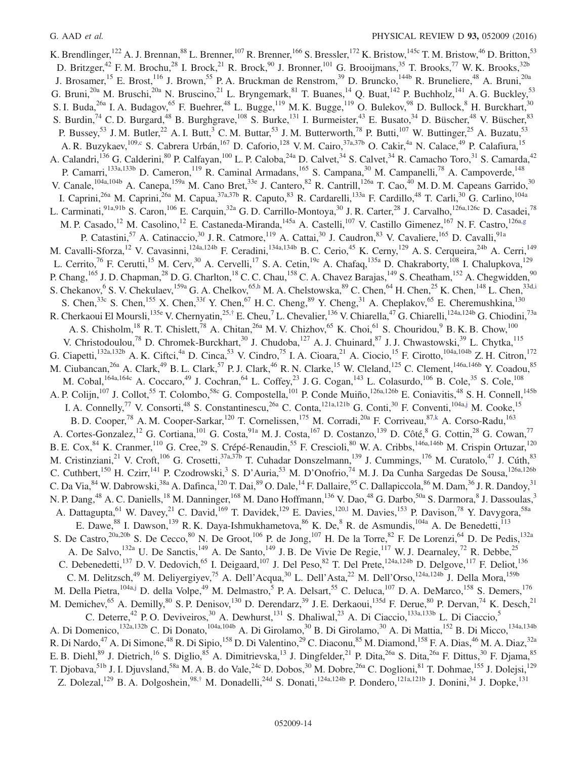<span id="page-14-3"></span><span id="page-14-2"></span><span id="page-14-1"></span><span id="page-14-0"></span>K. Brendlinger,<sup>122</sup> A. J. Brennan,<sup>88</sup> L. Brenner,<sup>107</sup> R. Brenner,<sup>166</sup> S. Bressler,<sup>172</sup> K. Bristow,<sup>145c</sup> T. M. Bristow,<sup>46</sup> D. Britton,<sup>53</sup> D. Britzger,<sup>42</sup> F. M. Brochu,<sup>28</sup> I. Brock,<sup>21</sup> R. Brock,<sup>90</sup> J. Bronner,<sup>101</sup> G. Brooijmans,<sup>35</sup> T. Brooks,<sup>77</sup> W. K. Brooks,<sup>32b</sup> J. Brosamer,<sup>15</sup> E. Brost,<sup>116</sup> J. Brown,<sup>55</sup> P. A. Bruckman de Renstrom,<sup>39</sup> D. Bruncko,<sup>144b</sup> R. Bruneliere,<sup>48</sup> A. Bruni,<sup>20a</sup> G. Bruni,<sup>20a</sup> M. Bruschi,<sup>20a</sup> N. Bruscino,<sup>21</sup> L. Bryngemark,<sup>81</sup> T. Buanes,<sup>14</sup> Q. Buat,<sup>142</sup> P. Buchholz,<sup>141</sup> A. G. Buckley,<sup>53</sup> S. I. Buda,<sup>26a</sup> I. A. Budagov,<sup>65</sup> F. Buehrer,<sup>48</sup> L. Bugge,<sup>119</sup> M. K. Bugge,<sup>119</sup> O. Bulekov,<sup>98</sup> D. Bullock,<sup>8</sup> H. Burckhart,<sup>30</sup> S. Burdin,<sup>74</sup> C. D. Burgard,<sup>48</sup> B. Burghgrave,<sup>108</sup> S. Burke,<sup>131</sup> I. Burmeister,<sup>43</sup> E. Busato,<sup>34</sup> D. Büscher,<sup>48</sup> V. Büscher,<sup>83</sup> P. Bussey,<sup>53</sup> J. M. Butler,<sup>22</sup> A. I. Butt,<sup>3</sup> C. M. Buttar,<sup>53</sup> J. M. Butterworth,<sup>78</sup> P. Butti,<sup>107</sup> W. Buttinger,<sup>25</sup> A. Buzatu,<sup>53</sup> A. R. Buzykaev, 10[9,c](#page-24-2) S. Cabrera Urbán, <sup>167</sup> D. Caforio, <sup>128</sup> V. M. Cairo, <sup>37a, 37b</sup> O. Cakir, <sup>4a</sup> N. Calace, <sup>49</sup> P. Calafiura, <sup>15</sup> A. Calandri,  $^{136}$  G. Calderini,  $^{80}$  P. Calfayan,  $^{100}$  L. P. Caloba,  $^{24a}$  D. Calvet,  $^{34}$  S. Calvet,  $^{34}$  R. Camacho Toro,  $^{31}$  S. Camarda,  $^{42}$ P. Camarri,<sup>133a,133b</sup> D. Cameron,<sup>119</sup> R. Caminal Armadans,<sup>165</sup> S. Campana,<sup>30</sup> M. Campanelli,<sup>78</sup> A. Campoverde,<sup>148</sup> V. Canale,  $^{104a,104b}$  A. Canepa,  $^{159a}$  M. Cano Bret,  $^{33e}$  J. Cantero,  $^{82}$  R. Cantrill,  $^{126a}$  T. Cao,  $^{40}$  M. D. M. Capeans Garrido,  $^{30}$ I. Caprini,<sup>26a</sup> M. Caprini,<sup>26a</sup> M. Capua,<sup>37a,37b</sup> R. Caputo,<sup>83</sup> R. Cardarelli,<sup>133a</sup> F. Cardillo,<sup>48</sup> T. Carli,<sup>30</sup> G. Carlino,<sup>104a</sup> L. Carminati,<sup>91a,91b</sup> S. Caron,<sup>106</sup> E. Carquin,<sup>32a</sup> G. D. Carrillo-Montoya,<sup>30</sup> J. R. Carter,<sup>28</sup> J. Carvalho,<sup>126a,126c</sup> D. Casadei,<sup>78</sup> M. P. Casado,<sup>12</sup> M. Casolino,<sup>12</sup> E. Castaneda-Miranda,<sup>145a</sup> A. Castelli,<sup>107</sup> V. Castillo Gimenez,<sup>167</sup> N. F. Castro,<sup>126a[,g](#page-24-7)</sup> P. Catastini,<sup>57</sup> A. Catinaccio,<sup>30</sup> J. R. Catmore,<sup>119</sup> A. Cattai,<sup>30</sup> J. Caudron,<sup>83</sup> V. Cavaliere,<sup>165</sup> D. Cavalli,<sup>91a</sup> M. Cavalli-Sforza,<sup>12</sup> V. Cavasinni,<sup>124a,124b</sup> F. Ceradini,<sup>134a,134b</sup> B. C. Cerio,<sup>45</sup> K. Cerny,<sup>129</sup> A. S. Cerqueira,<sup>24b</sup> A. Cerri,<sup>149</sup> L. Cerrito,<sup>76</sup> F. Cerutti,<sup>15</sup> M. Cerv,<sup>30</sup> A. Cervelli,<sup>17</sup> S. A. Cetin,<sup>19c</sup> A. Chafaq,<sup>135a</sup> D. Chakraborty,<sup>108</sup> I. Chalupkova,<sup>129</sup> P. Chang, <sup>165</sup> J. D. Chapman,<sup>28</sup> D. G. Charlton,<sup>18</sup> C. C. Chau, <sup>158</sup> C. A. Chavez Barajas, <sup>149</sup> S. Cheatham, <sup>152</sup> A. Chegwidden,<sup>90</sup> S. Chekanov, S. V. Chekulaev, <sup>159a</sup> G. A. Chelkov, <sup>65[,h](#page-24-8)</sup> M. A. Chelstowska, <sup>89</sup> C. Chen, <sup>64</sup> H. Chen, <sup>25</sup> K. Chen, <sup>148</sup> L. Chen,  $33d$ , S. Chen,<sup>33c</sup> S. Chen,<sup>155</sup> X. Chen,<sup>33f</sup> Y. Chen,<sup>67</sup> H. C. Cheng,<sup>89</sup> Y. Cheng,<sup>31</sup> A. Cheplakov,<sup>65</sup> E. Cheremushkina,<sup>130</sup> R. Cherkaoui El Moursli, <sup>135e</sup> V. Chernyatin,<sup>25,[†](#page-24-6)</sup> E. Cheu,<sup>7</sup> L. Chevalier, <sup>136</sup> V. Chiarella,<sup>47</sup> G. Chiarelli, <sup>124a,124b</sup> G. Chiodini,<sup>73a</sup> A. S. Chisholm,<sup>18</sup> R. T. Chislett,<sup>78</sup> A. Chitan,<sup>26a</sup> M. V. Chizhov,<sup>65</sup> K. Choi,<sup>61</sup> S. Chouridou,<sup>9</sup> B. K. B. Chow,<sup>100</sup> V. Christodoulou,<sup>78</sup> D. Chromek-Burckhart,<sup>30</sup> J. Chudoba,<sup>127</sup> A. J. Chuinard,<sup>87</sup> J. J. Chwastowski,<sup>39</sup> L. Chytka,<sup>115</sup> G. Ciapetti,<sup>132a,132b</sup> A. K. Ciftci,<sup>4a</sup> D. Cinca,<sup>53</sup> V. Cindro,<sup>75</sup> I. A. Cioara,<sup>21</sup> A. Ciocio,<sup>15</sup> F. Cirotto,<sup>104a,104b</sup> Z. H. Citron,<sup>172</sup> M. Ciubancan,<sup>26a</sup> A. Clark,<sup>49</sup> B. L. Clark,<sup>57</sup> P. J. Clark,<sup>46</sup> R. N. Clarke,<sup>15</sup> W. Cleland,<sup>125</sup> C. Clement,<sup>146a,146b</sup> Y. Coadou,<sup>85</sup> M. Cobal,<sup>164a,164c</sup> A. Coccaro,<sup>49</sup> J. Cochran,<sup>64</sup> L. Coffey,<sup>23</sup> J. G. Cogan,<sup>143</sup> L. Colasurdo,<sup>106</sup> B. Cole,<sup>35</sup> S. Cole,<sup>108</sup> A. P. Colijn,<sup>107</sup> J. Collot,<sup>55</sup> T. Colombo,<sup>58c</sup> G. Compostella,<sup>101</sup> P. Conde Muiño,<sup>126a,126b</sup> E. Coniavitis,<sup>48</sup> S. H. Connell,<sup>145b</sup> I. A. Connelly,<sup>77</sup> V. Consorti,<sup>48</sup> S. Constantinescu,<sup>26a</sup> C. Conta,<sup>121a,121b</sup> G. Conti,<sup>30</sup> F. Conventi,<sup>104[a,j](#page-24-10)</sup> M. Cooke,<sup>15</sup> B. D. Cooper,<sup>78</sup> A. M. Cooper-Sarkar,<sup>120</sup> T. Cornelissen,<sup>175</sup> M. Corradi,<sup>20a</sup> F. Corriveau,<sup>87[,k](#page-24-11)</sup> A. Corso-Radu,<sup>163</sup> A. Cortes-Gonzalez,<sup>12</sup> G. Cortiana,<sup>101</sup> G. Costa,<sup>91a</sup> M. J. Costa,<sup>167</sup> D. Costanzo,<sup>139</sup> D. Côté,<sup>8</sup> G. Cottin,<sup>28</sup> G. Cowan,<sup>77</sup> B. E. Cox, <sup>84</sup> K. Cranmer, <sup>110</sup> G. Cree, <sup>29</sup> S. Crépé-Renaudin, <sup>55</sup> F. Crescioli, <sup>80</sup> W. A. Cribbs, <sup>146a, 146b</sup> M. Crispin Ortuzar, <sup>120</sup> M. Cristinziani,<sup>21</sup> V. Croft,<sup>106</sup> G. Crosetti,<sup>37a,37b</sup> T. Cuhadar Donszelmann,<sup>139</sup> J. Cummings,<sup>176</sup> M. Curatolo,<sup>47</sup> J. Cúth,<sup>83</sup> C. Cuthbert,<sup>150</sup> H. Czirr,<sup>141</sup> P. Czodrowski,<sup>3</sup> S. D'Auria,<sup>53</sup> M. D'Onofrio,<sup>74</sup> M. J. Da Cunha Sargedas De Sousa,<sup>126a,126b</sup> C. Da Via, <sup>84</sup> W. Dabrowski, <sup>38a</sup> A. Dafinca, <sup>120</sup> T. Dai, <sup>89</sup> O. Dale, <sup>14</sup> F. Dallaire, <sup>95</sup> C. Dallapiccola, <sup>86</sup> M. Dam, <sup>36</sup> J. R. Dandoy, <sup>31</sup> N. P. Dang,<sup>48</sup> A. C. Daniells,<sup>18</sup> M. Danninger,<sup>168</sup> M. Dano Hoffmann,<sup>136</sup> V. Dao,<sup>48</sup> G. Darbo,<sup>50a</sup> S. Darmora,<sup>8</sup> J. Dassoulas,<sup>3</sup> A. Dattagupta, <sup>61</sup> W. Davey, <sup>21</sup> C. David, <sup>169</sup> T. Davidek, <sup>129</sup> E. Davies, <sup>120, 1</sup> M. Davies, <sup>153</sup> P. Davison, <sup>78</sup> Y. Davygora, <sup>58a</sup> E. Dawe, <sup>88</sup> I. Dawson, <sup>139</sup> R. K. Daya-Ishmukhametova, <sup>86</sup> K. De, <sup>8</sup> R. de Asmundis, <sup>104a</sup> A. De Benedetti, <sup>113</sup> S. De Castro,<sup>20a,20b</sup> S. De Cecco,<sup>80</sup> N. De Groot,<sup>106</sup> P. de Jong,<sup>107</sup> H. De la Torre,<sup>82</sup> F. De Lorenzi,<sup>64</sup> D. De Pedis,<sup>132a</sup> A. De Salvo,<sup>132a</sup> U. De Sanctis,<sup>149</sup> A. De Santo,<sup>149</sup> J. B. De Vivie De Regie,<sup>117</sup> W. J. Dearnaley,<sup>72</sup> R. Debbe,<sup>25</sup> C. Debenedetti,<sup>137</sup> D. V. Dedovich,<sup>65</sup> I. Deigaard,<sup>107</sup> J. Del Peso,<sup>82</sup> T. Del Prete,<sup>124a,124b</sup> D. Delgove,<sup>117</sup> F. Deliot,<sup>136</sup> C. M. Delitzsch,<sup>49</sup> M. Deliyergiyev,<sup>75</sup> A. Dell'Acqua,<sup>30</sup> L. Dell'Asta,<sup>22</sup> M. Dell'Orso,<sup>124a,124b</sup> J. Della Mora,<sup>159b</sup> M. Della Pietra, <sup>104a[,j](#page-24-10)</sup> D. della Volpe,<sup>49</sup> M. Delmastro,<sup>5</sup> P. A. Delsart,<sup>55</sup> C. Deluca, <sup>107</sup> D. A. DeMarco, <sup>158</sup> S. Demers, <sup>176</sup> M. Demichev,<sup>65</sup> A. Demilly,<sup>80</sup> S. P. Denisov,<sup>130</sup> D. Derendarz,<sup>39</sup> J. E. Derkaoui,<sup>135d</sup> F. Derue,<sup>80</sup> P. Dervan,<sup>74</sup> K. Desch,<sup>21</sup> C. Deterre,<sup>42</sup> P. O. Deviveiros,<sup>30</sup> A. Dewhurst,<sup>131</sup> S. Dhaliwal,<sup>23</sup> A. Di Ciaccio,<sup>133a,133b</sup> L. Di Ciaccio,<sup>5</sup> A. Di Domenico,<sup>132a,132b</sup> C. Di Donato,<sup>104a,104b</sup> A. Di Girolamo,<sup>30</sup> B. Di Girolamo,<sup>30</sup> A. Di Mattia,<sup>152</sup> B. Di Micco,<sup>134a,134b</sup> R. Di Nardo,<sup>47</sup> A. Di Simone,<sup>48</sup> R. Di Sipio,<sup>158</sup> D. Di Valentino,<sup>29</sup> C. Diaconu,<sup>85</sup> M. Diamond,<sup>158</sup> F. A. Dias,<sup>46</sup> M. A. Diaz,<sup>32a</sup> E. B. Diehl, <sup>89</sup> J. Dietrich, <sup>16</sup> S. Diglio, <sup>85</sup> A. Dimitrievska, <sup>13</sup> J. Dingfelder, <sup>21</sup> P. Dita, <sup>26a</sup> S. Dita, <sup>26a</sup> F. Dittus, <sup>30</sup> F. Djama, <sup>85</sup> T. Djobava, <sup>51b</sup> J. I. Djuvsland, <sup>58a</sup> M. A. B. do Vale, <sup>24c</sup> D. Dobos, <sup>30</sup> M. Dobre, <sup>26a</sup> C. Doglioni, <sup>81</sup> T. Dohmae, <sup>155</sup> J. Dolejsi, <sup>129</sup> Z. Dolezal,<sup>129</sup> B. A. Dolgoshein,<sup>98,[†](#page-24-6)</sup> M. Donadelli,<sup>24d</sup> S. Donati,<sup>124a,124b</sup> P. Dondero,<sup>121a,121b</sup> J. Donini,<sup>34</sup> J. Dopke,<sup>131</sup>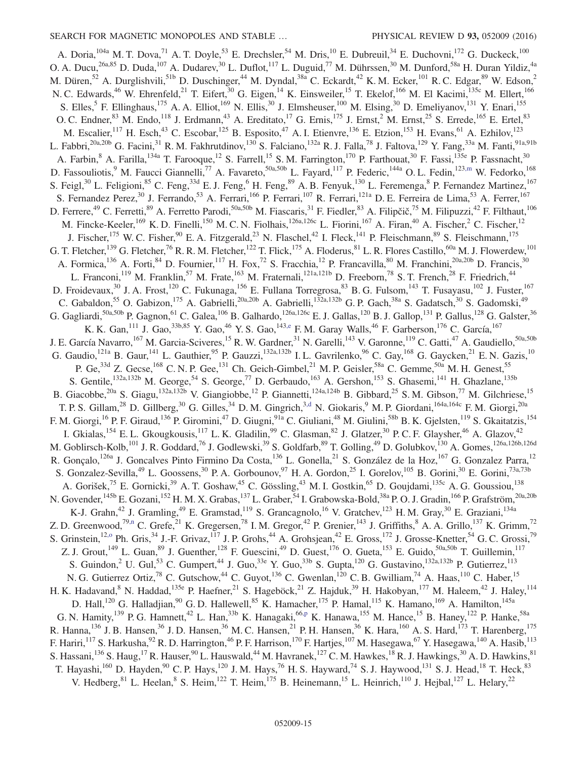<span id="page-15-5"></span><span id="page-15-4"></span><span id="page-15-3"></span><span id="page-15-2"></span><span id="page-15-1"></span><span id="page-15-0"></span>A. Doria, <sup>104a</sup> M. T. Dova,<sup>71</sup> A. T. Doyle,<sup>53</sup> E. Drechsler,<sup>54</sup> M. Dris,<sup>10</sup> E. Dubreuil,<sup>34</sup> E. Duchovni,<sup>172</sup> G. Duckeck,<sup>100</sup> O. A. Ducu,<sup>26a,85</sup> D. Duda,<sup>107</sup> A. Dudarev,<sup>30</sup> L. Duflot,<sup>117</sup> L. Duguid,<sup>77</sup> M. Dührssen,<sup>30</sup> M. Dunford,<sup>58a</sup> H. Duran Yildiz,<sup>4a</sup> M. Düren,<sup>52</sup> A. Durglishvili,<sup>51b</sup> D. Duschinger,<sup>44</sup> M. Dyndal,<sup>38a</sup> C. Eckardt,<sup>42</sup> K. M. Ecker,<sup>101</sup> R. C. Edgar,<sup>89</sup> W. Edson,<sup>2</sup> N. C. Edwards,<sup>46</sup> W. Ehrenfeld,<sup>21</sup> T. Eifert,<sup>30</sup> G. Eigen,<sup>14</sup> K. Einsweiler,<sup>15</sup> T. Ekelof,<sup>166</sup> M. El Kacimi,<sup>135c</sup> M. Ellert,<sup>166</sup> S. Elles,<sup>5</sup> F. Ellinghaus,<sup>175</sup> A. A. Elliot,<sup>169</sup> N. Ellis,<sup>30</sup> J. Elmsheuser,<sup>100</sup> M. Elsing,<sup>30</sup> D. Emeliyanov,<sup>131</sup> Y. Enari,<sup>155</sup> O. C. Endner,  $83$  M. Endo,  $118$  J. Erdmann,  $43$  A. Ereditato,  $17$  G. Ernis,  $175$  J. Ernst,  $2$  M. Ernst,  $25$  S. Errede,  $165$  E. Ertel,  $83$ M. Escalier,<sup>117</sup> H. Esch,<sup>43</sup> C. Escobar,<sup>125</sup> B. Esposito,<sup>47</sup> A. I. Etienvre,<sup>136</sup> E. Etzion,<sup>153</sup> H. Evans,<sup>61</sup> A. Ezhilov,<sup>123</sup> L. Fabbri,<sup>20a,20b</sup> G. Facini,<sup>31</sup> R. M. Fakhrutdinov,<sup>130</sup> S. Falciano,<sup>132a</sup> R. J. Falla,<sup>78</sup> J. Faltova,<sup>129</sup> Y. Fang,<sup>33a</sup> M. Fanti,<sup>91a,91b</sup> A. Farbin, A. Farilla,  $134a$  T. Farooque,  $12$  S. Farrell,  $15$  S. M. Farrington,  $170$  P. Farthouat,  $30$  F. Fassi,  $135e$  P. Fassnacht,  $30$ D. Fassouliotis, M. Faucci Giannelli,  $^{77}$  A. Favareto,  $^{50a,50b}$  L. Fayard,  $^{117}$  P. Federic,  $^{144a}$  O. L. Fedin,  $^{123,m}$  $^{123,m}$  $^{123,m}$  W. Fedorko,  $^{168}$ S. Feigl,  $30$  L. Feligioni,  $35$  C. Feng,  $33d$  E. J. Feng,  $6$  H. Feng,  $89$  A. B. Fenyuk,  $130$  L. Feremenga,  $8$  P. Fernandez Martinez,  $167$ S. Fernandez Perez,<sup>30</sup> J. Ferrando,<sup>53</sup> A. Ferrari,<sup>166</sup> P. Ferrari,<sup>107</sup> R. Ferrari,<sup>121a</sup> D. E. Ferreira de Lima,<sup>53</sup> A. Ferrer,<sup>167</sup> D. Ferrere,<sup>49</sup> C. Ferretti,<sup>89</sup> A. Ferretto Parodi,<sup>50a,50b</sup> M. Fiascaris,<sup>31</sup> F. Fiedler,<sup>83</sup> A. Filipčič,<sup>75</sup> M. Filipuzzi,<sup>42</sup> F. Filthaut,<sup>106</sup> M. Fincke-Keeler,<sup>169</sup> K. D. Finelli,<sup>150</sup> M. C. N. Fiolhais,<sup>126a,126c</sup> L. Fiorini,<sup>167</sup> A. Firan,<sup>40</sup> A. Fischer,<sup>2</sup> C. Fischer,<sup>12</sup> J. Fischer,<sup>175</sup> W. C. Fisher,<sup>90</sup> E. A. Fitzgerald,<sup>23</sup> N. Flaschel,<sup>42</sup> I. Fleck,<sup>141</sup> P. Fleischmann,<sup>89</sup> S. Fleischmann,<sup>175</sup> G. T. Fletcher,<sup>139</sup> G. Fletcher,<sup>76</sup> R. R. M. Fletcher,<sup>122</sup> T. Flick,<sup>175</sup> A. Floderus,<sup>81</sup> L. R. Flores Castillo,<sup>60a</sup> M. J. Flowerdew,<sup>101</sup> A. Formica,  $^{136}$  A. Forti,  $^{84}$  D. Fournier,  $^{117}$  H. Fox,  $^{72}$  S. Fracchia,  $^{12}$  P. Francavilla,  $^{80}$  M. Franchini,  $^{20a,20b}$  D. Francis,  $^{30}$ L. Franconi,<sup>119</sup> M. Franklin,<sup>57</sup> M. Frate,<sup>163</sup> M. Fraternali,<sup>121a,121b</sup> D. Freeborn,<sup>78</sup> S. T. French,<sup>28</sup> F. Friedrich,<sup>44</sup> D. Froidevaux,<sup>30</sup> J. A. Frost,<sup>120</sup> C. Fukunaga,<sup>156</sup> E. Fullana Torregrosa,<sup>83</sup> B. G. Fulsom,<sup>143</sup> T. Fusayasu,<sup>102</sup> J. Fuster,<sup>167</sup> C. Gabaldon,<sup>55</sup> O. Gabizon,<sup>175</sup> A. Gabrielli,<sup>20a,20b</sup> A. Gabrielli,<sup>132a,132b</sup> G. P. Gach,<sup>38a</sup> S. Gadatsch,<sup>30</sup> S. Gadomski,<sup>49</sup> G. Gagliardi,<sup>50a,50b</sup> P. Gagnon,<sup>61</sup> C. Galea,<sup>106</sup> B. Galhardo,<sup>126a,126c</sup> E. J. Gallas,<sup>120</sup> B. J. Gallop,<sup>131</sup> P. Gallus,<sup>128</sup> G. Galster,<sup>36</sup> K. K. Gan,  $^{111}$  J. Gao,  $^{33b,85}$  Y. Gao,  $^{46}$  Y. S. Gao,  $^{143,e}$  $^{143,e}$  $^{143,e}$  F. M. Garay Walls,  $^{46}$  F. Garberson,  $^{176}$  C. García,  $^{167}$ J. E. García Navarro,<sup>167</sup> M. Garcia-Sciveres,<sup>15</sup> R. W. Gardner,<sup>31</sup> N. Garelli,<sup>143</sup> V. Garonne,<sup>119</sup> C. Gatti,<sup>47</sup> A. Gaudiello,<sup>50a,50b</sup> G. Gaudio,<sup>121a</sup> B. Gaur,<sup>141</sup> L. Gauthier,<sup>95</sup> P. Gauzzi,<sup>132a,132b</sup> I. L. Gavrilenko,<sup>96</sup> C. Gay,<sup>168</sup> G. Gaycken,<sup>21</sup> E. N. Gazis,<sup>10</sup> P. Ge,<sup>33d</sup> Z. Gecse,<sup>168</sup> C. N. P. Gee,<sup>131</sup> Ch. Geich-Gimbel,<sup>21</sup> M. P. Geisler,<sup>58a</sup> C. Gemme,<sup>50a</sup> M. H. Genest,<sup>55</sup> S. Gentile,<sup>132a,132b</sup> M. George,<sup>54</sup> S. George,<sup>77</sup> D. Gerbaudo,<sup>163</sup> A. Gershon,<sup>153</sup> S. Ghasemi,<sup>141</sup> H. Ghazlane,<sup>135b</sup> B. Giacobbe,<sup>20a</sup> S. Giagu,<sup>132a,132b</sup> V. Giangiobbe,<sup>12</sup> P. Giannetti,<sup>124a,124b</sup> B. Gibbard,<sup>25</sup> S. M. Gibson,<sup>77</sup> M. Gilchriese,<sup>15</sup> T. P. S. Gillam,<sup>28</sup> D. Gillberg,<sup>30</sup> G. Gilles,<sup>34</sup> D. M. Gingrich,<sup>3[,d](#page-24-3)</sup> N. Giokaris,<sup>9</sup> M. P. Giordani,<sup>164a,164c</sup> F. M. Giorgi,<sup>20a</sup> F. M. Giorgi,<sup>16</sup> P. F. Giraud,<sup>136</sup> P. Giromini,<sup>47</sup> D. Giugni,<sup>91a</sup> C. Giuliani,<sup>48</sup> M. Giulini,<sup>58b</sup> B. K. Gjelsten,<sup>119</sup> S. Gkaitatzis,<sup>154</sup> I. Gkialas,<sup>154</sup> E. L. Gkougkousis,<sup>117</sup> L. K. Gladilin,<sup>99</sup> C. Glasman,<sup>82</sup> J. Glatzer,<sup>30</sup> P. C. F. Glaysher,<sup>46</sup> A. Glazov,<sup>42</sup> M. Goblirsch-Kolb,<sup>101</sup> J. R. Goddard,<sup>76</sup> J. Godlewski,<sup>39</sup> S. Goldfarb,<sup>89</sup> T. Golling,<sup>49</sup> D. Golubkov,<sup>130</sup> A. Gomes,<sup>126a,126b,126d</sup> R. Gonçalo,<sup>126a</sup> J. Goncalves Pinto Firmino Da Costa,<sup>136</sup> L. Gonella,<sup>21</sup> S. González de la Hoz,<sup>167</sup> G. Gonzalez Parra,<sup>12</sup> S. Gonzalez-Sevilla,<sup>49</sup> L. Goossens,<sup>30</sup> P. A. Gorbounov,<sup>97</sup> H. A. Gordon,<sup>25</sup> I. Gorelov,<sup>105</sup> B. Gorini,<sup>30</sup> E. Gorini,<sup>73a,73b</sup> A. Gorišek,<sup>75</sup> E. Gornicki,<sup>39</sup> A. T. Goshaw,<sup>45</sup> C. Gössling,<sup>43</sup> M. I. Gostkin,<sup>65</sup> D. Goujdami,<sup>135c</sup> A. G. Goussiou,<sup>138</sup> N. Govender,<sup>145b</sup> E. Gozani,<sup>152</sup> H. M. X. Grabas,<sup>137</sup> L. Graber,<sup>54</sup> I. Grabowska-Bold,<sup>38a</sup> P. O. J. Gradin,<sup>166</sup> P. Grafström,<sup>20a,20b</sup> K-J. Grahn,<sup>42</sup> J. Gramling,<sup>49</sup> E. Gramstad,<sup>119</sup> S. Grancagnolo,<sup>16</sup> V. Gratchev,<sup>123</sup> H. M. Gray,<sup>30</sup> E. Graziani,<sup>134a</sup> Z. D. Greenwood,<sup>79[,n](#page-24-14)</sup> C. Grefe,<sup>21</sup> K. Gregersen,<sup>78</sup> I. M. Gregor,<sup>42</sup> P. Grenier,<sup>143</sup> J. Griffiths,<sup>8</sup> A. A. Grillo,<sup>137</sup> K. Grimm,<sup>72</sup> S. Grinstein,<sup>12[,o](#page-24-15)</sup> Ph. Gris,<sup>34</sup> J.-F. Grivaz,<sup>117</sup> J. P. Grohs,<sup>44</sup> A. Grohsjean,<sup>42</sup> E. Gross,<sup>172</sup> J. Grosse-Knetter,<sup>54</sup> G. C. Grossi,<sup>79</sup> Z. J. Grout,<sup>149</sup> L. Guan, <sup>89</sup> J. Guenther, <sup>128</sup> F. Guescini, <sup>49</sup> D. Guest, <sup>176</sup> O. Gueta, <sup>153</sup> E. Guido, <sup>50a, 50b</sup> T. Guillemin, <sup>117</sup> S. Guindon,<sup>2</sup> U. Gul,<sup>53</sup> C. Gumpert,<sup>44</sup> J. Guo,<sup>33e</sup> Y. Guo,<sup>33b</sup> S. Gupta,<sup>120</sup> G. Gustavino,<sup>132a,132b</sup> P. Gutierrez,<sup>113</sup> N. G. Gutierrez Ortiz,<sup>78</sup> C. Gutschow,<sup>44</sup> C. Guyot,<sup>136</sup> C. Gwenlan,<sup>120</sup> C. B. Gwilliam,<sup>74</sup> A. Haas,<sup>110</sup> C. Haber,<sup>15</sup> H. K. Hadavand, <sup>8</sup> N. Haddad, <sup>135e</sup> P. Haefner, <sup>21</sup> S. Hageböck, <sup>21</sup> Z. Hajduk, <sup>39</sup> H. Hakobyan, <sup>177</sup> M. Haleem, <sup>42</sup> J. Haley, <sup>114</sup> D. Hall,<sup>120</sup> G. Halladjian,<sup>90</sup> G. D. Hallewell,<sup>85</sup> K. Hamacher,<sup>175</sup> P. Hamal,<sup>115</sup> K. Hamano,<sup>169</sup> A. Hamilton,<sup>145a</sup> G. N. Hamity,<sup>139</sup> P. G. Hamnett,<sup>42</sup> L. Han,<sup>33b</sup> K. Hanagaki,<sup>66[,p](#page-24-16)</sup> K. Hanawa,<sup>155</sup> M. Hance,<sup>15</sup> B. Haney,<sup>122</sup> P. Hanke,<sup>58a</sup> R. Hanna,<sup>136</sup> J. B. Hansen,<sup>36</sup> J. D. Hansen,<sup>36</sup> M. C. Hansen,<sup>21</sup> P. H. Hansen,<sup>36</sup> K. Hara,<sup>160</sup> A. S. Hard,<sup>173</sup> T. Harenberg,<sup>175</sup> F. Hariri,<sup>117</sup> S. Harkusha,<sup>92</sup> R. D. Harrington,<sup>46</sup> P. F. Harrison,<sup>170</sup> F. Hartjes,<sup>107</sup> M. Hasegawa,<sup>67</sup> Y. Hasegawa,<sup>140</sup> A. Hasib,<sup>113</sup> S. Hassani,<sup>136</sup> S. Haug,<sup>17</sup> R. Hauser,<sup>90</sup> L. Hauswald,<sup>44</sup> M. Havranek,<sup>127</sup> C. M. Hawkes,<sup>18</sup> R. J. Hawkings,<sup>30</sup> A. D. Hawkins,<sup>81</sup> T. Hayashi,<sup>160</sup> D. Hayden,<sup>90</sup> C. P. Hays,<sup>120</sup> J. M. Hays,<sup>76</sup> H. S. Hayward,<sup>74</sup> S. J. Haywood,<sup>131</sup> S. J. Head,<sup>18</sup> T. Heck,<sup>83</sup> V. Hedberg,  $81$  L. Heelan,  $8$  S. Heim,  $122$  T. Heim,  $175$  B. Heinemann,  $15$  L. Heinrich,  $110$  J. Hejbal,  $127$  L. Helary,  $22$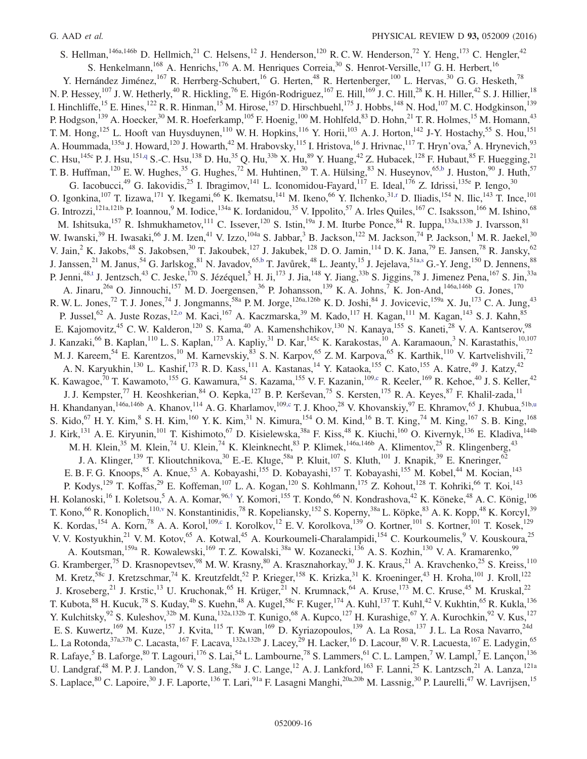<span id="page-16-4"></span><span id="page-16-3"></span><span id="page-16-2"></span><span id="page-16-1"></span><span id="page-16-0"></span>S. Hellman,<sup>146a,146b</sup> D. Hellmich,<sup>21</sup> C. Helsens,<sup>12</sup> J. Henderson,<sup>120</sup> R. C. W. Henderson,<sup>72</sup> Y. Heng,<sup>173</sup> C. Hengler,<sup>42</sup> S. Henkelmann,<sup>168</sup> A. Henrichs,<sup>176</sup> A. M. Henriques Correia,<sup>30</sup> S. Henrot-Versille,<sup>117</sup> G. H. Herbert,<sup>16</sup> Y. Hernández Jiménez,<sup>167</sup> R. Herrberg-Schubert,<sup>16</sup> G. Herten,<sup>48</sup> R. Hertenberger,<sup>100</sup> L. Hervas,<sup>30</sup> G. G. Hesketh,<sup>78</sup> N. P. Hessey,<sup>107</sup> J. W. Hetherly,<sup>40</sup> R. Hickling,<sup>76</sup> E. Higón-Rodriguez,<sup>167</sup> E. Hill,<sup>169</sup> J. C. Hill,<sup>28</sup> K. H. Hiller,<sup>42</sup> S. J. Hillier,<sup>18</sup> I. Hinchliffe,<sup>15</sup> E. Hines,<sup>122</sup> R. R. Hinman,<sup>15</sup> M. Hirose,<sup>157</sup> D. Hirschbuehl,<sup>175</sup> J. Hobbs,<sup>148</sup> N. Hod,<sup>107</sup> M. C. Hodgkinson,<sup>139</sup> P. Hodgson,<sup>139</sup> A. Hoecker,<sup>30</sup> M. R. Hoeferkamp,<sup>105</sup> F. Hoenig,<sup>100</sup> M. Hohlfeld,<sup>83</sup> D. Hohn,<sup>21</sup> T. R. Holmes,<sup>15</sup> M. Homann,<sup>43</sup> T. M. Hong,<sup>125</sup> L. Hooft van Huysduynen,<sup>110</sup> W. H. Hopkins,<sup>116</sup> Y. Horii,<sup>103</sup> A. J. Horton,<sup>142</sup> J-Y. Hostachy,<sup>55</sup> S. Hou,<sup>151</sup> A. Hoummada, <sup>135a</sup> J. Howard, <sup>120</sup> J. Howarth, <sup>42</sup> M. Hrabovsky, <sup>115</sup> I. Hristova, <sup>16</sup> J. Hrivnac, <sup>117</sup> T. Hryn'ova, <sup>5</sup> A. Hrynevich, <sup>93</sup> C. Hsu,<sup>145c</sup> P. J. Hsu,<sup>151[,q](#page-24-17)</sup> S.-C. Hsu,<sup>138</sup> D. Hu,<sup>35</sup> Q. Hu,<sup>33b</sup> X. Hu,<sup>89</sup> Y. Huang,<sup>42</sup> Z. Hubacek,<sup>128</sup> F. Hubaut,<sup>85</sup> F. Huegging,<sup>21</sup> T. B. Huffman,<sup>120</sup> E. W. Hughes,<sup>35</sup> G. Hughes,<sup>72</sup> M. Huhtinen,<sup>30</sup> T. A. Hülsing,<sup>83</sup> N. Huseynov,<sup>6[5,b](#page-24-1)</sup> J. Huston,<sup>90</sup> J. Huth,<sup>57</sup> G. Iacobucci,<sup>49</sup> G. Iakovidis,<sup>25</sup> I. Ibragimov,<sup>141</sup> L. Iconomidou-Fayard,<sup>117</sup> E. Ideal,<sup>176</sup> Z. Idrissi,<sup>135e</sup> P. Iengo,<sup>30</sup> O. Igonkina,  $^{107}$  T. Iizawa,  $^{171}$  Y. Ikegami,  $^{66}$  K. Ikematsu,  $^{141}$  M. Ikeno,  $^{66}$  Y. Ilchenko,  $^{31,r}$  $^{31,r}$  $^{31,r}$  D. Iliadis,  $^{154}$  N. Ilic,  $^{143}$  T. Ince,  $^{101}$ G. Introzzi,<sup>121a,121b</sup> P. Ioannou,<sup>9</sup> M. Iodice,<sup>134a</sup> K. Iordanidou,<sup>35</sup> V. Ippolito,<sup>57</sup> A. Irles Quiles,<sup>167</sup> C. Isaksson,<sup>166</sup> M. Ishino,<sup>68</sup> M. Ishitsuka,<sup>157</sup> R. Ishmukhametov,<sup>111</sup> C. Issever,<sup>120</sup> S. Istin,<sup>19a</sup> J. M. Iturbe Ponce,<sup>84</sup> R. Iuppa,<sup>133a,133b</sup> J. Ivarsson,<sup>81</sup> W. Iwanski,<sup>39</sup> H. Iwasaki,<sup>66</sup> J. M. Izen,<sup>41</sup> V. Izzo,<sup>104a</sup> S. Jabbar,<sup>3</sup> B. Jackson,<sup>122</sup> M. Jackson,<sup>74</sup> P. Jackson,<sup>1</sup> M. R. Jaekel,<sup>30</sup> V. Jain,  $^2$  K. Jakobs,  $^{48}$  S. Jakobsen,  $^{30}$  T. Jakoubek,  $^{127}$  J. Jakubek,  $^{128}$  D. O. Jamin,  $^{114}$  D. K. Jana,  $^{79}$  E. Jansen,  $^{78}$  R. Jansky,  $^{62}$ J. Janssen,<sup>21</sup> M. Janus,<sup>54</sup> G. Jarlskog,<sup>81</sup> N. Javadov,<sup>6[5,b](#page-24-1)</sup> T. Javůrek,<sup>48</sup> L. Jeanty,<sup>15</sup> J. Jejelava,<sup>51a[,s](#page-24-19)</sup> G.-Y. Jeng,<sup>150</sup> D. Jennens,<sup>88</sup> P. Jenni,<sup>48[,t](#page-24-20)</sup> J. Jentzsch,<sup>43</sup> C. Jeske,<sup>170</sup> S. Jézéquel,<sup>5</sup> H. Ji,<sup>173</sup> J. Jia,<sup>148</sup> Y. Jiang,<sup>33b</sup> S. Jiggins,<sup>78</sup> J. Jimenez Pena,<sup>167</sup> S. Jin,<sup>33a</sup> A. Jinaru,<sup>26a</sup> O. Jinnouchi,<sup>157</sup> M. D. Joergensen,<sup>36</sup> P. Johansson,<sup>139</sup> K. A. Johns,<sup>7</sup> K. Jon-And,<sup>146a,146b</sup> G. Jones,<sup>170</sup> R. W. L. Jones,<sup>72</sup> T. J. Jones,<sup>74</sup> J. Jongmanns,<sup>58a</sup> P. M. Jorge,<sup>126a,126b</sup> K. D. Joshi,<sup>84</sup> J. Jovicevic,<sup>159a</sup> X. Ju,<sup>173</sup> C. A. Jung,<sup>43</sup> P. Jussel,<sup>62</sup> A. Juste Rozas,<sup>12,0</sup> M. Kaci,<sup>167</sup> A. Kaczmarska,<sup>39</sup> M. Kado,<sup>117</sup> H. Kagan,<sup>111</sup> M. Kagan,<sup>143</sup> S. J. Kahn,<sup>85</sup> E. Kajomovitz,<sup>45</sup> C. W. Kalderon,<sup>120</sup> S. Kama,<sup>40</sup> A. Kamenshchikov,<sup>130</sup> N. Kanaya,<sup>155</sup> S. Kaneti,<sup>28</sup> V. A. Kantserov,<sup>98</sup> J. Kanzaki,<sup>66</sup> B. Kaplan,<sup>110</sup> L. S. Kaplan,<sup>173</sup> A. Kapliy,<sup>31</sup> D. Kar,<sup>145c</sup> K. Karakostas,<sup>10</sup> A. Karamaoun,<sup>3</sup> N. Karastathis,<sup>10,107</sup> M. J. Kareem, <sup>54</sup> E. Karentzos, <sup>10</sup> M. Karnevskiy, <sup>83</sup> S. N. Karpov, <sup>65</sup> Z. M. Karpova, <sup>65</sup> K. Karthik, <sup>110</sup> V. Kartvelishvili, <sup>72</sup> A. N. Karyukhin,<sup>130</sup> L. Kashif,<sup>173</sup> R. D. Kass,<sup>111</sup> A. Kastanas,<sup>14</sup> Y. Kataoka,<sup>155</sup> C. Kato,<sup>155</sup> A. Katre,<sup>49</sup> J. Katzy,<sup>42</sup> K. Kawagoe,<sup>70</sup> T. Kawamoto,<sup>155</sup> G. Kawamura,<sup>54</sup> S. Kazama,<sup>155</sup> V. F. Kazanin,<sup>10[9,c](#page-24-2)</sup> R. Keeler,<sup>169</sup> R. Kehoe,<sup>40</sup> J. S. Keller,<sup>42</sup> J. J. Kempster,<sup>77</sup> H. Keoshkerian,<sup>84</sup> O. Kepka,<sup>127</sup> B. P. Kerševan,<sup>75</sup> S. Kersten,<sup>175</sup> R. A. Keyes,<sup>87</sup> F. Khalil-zada,<sup>11</sup> H. Khandanyan,<sup>146a,146b</sup> A. Khanov,<sup>114</sup> A. G. Kharlamov,<sup>109[,c](#page-24-2)</sup> T. J. Khoo,<sup>28</sup> V. Khovanskiy,<sup>97</sup> E. Khramov,<sup>65</sup> J. Khubua,<sup>51b[,u](#page-24-21)</sup> S. Kido,<sup>67</sup> H. Y. Kim,<sup>8</sup> S. H. Kim,<sup>160</sup> Y. K. Kim,<sup>31</sup> N. Kimura,<sup>154</sup> O. M. Kind,<sup>16</sup> B. T. King,<sup>74</sup> M. King,<sup>167</sup> S. B. King,<sup>168</sup> J. Kirk,<sup>131</sup> A. E. Kiryunin,<sup>101</sup> T. Kishimoto,<sup>67</sup> D. Kisielewska,<sup>38a</sup> F. Kiss,<sup>48</sup> K. Kiuchi,<sup>160</sup> O. Kivernyk,<sup>136</sup> E. Kladiva,<sup>144b</sup> M. H. Klein,<sup>35</sup> M. Klein,<sup>74</sup> U. Klein,<sup>74</sup> K. Kleinknecht,<sup>83</sup> P. Klimek,<sup>146a,146b</sup> A. Klimentov,<sup>25</sup> R. Klingenberg,<sup>43</sup> J. A. Klinger,<sup>139</sup> T. Klioutchnikova,<sup>30</sup> E.-E. Kluge,<sup>58a</sup> P. Kluit,<sup>107</sup> S. Kluth,<sup>101</sup> J. Knapik,<sup>39</sup> E. Kneringer,<sup>62</sup> E. B. F. G. Knoops, <sup>85</sup> A. Knue, <sup>53</sup> A. Kobayashi, <sup>155</sup> D. Kobayashi, <sup>157</sup> T. Kobayashi, <sup>155</sup> M. Kobel, <sup>44</sup> M. Kocian, <sup>143</sup> P. Kodys,<sup>129</sup> T. Koffas,<sup>29</sup> E. Koffeman,<sup>107</sup> L. A. Kogan,<sup>120</sup> S. Kohlmann,<sup>175</sup> Z. Kohout,<sup>128</sup> T. Kohriki,<sup>66</sup> T. Koi,<sup>143</sup> H. Kolanoski,<sup>16</sup> I. Koletsou,<sup>5</sup> A. A. Komar,<sup>96,[†](#page-24-6)</sup> Y. Komori,<sup>155</sup> T. Kondo,<sup>66</sup> N. Kondrashova,<sup>42</sup> K. Köneke,<sup>48</sup> A. C. König,<sup>106</sup> T. Kono,<sup>66</sup> R. Konoplich,<sup>11[0,v](#page-24-22)</sup> N. Konstantinidis,<sup>78</sup> R. Kopeliansky,<sup>152</sup> S. Koperny,<sup>38a</sup> L. Köpke,<sup>83</sup> A. K. Kopp,<sup>48</sup> K. Korcyl,<sup>39</sup> K. Kordas,<sup>154</sup> A. Korn,<sup>78</sup> A. A. Korol,<sup>10[9,c](#page-24-2)</sup> I. Korolkov,<sup>12</sup> E. V. Korolkova,<sup>139</sup> O. Kortner,<sup>101</sup> S. Kortner,<sup>101</sup> T. Kosek,<sup>129</sup> V. V. Kostyukhin,<sup>21</sup> V. M. Kotov,<sup>65</sup> A. Kotwal,<sup>45</sup> A. Kourkoumeli-Charalampidi,<sup>154</sup> C. Kourkoumelis,<sup>9</sup> V. Kouskoura,<sup>25</sup> A. Koutsman,<sup>159a</sup> R. Kowalewski,<sup>169</sup> T. Z. Kowalski,<sup>38a</sup> W. Kozanecki,<sup>136</sup> A. S. Kozhin,<sup>130</sup> V. A. Kramarenko,<sup>99</sup> G. Kramberger,<sup>75</sup> D. Krasnopevtsev,<sup>98</sup> M. W. Krasny,<sup>80</sup> A. Krasznahorkay,<sup>30</sup> J. K. Kraus,<sup>21</sup> A. Kravchenko,<sup>25</sup> S. Kreiss,<sup>110</sup> M. Kretz,<sup>58c</sup> J. Kretzschmar,<sup>74</sup> K. Kreutzfeldt,<sup>52</sup> P. Krieger,<sup>158</sup> K. Krizka,<sup>31</sup> K. Kroeninger,<sup>43</sup> H. Kroha,<sup>101</sup> J. Kroll,<sup>122</sup> J. Kroseberg,<sup>21</sup> J. Krstic,<sup>13</sup> U. Kruchonak,<sup>65</sup> H. Krüger,<sup>21</sup> N. Krumnack,<sup>64</sup> A. Kruse,<sup>173</sup> M. C. Kruse,<sup>45</sup> M. Kruskal,<sup>22</sup> T. Kubota,  $88$  H. Kucuk,  $78$  S. Kuday,  $48$  S. Kuehn,  $48$  A. Kugel,  $58c$  F. Kuger,  $174$  A. Kuhl,  $137$  T. Kuhl,  $42$  V. Kukhtin,  $65$  R. Kukla,  $136$ Y. Kulchitsky, <sup>92</sup> S. Kuleshov, <sup>32b</sup> M. Kuna, <sup>132a,132b</sup> T. Kunigo, <sup>68</sup> A. Kupco, <sup>127</sup> H. Kurashige, <sup>67</sup> Y. A. Kurochkin, <sup>92</sup> V. Kus, <sup>127</sup> E. S. Kuwertz,<sup>169</sup> M. Kuze,<sup>157</sup> J. Kvita,<sup>115</sup> T. Kwan,<sup>169</sup> D. Kyriazopoulos,<sup>139</sup> A. La Rosa,<sup>137</sup> J. L. La Rosa Navarro,<sup>24d</sup> L. La Rotonda,<sup>37a,37b</sup> C. Lacasta,<sup>167</sup> F. Lacava,<sup>132a,132b</sup> J. Lacey,<sup>29</sup> H. Lacker,<sup>16</sup> D. Lacour,<sup>80</sup> V. R. Lacuesta,<sup>167</sup> E. Ladygin,<sup>65</sup> R. Lafaye,<sup>5</sup> B. Laforge,<sup>80</sup> T. Lagouri,<sup>176</sup> S. Lai,<sup>54</sup> L. Lambourne,<sup>78</sup> S. Lammers,<sup>61</sup> C. L. Lampen,<sup>7</sup> W. Lampl,<sup>7</sup> E. Lançon,<sup>136</sup> U. Landgraf,<sup>48</sup> M. P. J. Landon,<sup>76</sup> V. S. Lang,<sup>58a</sup> J. C. Lange,<sup>12</sup> A. J. Lankford,<sup>163</sup> F. Lanni,<sup>25</sup> K. Lantzsch,<sup>21</sup> A. Lanza,<sup>121a</sup> S. Laplace,<sup>80</sup> C. Lapoire,<sup>30</sup> J. F. Laporte,<sup>136</sup> T. Lari,<sup>91a</sup> F. Lasagni Manghi,<sup>20a,20b</sup> M. Lassnig,<sup>30</sup> P. Laurelli,<sup>47</sup> W. Lavrijsen,<sup>15</sup>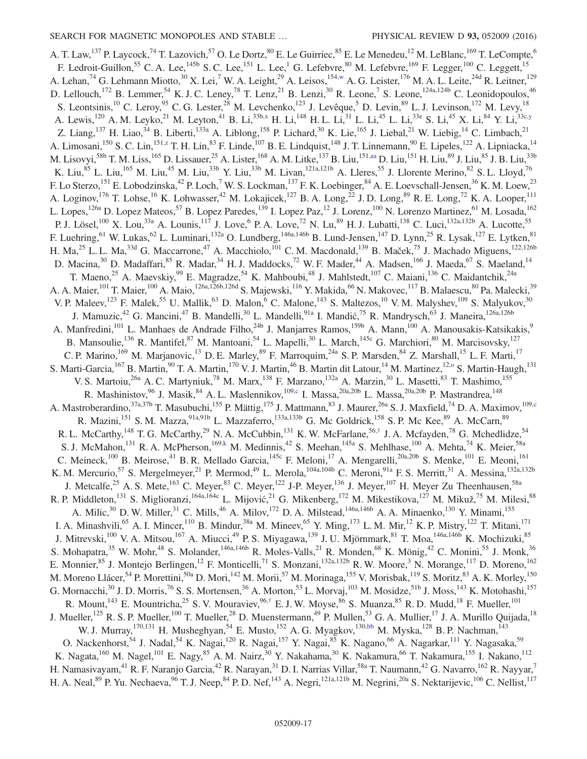<span id="page-17-2"></span><span id="page-17-1"></span><span id="page-17-0"></span>A. T. Law,<sup>137</sup> P. Laycock,<sup>74</sup> T. Lazovich,<sup>57</sup> O. Le Dortz,<sup>80</sup> E. Le Guirriec,<sup>85</sup> E. Le Menedeu,<sup>12</sup> M. LeBlanc,<sup>169</sup> T. LeCompte,<sup>6</sup> F. Ledroit-Guillon,<sup>55</sup> C. A. Lee,<sup>145b</sup> S. C. Lee,<sup>151</sup> L. Lee,<sup>1</sup> G. Lefebvre,<sup>80</sup> M. Lefebvre,<sup>169</sup> F. Legger,<sup>100</sup> C. Leggett,<sup>15</sup> A. Lehan,<sup>74</sup> G. Lehmann Miotto,<sup>30</sup> X. Lei,<sup>7</sup> W. A. Leight,<sup>29</sup> A. Leisos,<sup>154[,w](#page-24-23)</sup> A. G. Leister,<sup>176</sup> M. A. L. Leite,<sup>24d</sup> R. Leitner,<sup>129</sup> D. Lellouch,<sup>172</sup> B. Lemmer,<sup>54</sup> K. J. C. Leney,<sup>78</sup> T. Lenz,<sup>21</sup> B. Lenzi,<sup>30</sup> R. Leone,<sup>7</sup> S. Leone,<sup>124a,124b</sup> C. Leonidopoulos,<sup>46</sup> S. Leontsinis,<sup>10</sup> C. Leroy,<sup>95</sup> C. G. Lester,<sup>28</sup> M. Levchenko,<sup>123</sup> J. Levêque,<sup>5</sup> D. Levin,<sup>89</sup> L. J. Levinson,<sup>172</sup> M. Levy,<sup>18</sup> A. Lewis,<sup>120</sup> A. M. Leyko,<sup>21</sup> M. Leyton,<sup>41</sup> B. Li,<sup>33b[,x](#page-24-24)</sup> H. Li,<sup>148</sup> H. L. Li,<sup>31</sup> L. Li,<sup>45</sup> L. Li,<sup>33e</sup> S. Li,<sup>45</sup> X. Li,<sup>84</sup> Y. Li,<sup>33c[,y](#page-24-25)</sup> Z. Liang,<sup>137</sup> H. Liao,<sup>34</sup> B. Liberti,<sup>133a</sup> A. Liblong,<sup>158</sup> P. Lichard,<sup>30</sup> K. Lie,<sup>165</sup> J. Liebal,<sup>21</sup> W. Liebig,<sup>14</sup> C. Limbach,<sup>21</sup> A. Limosani,<sup>150</sup> S. C. Lin,<sup>151[,z](#page-24-26)</sup> T. H. Lin,<sup>83</sup> F. Linde,<sup>107</sup> B. E. Lindquist,<sup>148</sup> J. T. Linnemann,<sup>90</sup> E. Lipeles,<sup>122</sup> A. Lipniacka,<sup>14</sup> M. Lisovyi,  $^{58b}$  T. M. Liss,<sup>165</sup> D. Lissauer,<sup>25</sup> A. Lister,<sup>168</sup> A. M. Litke,<sup>137</sup> B. Liu,<sup>151[,aa](#page-24-27)</sup> D. Liu,<sup>151</sup> H. Liu,<sup>89</sup> J. Liu,<sup>85</sup> J. B. Liu,<sup>33b</sup> K. Liu,<sup>85</sup> L. Liu,<sup>165</sup> M. Liu,<sup>45</sup> M. Liu,<sup>33b</sup> Y. Liu,<sup>33b</sup> M. Livan,<sup>121a,121b</sup> A. Lleres,<sup>55</sup> J. Llorente Merino,<sup>82</sup> S. L. Lloyd,<sup>76</sup> F. Lo Sterzo, <sup>151</sup> E. Lobodzinska, <sup>42</sup> P. Loch, <sup>7</sup> W. S. Lockman, <sup>137</sup> F. K. Loebinger, <sup>84</sup> A. E. Loevschall-Jensen, <sup>36</sup> K. M. Loew, <sup>23</sup> A. Loginov, <sup>176</sup> T. Lohse, <sup>16</sup> K. Lohwasser, <sup>42</sup> M. Lokajicek, <sup>127</sup> B. A. Long, <sup>22</sup> J. D. Long, <sup>89</sup> R. E. Long, <sup>72</sup> K. A. Looper, <sup>111</sup> L. Lopes,<sup>126a</sup> D. Lopez Mateos,<sup>57</sup> B. Lopez Paredes,<sup>139</sup> I. Lopez Paz,<sup>12</sup> J. Lorenz,<sup>100</sup> N. Lorenzo Martinez,<sup>61</sup> M. Losada,<sup>162</sup> P. J. Lösel,<sup>100</sup> X. Lou,<sup>33a</sup> A. Lounis,<sup>117</sup> J. Love,<sup>6</sup> P. A. Love,<sup>72</sup> N. Lu,<sup>89</sup> H. J. Lubatti,<sup>138</sup> C. Luci,<sup>132a,132b</sup> A. Lucotte,<sup>55</sup> F. Luehring, <sup>61</sup> W. Lukas, <sup>62</sup> L. Luminari, <sup>132a</sup> O. Lundberg, <sup>146a, 146b</sup> B. Lund-Jensen, <sup>147</sup> D. Lynn, <sup>25</sup> R. Lysak, <sup>127</sup> E. Lytken, <sup>81</sup> H. Ma,<sup>25</sup> L. L. Ma,<sup>33d</sup> G. Maccarrone,<sup>47</sup> A. Macchiolo,<sup>101</sup> C. M. Macdonald,<sup>139</sup> B. Maček,<sup>75</sup> J. Machado Miguens,<sup>122,126b</sup> D. Macina,<sup>30</sup> D. Madaffari,<sup>85</sup> R. Madar,<sup>34</sup> H. J. Maddocks,<sup>72</sup> W. F. Mader,<sup>44</sup> A. Madsen,<sup>166</sup> J. Maeda,<sup>67</sup> S. Maeland,<sup>14</sup> T. Maeno,<sup>25</sup> A. Maevskiy,<sup>99</sup> E. Magradze,<sup>54</sup> K. Mahboubi,<sup>48</sup> J. Mahlstedt,<sup>107</sup> C. Maiani,<sup>136</sup> C. Maidantchik,<sup>24a</sup> A. A. Maier,<sup>101</sup> T. Maier,<sup>100</sup> A. Maio,<sup>126a,126b,126d</sup> S. Majewski,<sup>116</sup> Y. Makida,<sup>66</sup> N. Makovec,<sup>117</sup> B. Malaescu,<sup>80</sup> Pa. Malecki,<sup>39</sup> V. P. Maleev,<sup>123</sup> F. Malek,<sup>55</sup> U. Mallik,<sup>63</sup> D. Malon,<sup>6</sup> C. Malone,<sup>143</sup> S. Maltezos,<sup>10</sup> V. M. Malyshev,<sup>109</sup> S. Malyukov,<sup>30</sup> J. Mamuzic,<sup>42</sup> G. Mancini,<sup>47</sup> B. Mandelli,<sup>30</sup> L. Mandelli,<sup>91a</sup> I. Mandić,<sup>75</sup> R. Mandrysch,<sup>63</sup> J. Maneira,<sup>126a,126b</sup> A. Manfredini,<sup>101</sup> L. Manhaes de Andrade Filho,<sup>24b</sup> J. Manjarres Ramos,<sup>159b</sup> A. Mann,<sup>100</sup> A. Manousakis-Katsikakis,<sup>9</sup> B. Mansoulie,<sup>136</sup> R. Mantifel,<sup>87</sup> M. Mantoani,<sup>54</sup> L. Mapelli,<sup>30</sup> L. March,<sup>145c</sup> G. Marchiori,<sup>80</sup> M. Marcisovsky,<sup>127</sup> C. P. Marino,<sup>169</sup> M. Marjanovic,<sup>13</sup> D. E. Marley,<sup>89</sup> F. Marroquim,<sup>24a</sup> S. P. Marsden,<sup>84</sup> Z. Marshall,<sup>15</sup> L. F. Marti,<sup>17</sup> S. Marti-Garcia, <sup>167</sup> B. Martin, <sup>90</sup> T. A. Martin, <sup>170</sup> V. J. Martin, <sup>46</sup> B. Martin dit Latour, <sup>14</sup> M. Martinez, <sup>12,0</sup> S. Martin-Haugh, <sup>131</sup> V. S. Martoiu,<sup>26a</sup> A. C. Martyniuk,<sup>78</sup> M. Marx,<sup>138</sup> F. Marzano,<sup>132a</sup> A. Marzin,<sup>30</sup> L. Masetti,<sup>83</sup> T. Mashimo,<sup>155</sup> R. Mashinistov, <sup>96</sup> J. Masik, <sup>84</sup> A. L. Maslennikov, <sup>109, c</sup> I. Massa, <sup>20a, 20b</sup> L. Massa, <sup>20a, 20b</sup> P. Mastrandrea, <sup>148</sup> A. Mastroberardino,<sup>37a,37b</sup> T. Masubuchi,<sup>155</sup> P. Mättig,<sup>175</sup> J. Mattmann,<sup>83</sup> J. Maurer,<sup>26a</sup> S. J. Maxfield,<sup>74</sup> D. A. Maximov,<sup>10[9,c](#page-24-2)</sup> R. Mazini,<sup>151</sup> S. M. Mazza,<sup>91a,91b</sup> L. Mazzaferro,<sup>133a,133b</sup> G. Mc Goldrick,<sup>158</sup> S. P. Mc Kee,<sup>89</sup> A. McCarn,<sup>89</sup> R. L. McCarthy,  $^{148}$  T. G. McCarthy,  $^{29}$  N. A. McCubbin,  $^{131}$  K. W. McFarlane,  $^{56, \dagger}$  J. A. Mcfayden,  $^{78}$  G. Mchedlidze,  $^{54}$ S. J. McMahon,<sup>131</sup> R. A. McPherson,<sup>16[9,k](#page-24-11)</sup> M. Medinnis,<sup>42</sup> S. Meehan,<sup>145a</sup> S. Mehlhase,<sup>100</sup> A. Mehta,<sup>74</sup> K. Meier,<sup>58a</sup> C. Meineck,<sup>100</sup> B. Meirose,<sup>41</sup> B. R. Mellado Garcia,<sup>145c</sup> F. Meloni,<sup>17</sup> A. Mengarelli,<sup>20a,20b</sup> S. Menke,<sup>101</sup> E. Meoni,<sup>161</sup> K. M. Mercurio,<sup>57</sup> S. Mergelmeyer,<sup>21</sup> P. Mermod,<sup>49</sup> L. Merola,<sup>104a,104b</sup> C. Meroni,<sup>91a</sup> F. S. Merritt,<sup>31</sup> A. Messina,<sup>132a,132b</sup> J. Metcalfe,<sup>25</sup> A. S. Mete,<sup>163</sup> C. Meyer,<sup>83</sup> C. Meyer,<sup>122</sup> J-P. Meyer,<sup>136</sup> J. Meyer,<sup>107</sup> H. Meyer Zu Theenhausen,<sup>58a</sup> R. P. Middleton,  $^{131}$  S. Miglioranzi,  $^{164a,164c}$  L. Mijović,  $^{21}$  G. Mikenberg,  $^{172}$  M. Mikestikova,  $^{127}$  M. Mikuž,  $^{75}$  M. Milesi,  $^{88}$ A. Milic,<sup>30</sup> D. W. Miller,<sup>31</sup> C. Mills,<sup>46</sup> A. Milov,<sup>172</sup> D. A. Milstead,<sup>146a,146b</sup> A. A. Minaenko,<sup>130</sup> Y. Minami,<sup>155</sup> I. A. Minashvili,<sup>65</sup> A. I. Mincer,<sup>110</sup> B. Mindur,<sup>38a</sup> M. Mineev,<sup>65</sup> Y. Ming,<sup>173</sup> L. M. Mir,<sup>12</sup> K. P. Mistry,<sup>122</sup> T. Mitani,<sup>171</sup> J. Mitrevski,<sup>100</sup> V. A. Mitsou,<sup>167</sup> A. Miucci,<sup>49</sup> P. S. Miyagawa,<sup>139</sup> J. U. Mjörnmark,<sup>81</sup> T. Moa,<sup>146a,146b</sup> K. Mochizuki,<sup>85</sup> S. Mohapatra,<sup>35</sup> W. Mohr,<sup>48</sup> S. Molander,<sup>146a,146b</sup> R. Moles-Valls,<sup>21</sup> R. Monden,<sup>68</sup> K. Mönig,<sup>42</sup> C. Monini,<sup>55</sup> J. Monk,<sup>36</sup> E. Monnier, <sup>85</sup> J. Montejo Berlingen, <sup>12</sup> F. Monticelli, <sup>71</sup> S. Monzani, <sup>132a,132b</sup> R. W. Moore, <sup>3</sup> N. Morange, <sup>117</sup> D. Moreno, <sup>162</sup> M. Moreno Llácer,<sup>54</sup> P. Morettini,<sup>50a</sup> D. Mori,<sup>142</sup> M. Morii,<sup>57</sup> M. Morinaga,<sup>155</sup> V. Morisbak,<sup>119</sup> S. Moritz,<sup>83</sup> A. K. Morley,<sup>150</sup> G. Mornacchi,<sup>30</sup> J. D. Morris,<sup>76</sup> S. S. Mortensen,<sup>36</sup> A. Morton,<sup>53</sup> L. Morvaj,<sup>103</sup> M. Mosidze,<sup>51b</sup> J. Moss,<sup>143</sup> K. Motohashi,<sup>157</sup> R. Mount,<sup>143</sup> E. Mountricha,<sup>25</sup> S. V. Mouraviev,<sup>96,[†](#page-24-6)</sup> E. J. W. Moyse,<sup>86</sup> S. Muanza,<sup>85</sup> R. D. Mudd,<sup>18</sup> F. Mueller,<sup>101</sup> J. Mueller,<sup>125</sup> R. S. P. Mueller,<sup>100</sup> T. Mueller,<sup>28</sup> D. Muenstermann,<sup>49</sup> P. Mullen,<sup>53</sup> G. A. Mullier,<sup>17</sup> J. A. Murillo Quijada,<sup>18</sup> W. J. Murray,<sup>170,131</sup> H. Musheghyan,<sup>54</sup> E. Musto,<sup>152</sup> A. G. Myagkov,<sup>13[0,bb](#page-24-28)</sup> M. Myska,<sup>128</sup> B. P. Nachman,<sup>143</sup> O. Nackenhorst,<sup>54</sup> J. Nadal,<sup>54</sup> K. Nagai,<sup>120</sup> R. Nagai,<sup>157</sup> Y. Nagai,<sup>85</sup> K. Nagano,<sup>66</sup> A. Nagarkar,<sup>111</sup> Y. Nagasaka,<sup>59</sup> K. Nagata,<sup>160</sup> M. Nagel,<sup>101</sup> E. Nagy,<sup>85</sup> A. M. Nairz,<sup>30</sup> Y. Nakahama,<sup>30</sup> K. Nakamura,<sup>66</sup> T. Nakamura,<sup>155</sup> I. Nakano,<sup>112</sup> H. Namasivayam,<sup>41</sup> R. F. Naranjo Garcia,<sup>42</sup> R. Narayan,<sup>31</sup> D. I. Narrias Villar,<sup>58a</sup> T. Naumann,<sup>42</sup> G. Navarro,<sup>162</sup> R. Nayyar,<sup>7</sup> H. A. Neal,  $89\text{ P}$ . Yu. Nechaeva,  $96\text{ T}$ . J. Neep,  $84\text{ P}$ . D. Nef,  $^{143}$  A. Negri,  $^{121a,121b}$  M. Negrini,  $^{20a}$  S. Nektarijevic,  $^{106}$  C. Nellist,  $^{117}$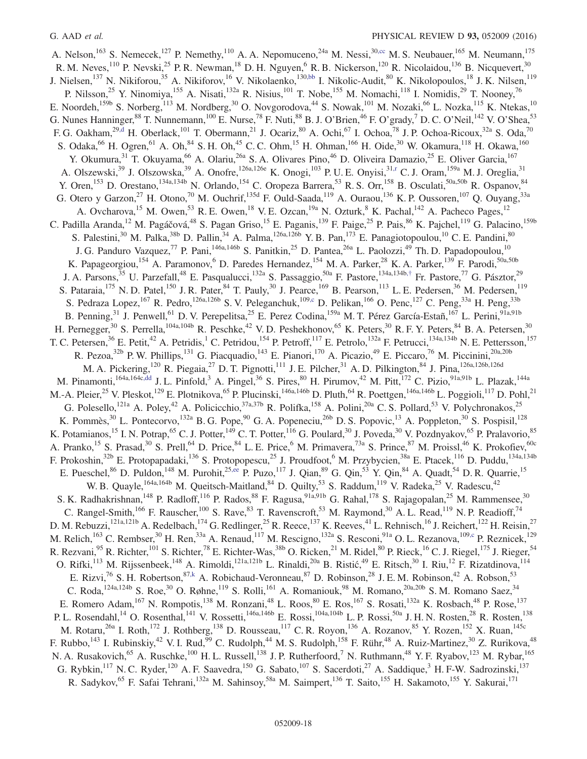<span id="page-18-1"></span><span id="page-18-0"></span>A. Nelson,<sup>163</sup> S. Nemecek,<sup>127</sup> P. Nemethy,<sup>110</sup> A. A. Nepomuceno,<sup>24a</sup> M. Nessi,<sup>3[0,cc](#page-24-29)</sup> M. S. Neubauer,<sup>165</sup> M. Neumann,<sup>175</sup> R. M. Neves,  $^{110}$  P. Nevski,  $^{25}$  P. R. Newman,  $^{18}$  D. H. Nguyen,  $^{6}$  R. B. Nickerson,  $^{120}$  R. Nicolaidou,  $^{136}$  B. Nicquevert,  $^{30}$ J. Nielsen,<sup>137</sup> N. Nikiforou,<sup>35</sup> A. Nikiforov,<sup>16</sup> V. Nikolaenko,<sup>13[0,bb](#page-24-28)</sup> I. Nikolic-Audit,<sup>80</sup> K. Nikolopoulos,<sup>18</sup> J. K. Nilsen,<sup>119</sup> P. Nilsson,<sup>25</sup> Y. Ninomiya,<sup>155</sup> A. Nisati,<sup>132a</sup> R. Nisius,<sup>101</sup> T. Nobe,<sup>155</sup> M. Nomachi,<sup>118</sup> I. Nomidis,<sup>29</sup> T. Nooney,<sup>76</sup> E. Noordeh,<sup>159b</sup> S. Norberg,<sup>113</sup> M. Nordberg,<sup>30</sup> O. Novgorodova,<sup>44</sup> S. Nowak,<sup>101</sup> M. Nozaki,<sup>66</sup> L. Nozka,<sup>115</sup> K. Ntekas,<sup>10</sup> G. Nunes Hanninger,  $88$  T. Nunnemann,  $^{100}$  E. Nurse,  $^{78}$  F. Nuti,  $88$  B. J. O'Brien,  $^{46}$  F. O'grady,  $^{7}$  D. C. O'Neil,  $^{142}$  V. O'Shea,  $^{53}$ F. G. Oakham,  $^{29, d}$  H. Oberlack,  $^{101}$  T. Obermann,  $^{21}$  J. Ocariz,  $^{80}$  A. Ochi,  $^{67}$  I. Ochoa,  $^{78}$  J. P. Ochoa-Ricoux,  $^{32a}$  S. Oda,  $^{70}$ S. Odaka,<sup>66</sup> H. Ogren,<sup>61</sup> A. Oh,<sup>84</sup> S. H. Oh,<sup>45</sup> C. C. Ohm,<sup>15</sup> H. Ohman,<sup>166</sup> H. Oide,<sup>30</sup> W. Okamura,<sup>118</sup> H. Okawa,<sup>160</sup> Y. Okumura,<sup>31</sup> T. Okuyama,<sup>66</sup> A. Olariu,<sup>26a</sup> S. A. Olivares Pino,<sup>46</sup> D. Oliveira Damazio,<sup>25</sup> E. Oliver Garcia,<sup>167</sup> A. Olszewski,<sup>39</sup> J. Olszowska,<sup>39</sup> A. Onofre,<sup>126a,126e</sup> K. Onogi,<sup>103</sup> P. U. E. Onyisi,<sup>3[1,r](#page-24-18)</sup> C. J. Oram,<sup>159a</sup> M. J. Oreglia,<sup>31</sup> Y. Oren,<sup>153</sup> D. Orestano,<sup>134a,134b</sup> N. Orlando,<sup>154</sup> C. Oropeza Barrera,<sup>53</sup> R. S. Orr,<sup>158</sup> B. Osculati,<sup>50a,50b</sup> R. Ospanov,<sup>84</sup> G. Otero y Garzon,<sup>27</sup> H. Otono,<sup>70</sup> M. Ouchrif,<sup>135d</sup> F. Ould-Saada,<sup>119</sup> A. Ouraou,<sup>136</sup> K. P. Oussoren,<sup>107</sup> Q. Ouyang,<sup>33a</sup> A. Ovcharova,<sup>15</sup> M. Owen,<sup>53</sup> R. E. Owen,<sup>18</sup> V. E. Ozcan,<sup>19a</sup> N. Ozturk,<sup>8</sup> K. Pachal,<sup>142</sup> A. Pacheco Pages,<sup>12</sup> C. Padilla Aranda,<sup>12</sup> M. Pagáčová,<sup>48</sup> S. Pagan Griso,<sup>15</sup> E. Paganis,<sup>139</sup> F. Paige,<sup>25</sup> P. Pais,<sup>86</sup> K. Pajchel,<sup>119</sup> G. Palacino,<sup>159b</sup> S. Palestini,<sup>30</sup> M. Palka,<sup>38b</sup> D. Pallin,<sup>34</sup> A. Palma,<sup>126a,126b</sup> Y. B. Pan,<sup>173</sup> E. Panagiotopoulou,<sup>10</sup> C. E. Pandini,<sup>80</sup> J. G. Panduro Vazquez,<sup>77</sup> P. Pani, <sup>146a,146b</sup> S. Panitkin, <sup>25</sup> D. Pantea, <sup>26a</sup> L. Paolozzi, <sup>49</sup> Th. D. Papadopoulou, <sup>10</sup> K. Papageorgiou,<sup>154</sup> A. Paramonov,<sup>6</sup> D. Paredes Hernandez,<sup>154</sup> M. A. Parker,<sup>28</sup> K. A. Parker,<sup>139</sup> F. Parodi,<sup>50a,50b</sup> J. A. Parsons,<sup>35</sup> U. Parzefall,<sup>48</sup> E. Pasqualucci,<sup>132a</sup> S. Passaggio,<sup>50a</sup> F. Pastore,<sup>134a,134b,[†](#page-24-6)</sup> Fr. Pastore,<sup>77</sup> G. Pásztor,<sup>29</sup> S. Pataraia,<sup>175</sup> N. D. Patel,<sup>150</sup> J. R. Pater,<sup>84</sup> T. Pauly,<sup>30</sup> J. Pearce,<sup>169</sup> B. Pearson,<sup>113</sup> L. E. Pedersen,<sup>36</sup> M. Pedersen,<sup>119</sup> S. Pedraza Lopez,<sup>167</sup> R. Pedro,<sup>126a,126b</sup> S. V. Peleganchuk,<sup>10[9,c](#page-24-2)</sup> D. Pelikan,<sup>166</sup> O. Penc,<sup>127</sup> C. Peng,<sup>33a</sup> H. Peng,<sup>33b</sup> B. Penning,<sup>31</sup> J. Penwell,<sup>61</sup> D. V. Perepelitsa,<sup>25</sup> E. Perez Codina,<sup>159a</sup> M. T. Pérez García-Estañ,<sup>167</sup> L. Perini,<sup>91a,91b</sup> H. Pernegger,<sup>30</sup> S. Perrella,<sup>104a,104b</sup> R. Peschke,<sup>42</sup> V.D. Peshekhonov,<sup>65</sup> K. Peters,<sup>30</sup> R. F. Y. Peters,<sup>84</sup> B. A. Petersen,<sup>30</sup> T. C. Petersen,<sup>36</sup> E. Petit,<sup>42</sup> A. Petridis,<sup>1</sup> C. Petridou,<sup>154</sup> P. Petroff,<sup>117</sup> E. Petrolo,<sup>132a</sup> F. Petrucci,<sup>134a,134b</sup> N. E. Pettersson,<sup>157</sup> R. Pezoa,  $32b$  P. W. Phillips,  $131$  G. Piacquadio,  $143$  E. Pianori,  $170$  A. Picazio,  $49$  E. Piccaro,  $76$  M. Piccinini,  $20a,20b$ M. A. Pickering,<sup>120</sup> R. Piegaia,<sup>27</sup> D. T. Pignotti,<sup>111</sup> J. E. Pilcher,<sup>31</sup> A. D. Pilkington,<sup>84</sup> J. Pina,<sup>126a,126b,126d</sup> M. Pinamonti,<sup>164a,164[c,dd](#page-24-30)</sup> J. L. Pinfold,<sup>3</sup> A. Pingel,<sup>36</sup> S. Pires,<sup>80</sup> H. Pirumov,<sup>42</sup> M. Pitt,<sup>172</sup> C. Pizio,<sup>91a,91b</sup> L. Plazak,<sup>144a</sup> M.-A. Pleier,<sup>25</sup> V. Pleskot,<sup>129</sup> E. Plotnikova,<sup>65</sup> P. Plucinski,<sup>146a,146b</sup> D. Pluth,<sup>64</sup> R. Poettgen,<sup>146a,146b</sup> L. Poggioli,<sup>117</sup> D. Pohl,<sup>21</sup> G. Polesello,<sup>121a</sup> A. Poley,<sup>42</sup> A. Policicchio,<sup>37a,37b</sup> R. Polifka,<sup>158</sup> A. Polini,<sup>20a</sup> C. S. Pollard,<sup>53</sup> V. Polychronakos,<sup>25</sup> K. Pommès, $30$  L. Pontecorvo,  $132a$  B. G. Pope, $90$  G. A. Popeneciu,  $26b$  D. S. Popovic,  $13$  A. Poppleton,  $30$  S. Pospisil,  $128$ K. Potamianos,<sup>15</sup> I. N. Potrap,<sup>65</sup> C. J. Potter,<sup>149</sup> C. T. Potter,<sup>116</sup> G. Poulard,<sup>30</sup> J. Poveda,<sup>30</sup> V. Pozdnyakov,<sup>65</sup> P. Pralavorio,<sup>85</sup> A. Pranko,<sup>15</sup> S. Prasad,<sup>30</sup> S. Prell,<sup>64</sup> D. Price,<sup>84</sup> L. E. Price,<sup>6</sup> M. Primavera,<sup>73a</sup> S. Prince,<sup>87</sup> M. Proissl,<sup>46</sup> K. Prokofiev,<sup>60c</sup> F. Prokoshin,<sup>32b</sup> E. Protopapadaki,<sup>136</sup> S. Protopopescu,<sup>25</sup> J. Proudfoot,<sup>6</sup> M. Przybycien,<sup>38a</sup> E. Ptacek,<sup>116</sup> D. Puddu,<sup>134a,134b</sup> E. Pueschel,<sup>86</sup> D. Puldon,<sup>148</sup> M. Purohit,<sup>25[,ee](#page-24-31)</sup> P. Puzo,<sup>117</sup> J. Qian,<sup>89</sup> G. Qin,<sup>53</sup> Y. Qin,<sup>84</sup> A. Quadt,<sup>54</sup> D. R. Quarrie,<sup>15</sup> W. B. Quayle,<sup>164a,164b</sup> M. Queitsch-Maitland,  $84$  D. Quilty,  $53$  S. Raddum,  $119$  V. Radeka,  $25$  V. Radescu,  $42$ S. K. Radhakrishnan, <sup>148</sup> P. Radloff, <sup>116</sup> P. Rados, <sup>88</sup> F. Ragusa, <sup>91a, 91b</sup> G. Rahal, <sup>178</sup> S. Rajagopalan, <sup>25</sup> M. Rammensee, <sup>30</sup> C. Rangel-Smith,<sup>166</sup> F. Rauscher,<sup>100</sup> S. Rave,<sup>83</sup> T. Ravenscroft,<sup>53</sup> M. Raymond,<sup>30</sup> A. L. Read,<sup>119</sup> N. P. Readioff,<sup>74</sup> D. M. Rebuzzi,<sup>121a,121b</sup> A. Redelbach,<sup>174</sup> G. Redlinger,<sup>25</sup> R. Reece,<sup>137</sup> K. Reeves,<sup>41</sup> L. Rehnisch,<sup>16</sup> J. Reichert,<sup>122</sup> H. Reisin,<sup>27</sup> M. Relich,<sup>163</sup> C. Rembser,<sup>30</sup> H. Ren,<sup>33a</sup> A. Renaud,<sup>117</sup> M. Rescigno,<sup>132a</sup> S. Resconi,<sup>91a</sup> O. L. Rezanova,<sup>10[9,c](#page-24-2)</sup> P. Reznicek,<sup>129</sup> R. Rezvani, <sup>95</sup> R. Richter, <sup>101</sup> S. Richter, <sup>78</sup> E. Richter-Was, <sup>38b</sup> O. Ricken, <sup>21</sup> M. Ridel, <sup>80</sup> P. Rieck, <sup>16</sup> C. J. Riegel, <sup>175</sup> J. Rieger, <sup>54</sup> O. Rifki,  $^{113}$  M. Rijssenbeek,  $^{148}$  A. Rimoldi,  $^{121a,121b}$  L. Rinaldi,  $^{20a}$  B. Ristić,  $^{49}$  E. Ritsch,  $^{30}$  I. Riu,  $^{12}$  F. Rizatdinova,  $^{114}$ E. Rizvi,<sup>76</sup> S. H. Robertson,<sup>8[7,k](#page-24-11)</sup> A. Robichaud-Veronneau,<sup>87</sup> D. Robinson,<sup>28</sup> J. E. M. Robinson,<sup>42</sup> A. Robson,<sup>53</sup> C. Roda,<sup>124a,124b</sup> S. Roe,<sup>30</sup> O. Røhne,<sup>119</sup> S. Rolli,<sup>161</sup> A. Romaniouk,<sup>98</sup> M. Romano,<sup>20a,20b</sup> S. M. Romano Saez,<sup>34</sup> E. Romero Adam,<sup>167</sup> N. Rompotis,<sup>138</sup> M. Ronzani,<sup>48</sup> L. Roos,<sup>80</sup> E. Ros,<sup>167</sup> S. Rosati,<sup>132a</sup> K. Rosbach,<sup>48</sup> P. Rose,<sup>137</sup> P. L. Rosendahl,<sup>14</sup> O. Rosenthal,<sup>141</sup> V. Rossetti,<sup>146a,146b</sup> E. Rossi,<sup>104a,104b</sup> L. P. Rossi,<sup>50a</sup> J. H. N. Rosten,<sup>28</sup> R. Rosten,<sup>138</sup> M. Rotaru,<sup>26a</sup> I. Roth,<sup>172</sup> J. Rothberg,<sup>138</sup> D. Rousseau,<sup>117</sup> C. R. Royon,<sup>136</sup> A. Rozanov,<sup>85</sup> Y. Rozen,<sup>152</sup> X. Ruan,<sup>145c</sup> F. Rubbo,<sup>143</sup> I. Rubinskiy,<sup>42</sup> V. I. Rud,<sup>99</sup> C. Rudolph,<sup>44</sup> M. S. Rudolph,<sup>158</sup> F. Rühr,<sup>48</sup> A. Ruiz-Martinez,<sup>30</sup> Z. Rurikova,<sup>48</sup> N. A. Rusakovich,<sup>65</sup> A. Ruschke,<sup>100</sup> H. L. Russell,<sup>138</sup> J. P. Rutherfoord,<sup>7</sup> N. Ruthmann,<sup>48</sup> Y. F. Ryabov,<sup>123</sup> M. Rybar,<sup>165</sup> G. Rybkin,<sup>117</sup> N. C. Ryder,<sup>120</sup> A. F. Saavedra,<sup>150</sup> G. Sabato,<sup>107</sup> S. Sacerdoti,<sup>27</sup> A. Saddique,<sup>3</sup> H. F-W. Sadrozinski,<sup>137</sup> R. Sadykov, <sup>65</sup> F. Safai Tehrani, <sup>132a</sup> M. Sahinsov, <sup>58a</sup> M. Saimpert, <sup>136</sup> T. Saito, <sup>155</sup> H. Sakamoto, <sup>155</sup> Y. Sakurai, <sup>171</sup>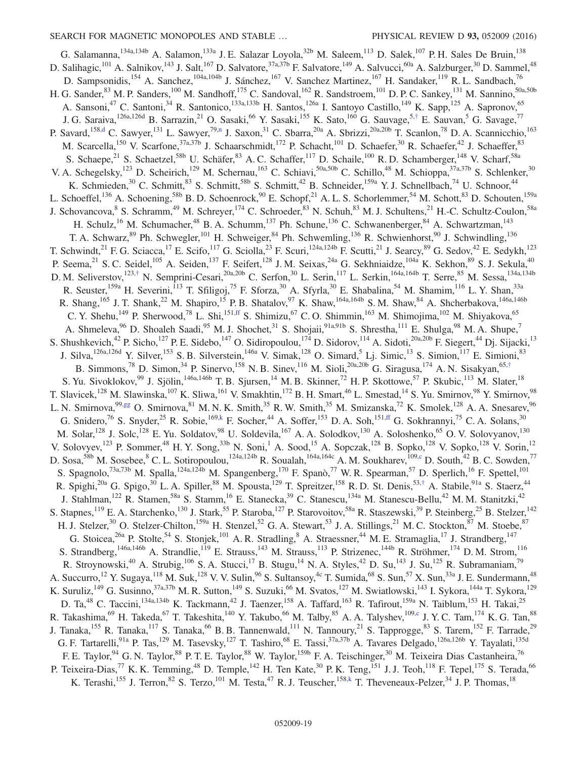<span id="page-19-2"></span><span id="page-19-1"></span><span id="page-19-0"></span>G. Salamanna, <sup>134a, 134b</sup> A. Salamon, <sup>133a</sup> J. E. Salazar Loyola, <sup>32b</sup> M. Saleem, <sup>113</sup> D. Salek, <sup>107</sup> P. H. Sales De Bruin, <sup>138</sup> D. Salihagic,<sup>101</sup> A. Salnikov,<sup>143</sup> J. Salt,<sup>167</sup> D. Salvatore,<sup>37a,37b</sup> F. Salvatore,<sup>149</sup> A. Salvucci,<sup>60a</sup> A. Salzburger,<sup>30</sup> D. Sammel,<sup>48</sup> D. Sampsonidis,<sup>154</sup> A. Sanchez,<sup>104a,104b</sup> J. Sánchez,<sup>167</sup> V. Sanchez Martinez,<sup>167</sup> H. Sandaker,<sup>119</sup> R. L. Sandbach,<sup>76</sup> H. G. Sander, <sup>83</sup> M. P. Sanders,<sup>100</sup> M. Sandhoff,<sup>175</sup> C. Sandoval,<sup>162</sup> R. Sandstroem,<sup>101</sup> D. P. C. Sankey,<sup>131</sup> M. Sannino,<sup>50a,50b</sup> A. Sansoni,<sup>47</sup> C. Santoni,<sup>34</sup> R. Santonico,<sup>133a,133b</sup> H. Santos,<sup>126a</sup> I. Santoyo Castillo,<sup>149</sup> K. Sapp,<sup>125</sup> A. Sapronov,<sup>65</sup> J. G. Saraiva,  $^{126a,126d}$  B. Sarrazin,  $^{21}$  O. Sasaki,  $^{66}$  Y. Sasaki,  $^{155}$  K. Sato,  $^{160}$  G. Sauvage,  $^{5, \dagger}$  E. Sauvan,  $^5$  G. Savage,  $^{77}$ P. Savard,<sup>15[8,d](#page-24-3)</sup> C. Sawyer,<sup>131</sup> L. Sawyer,<sup>7[9,n](#page-24-14)</sup> J. Saxon,<sup>31</sup> C. Sbarra,<sup>20a</sup> A. Sbrizzi,<sup>20a,20b</sup> T. Scanlon,<sup>78</sup> D. A. Scannicchio,<sup>163</sup> M. Scarcella,<sup>150</sup> V. Scarfone,<sup>37a,37b</sup> J. Schaarschmidt,<sup>172</sup> P. Schacht,<sup>101</sup> D. Schaefer,<sup>30</sup> R. Schaefer,<sup>42</sup> J. Schaeffer,<sup>83</sup> S. Schaepe,<sup>21</sup> S. Schaetzel,<sup>58b</sup> U. Schäfer,<sup>83</sup> A. C. Schaffer,<sup>117</sup> D. Schaile,<sup>100</sup> R. D. Schamberger,<sup>148</sup> V. Scharf,<sup>58a</sup> V. A. Schegelsky,<sup>123</sup> D. Scheirich,<sup>129</sup> M. Schernau,<sup>163</sup> C. Schiavi,<sup>50a,50b</sup> C. Schillo,<sup>48</sup> M. Schioppa,<sup>37a,37b</sup> S. Schlenker,<sup>30</sup> K. Schmieden,<sup>30</sup> C. Schmitt,<sup>83</sup> S. Schmitt,<sup>58b</sup> S. Schmitt,<sup>42</sup> B. Schneider,<sup>159a</sup> Y. J. Schnellbach,<sup>74</sup> U. Schnoor,<sup>44</sup> L. Schoeffel,<sup>136</sup> A. Schoening,<sup>58b</sup> B. D. Schoenrock,<sup>90</sup> E. Schopf,<sup>21</sup> A. L. S. Schorlemmer,<sup>54</sup> M. Schott,<sup>83</sup> D. Schouten,<sup>159a</sup> J. Schovancova, <sup>8</sup> S. Schramm, <sup>49</sup> M. Schreyer, <sup>174</sup> C. Schroeder, <sup>83</sup> N. Schuh, <sup>83</sup> M. J. Schultens, <sup>21</sup> H.-C. Schultz-Coulon, <sup>58a</sup> H. Schulz,<sup>16</sup> M. Schumacher,<sup>48</sup> B. A. Schumm,<sup>137</sup> Ph. Schune,<sup>136</sup> C. Schwanenberger,<sup>84</sup> A. Schwartzman,<sup>143</sup> T. A. Schwarz, <sup>89</sup> Ph. Schwegler,<sup>101</sup> H. Schweiger, <sup>84</sup> Ph. Schwemling,<sup>136</sup> R. Schwienhorst, <sup>90</sup> J. Schwindling,<sup>136</sup> T. Schwindt,<sup>21</sup> F. G. Sciacca,<sup>17</sup> E. Scifo,<sup>117</sup> G. Sciolla,<sup>23</sup> F. Scuri,<sup>124a,124b</sup> F. Scutti,<sup>21</sup> J. Searcy,<sup>89</sup> G. Sedov,<sup>42</sup> E. Sedykh,<sup>123</sup> P. Seema,<sup>21</sup> S. C. Seidel,<sup>105</sup> A. Seiden,<sup>137</sup> F. Seifert,<sup>128</sup> J. M. Seixas,<sup>24a</sup> G. Sekhniaidze,<sup>104a</sup> K. Sekhon,<sup>89</sup> S. J. Sekula,<sup>40</sup> D. M. Seliverstov,<sup>123,[†](#page-24-6)</sup> N. Semprini-Cesari,<sup>20a,20b</sup> C. Serfon,<sup>30</sup> L. Serin,<sup>117</sup> L. Serkin,<sup>164a,164b</sup> T. Serre,<sup>85</sup> M. Sessa,<sup>134a,134b</sup> R. Seuster,<sup>159a</sup> H. Severini,<sup>113</sup> T. Sfiligoj,<sup>75</sup> F. Sforza,<sup>30</sup> A. Sfyrla,<sup>30</sup> E. Shabalina,<sup>54</sup> M. Shamim,<sup>116</sup> L. Y. Shan,<sup>33a</sup> R. Shang,<sup>165</sup> J. T. Shank,<sup>22</sup> M. Shapiro,<sup>15</sup> P. B. Shatalov,<sup>97</sup> K. Shaw,<sup>164a,164b</sup> S. M. Shaw,<sup>84</sup> A. Shcherbakova,<sup>146a,146b</sup> C. Y. Shehu,<sup>149</sup> P. Sherwood,<sup>78</sup> L. Shi,<sup>15[1,ff](#page-24-32)</sup> S. Shimizu,<sup>67</sup> C. O. Shimmin,<sup>163</sup> M. Shimojima,<sup>102</sup> M. Shiyakova,<sup>65</sup> A. Shmeleva,<sup>96</sup> D. Shoaleh Saadi,<sup>95</sup> M. J. Shochet,<sup>31</sup> S. Shojaii,<sup>91a,91b</sup> S. Shrestha,<sup>111</sup> E. Shulga,<sup>98</sup> M. A. Shupe,<sup>7</sup> S. Shushkevich,<sup>42</sup> P. Sicho,<sup>127</sup> P. E. Sidebo,<sup>147</sup> O. Sidiropoulou,<sup>174</sup> D. Sidorov,<sup>114</sup> A. Sidoti,<sup>20a,20b</sup> F. Siegert,<sup>44</sup> Dj. Sijacki,<sup>13</sup> J. Silva,<sup>126a,126d</sup> Y. Silver,<sup>153</sup> S. B. Silverstein,<sup>146a</sup> V. Simak,<sup>128</sup> O. Simard,<sup>5</sup> Lj. Simic,<sup>13</sup> S. Simion,<sup>117</sup> E. Simioni,<sup>83</sup> B. Simmons,<sup>78</sup> D. Simon,<sup>34</sup> P. Sinervo,<sup>158</sup> N. B. Sinev,<sup>116</sup> M. Sioli,<sup>20a,20b</sup> G. Siragusa,<sup>174</sup> A. N. Sisakyan,<sup>65,[†](#page-24-6)</sup> S. Yu. Sivoklokov,<sup>99</sup> J. Sjölin,<sup>146a,146b</sup> T. B. Sjursen,<sup>14</sup> M. B. Skinner,<sup>72</sup> H. P. Skottowe,<sup>57</sup> P. Skubic,<sup>113</sup> M. Slater,<sup>18</sup> T. Slavicek,<sup>128</sup> M. Slawinska,<sup>107</sup> K. Sliwa,<sup>161</sup> V. Smakhtin,<sup>172</sup> B. H. Smart,<sup>46</sup> L. Smestad,<sup>14</sup> S. Yu. Smirnov,<sup>98</sup> Y. Smirnov,<sup>98</sup> L. N. Smirnova,<sup>9[9,gg](#page-24-33)</sup> O. Smirnova,<sup>81</sup> M. N. K. Smith,<sup>35</sup> R. W. Smith,<sup>35</sup> M. Smizanska,<sup>72</sup> K. Smolek,<sup>128</sup> A. A. Snesarev,<sup>96</sup> G. Snidero,<sup>76</sup> S. Snyder,<sup>25</sup> R. Sobie,<sup>16[9,k](#page-24-11)</sup> F. Socher,<sup>44</sup> A. Soffer,<sup>153</sup> D. A. Soh,<sup>15[1,ff](#page-24-32)</sup> G. Sokhrannyi,<sup>75</sup> C. A. Solans,<sup>30</sup> M. Solar,<sup>128</sup> J. Solc,<sup>128</sup> E. Yu. Soldatov,<sup>98</sup> U. Soldevila,<sup>167</sup> A. A. Solodkov,<sup>130</sup> A. Soloshenko,<sup>65</sup> O. V. Solovyanov,<sup>130</sup> V. Solovyev,<sup>123</sup> P. Sommer,<sup>48</sup> H. Y. Song,<sup>33b</sup> N. Soni,<sup>1</sup> A. Sood,<sup>15</sup> A. Sopczak,<sup>128</sup> B. Sopko,<sup>128</sup> V. Sopko,<sup>128</sup> V. Sorin,<sup>12</sup> D. Sosa,<sup>58b</sup> M. Sosebee, <sup>8</sup> C. L. Sotiropoulou,<sup>124a,124b</sup> R. Soualah,<sup>164a,164c</sup> A. M. Soukharev,<sup>10[9,c](#page-24-2)</sup> D. South,<sup>42</sup> B. C. Sowden,<sup>77</sup> S. Spagnolo,<sup>73a,73b</sup> M. Spalla,<sup>124a,124b</sup> M. Spangenberg,<sup>170</sup> F. Spanò,<sup>77</sup> W. R. Spearman,<sup>57</sup> D. Sperlich,<sup>16</sup> F. Spettel,<sup>101</sup> R. Spighi,<sup>20a</sup> G. Spigo,<sup>30</sup> L. A. Spiller,<sup>88</sup> M. Spousta,<sup>129</sup> T. Spreitzer,<sup>158</sup> R. D. St. Denis,<sup>53,[†](#page-24-6)</sup> A. Stabile,<sup>91a</sup> S. Staerz,<sup>44</sup> J. Stahlman,<sup>122</sup> R. Stamen,<sup>58a</sup> S. Stamm,<sup>16</sup> E. Stanecka,<sup>39</sup> C. Stanescu,<sup>134a</sup> M. Stanescu-Bellu,<sup>42</sup> M. M. Stanitzki,<sup>42</sup> S. Stapnes,<sup>119</sup> E. A. Starchenko,<sup>130</sup> J. Stark,<sup>55</sup> P. Staroba,<sup>127</sup> P. Starovoitov,<sup>58a</sup> R. Staszewski,<sup>39</sup> P. Steinberg,<sup>25</sup> B. Stelzer,<sup>142</sup> H. J. Stelzer,<sup>30</sup> O. Stelzer-Chilton,<sup>159a</sup> H. Stenzel,<sup>52</sup> G. A. Stewart,<sup>53</sup> J. A. Stillings,<sup>21</sup> M. C. Stockton,<sup>87</sup> M. Stoebe,<sup>87</sup> G. Stoicea,  $^{26a}$  P. Stolte,  $^{54}$  S. Stonjek,  $^{101}$  A. R. Stradling,  $^8$  A. Straessner,  $^{44}$  M. E. Stramaglia,  $^{17}$  J. Strandberg,  $^{147}$ S. Strandberg,<sup>146a,146b</sup> A. Strandlie,<sup>119</sup> E. Strauss,<sup>143</sup> M. Strauss,<sup>113</sup> P. Strizenec,<sup>144b</sup> R. Ströhmer,<sup>174</sup> D. M. Strom,<sup>116</sup> R. Stroynowski,<sup>40</sup> A. Strubig,<sup>106</sup> S. A. Stucci,<sup>17</sup> B. Stugu,<sup>14</sup> N. A. Styles,<sup>42</sup> D. Su,<sup>143</sup> J. Su,<sup>125</sup> R. Subramaniam,<sup>79</sup> A. Succurro,<sup>12</sup> Y. Sugaya,<sup>118</sup> M. Suk,<sup>128</sup> V. V. Sulin,<sup>96</sup> S. Sultansoy,<sup>4c</sup> T. Sumida,<sup>68</sup> S. Sun,<sup>57</sup> X. Sun,<sup>33a</sup> J. E. Sundermann,<sup>48</sup> K. Suruliz,<sup>149</sup> G. Susinno,<sup>37a,37b</sup> M. R. Sutton,<sup>149</sup> S. Suzuki,<sup>66</sup> M. Svatos,<sup>127</sup> M. Swiatlowski,<sup>143</sup> I. Sykora,<sup>144a</sup> T. Sykora,<sup>129</sup> D. Ta, <sup>48</sup> C. Taccini, <sup>134a, 134b</sup> K. Tackmann, <sup>42</sup> J. Taenzer, <sup>158</sup> A. Taffard, <sup>163</sup> R. Tafirout, <sup>159a</sup> N. Taiblum, <sup>153</sup> H. Takai, <sup>25</sup> R. Takashima,  $^{69}$  H. Takeda,  $^{67}$  T. Takeshita,  $^{140}$  Y. Takubo,  $^{66}$  M. Talby,  $^{85}$  A. A. Talyshev,  $^{109,c}$  $^{109,c}$  $^{109,c}$  J. Y. C. Tam,  $^{174}$  K. G. Tan,  $^{88}$ J. Tanaka,<sup>155</sup> R. Tanaka,<sup>117</sup> S. Tanaka,<sup>66</sup> B. B. Tannenwald,<sup>111</sup> N. Tannoury,<sup>21</sup> S. Tapprogge,<sup>83</sup> S. Tarem,<sup>152</sup> F. Tarrade,<sup>29</sup> G. F. Tartarelli,<sup>91a</sup> P. Tas,<sup>129</sup> M. Tasevsky,<sup>127</sup> T. Tashiro,<sup>68</sup> E. Tassi,<sup>37a,37b</sup> A. Tavares Delgado,<sup>126a,126b</sup> Y. Tayalati,<sup>135d</sup> F. E. Taylor,<sup>94</sup> G. N. Taylor,<sup>88</sup> P. T. E. Taylor,<sup>88</sup> W. Taylor,<sup>159b</sup> F. A. Teischinger,<sup>30</sup> M. Teixeira Dias Castanheira,<sup>76</sup> P. Teixeira-Dias,<sup>77</sup> K. K. Temming,<sup>48</sup> D. Temple,<sup>142</sup> H. Ten Kate,<sup>30</sup> P. K. Teng,<sup>151</sup> J. J. Teoh,<sup>118</sup> F. Tepel,<sup>175</sup> S. Terada,<sup>66</sup> K. Terashi,<sup>155</sup> J. Terron, <sup>82</sup> S. Terzo,<sup>101</sup> M. Testa, <sup>47</sup> R. J. Teuscher, <sup>158[,k](#page-24-11)</sup> T. Theveneaux-Pelzer, <sup>34</sup> J. P. Thomas, <sup>18</sup>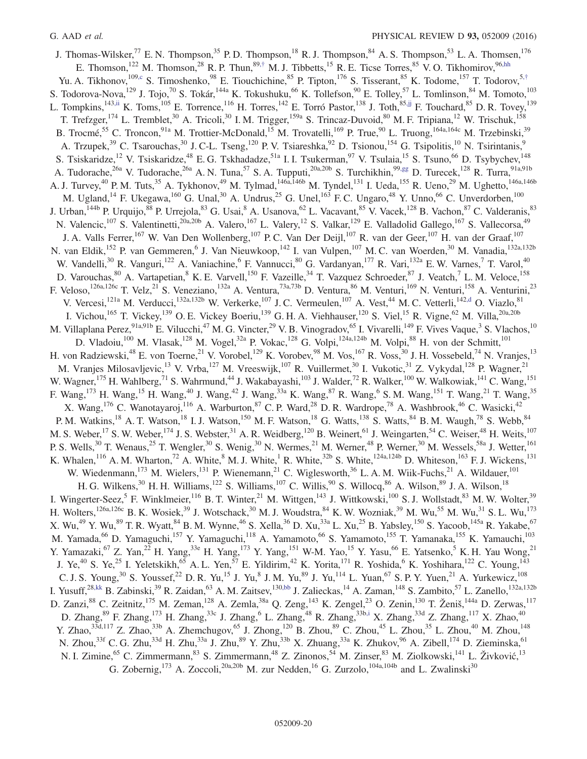J. Thomas-Wilsker,<sup>77</sup> E. N. Thompson,<sup>35</sup> P. D. Thompson,<sup>18</sup> R. J. Thompson,<sup>84</sup> A. S. Thompson,<sup>53</sup> L. A. Thomsen,<sup>176</sup> E. Thomson,<sup>122</sup> M. Thomson,<sup>28</sup> R. P. Thun,<sup>89,[†](#page-24-6)</sup> M. J. Tibbetts,<sup>15</sup> R. E. Ticse Torres,<sup>85</sup> V. O. Tikhomirov,<sup>96[,hh](#page-24-34)</sup> Yu. A. Tikhonov,<sup>10[9,c](#page-24-2)</sup> S. Timoshenko,<sup>98</sup> E. Tiouchichine,<sup>85</sup> P. Tipton,<sup>176</sup> S. Tisserant,<sup>85</sup> K. Todome,<sup>157</sup> T. Todorov,<sup>5,[†](#page-24-6)</sup> S. Todorova-Nova,  $^{129}$  J. Tojo,  $^{70}$  S. Tokár,  $^{144a}$  K. Tokushuku,  $^{66}$  K. Tollefson,  $^{90}$  E. Tolley,  $^{57}$  L. Tomlinson,  $^{84}$  M. Tomoto,  $^{103}$ L. Tompkins,<sup>14[3,ii](#page-24-35)</sup> K. Toms,<sup>105</sup> E. Torrence,<sup>116</sup> H. Torres,<sup>142</sup> E. Torró Pastor,<sup>138</sup> J. Toth,<sup>85[,jj](#page-24-36)</sup> F. Touchard,<sup>85</sup> D. R. Tovey,<sup>139</sup> T. Trefzger,<sup>174</sup> L. Tremblet,<sup>30</sup> A. Tricoli,<sup>30</sup> I. M. Trigger,<sup>159a</sup> S. Trincaz-Duvoid,<sup>80</sup> M. F. Tripiana,<sup>12</sup> W. Trischuk,<sup>158</sup> B. Trocmé,<sup>55</sup> C. Troncon,<sup>91a</sup> M. Trottier-McDonald,<sup>15</sup> M. Trovatelli,<sup>169</sup> P. True,<sup>90</sup> L. Truong,<sup>164a,164c</sup> M. Trzebinski,<sup>39</sup> A. Trzupek,<sup>39</sup> C. Tsarouchas,<sup>30</sup> J. C-L. Tseng,<sup>120</sup> P. V. Tsiareshka,<sup>92</sup> D. Tsionou,<sup>154</sup> G. Tsipolitis,<sup>10</sup> N. Tsirintanis,<sup>9</sup> S. Tsiskaridze,<sup>12</sup> V. Tsiskaridze,<sup>48</sup> E. G. Tskhadadze,<sup>51a</sup> I. I. Tsukerman,<sup>97</sup> V. Tsulaia,<sup>15</sup> S. Tsuno,<sup>66</sup> D. Tsybychev,<sup>148</sup> A. Tudorache,<sup>26a</sup> V. Tudorache,<sup>26a</sup> A. N. Tuna,<sup>57</sup> S. A. Tupputi,<sup>20a,20b</sup> S. Turchikhin,<sup>99[,gg](#page-24-33)</sup> D. Turecek,<sup>128</sup> R. Turra,<sup>91a,91b</sup> A. J. Turvey,<sup>40</sup> P. M. Tuts,<sup>35</sup> A. Tykhonov,<sup>49</sup> M. Tylmad,<sup>146a,146b</sup> M. Tyndel,<sup>131</sup> I. Ueda,<sup>155</sup> R. Ueno,<sup>29</sup> M. Ughetto,<sup>146a,146b</sup> M. Ugland,<sup>14</sup> F. Ukegawa,<sup>160</sup> G. Unal,<sup>30</sup> A. Undrus,<sup>25</sup> G. Unel,<sup>163</sup> F. C. Ungaro,<sup>48</sup> Y. Unno,<sup>66</sup> C. Unverdorben,<sup>100</sup> J. Urban, <sup>144b</sup> P. Urquijo, <sup>88</sup> P. Urrejola, <sup>83</sup> G. Usai, <sup>8</sup> A. Usanova, <sup>62</sup> L. Vacavant, <sup>85</sup> V. Vacek, <sup>128</sup> B. Vachon, <sup>87</sup> C. Valderanis, <sup>83</sup> N. Valencic,<sup>107</sup> S. Valentinetti,<sup>20a,20b</sup> A. Valero,<sup>167</sup> L. Valery,<sup>12</sup> S. Valkar,<sup>129</sup> E. Valladolid Gallego,<sup>167</sup> S. Vallecorsa,<sup>49</sup> J. A. Valls Ferrer,<sup>167</sup> W. Van Den Wollenberg,<sup>107</sup> P. C. Van Der Deijl,<sup>107</sup> R. van der Geer,<sup>107</sup> H. van der Graaf,<sup>107</sup> N. van Eldik, <sup>152</sup> P. van Gemmeren, <sup>6</sup> J. Van Nieuwkoop, <sup>142</sup> I. van Vulpen, <sup>107</sup> M. C. van Woerden, <sup>30</sup> M. Vanadia, <sup>132a, 132b</sup> W. Vandelli,<sup>30</sup> R. Vanguri,<sup>122</sup> A. Vaniachine,<sup>6</sup> F. Vannucci,<sup>80</sup> G. Vardanyan,<sup>177</sup> R. Vari,<sup>132a</sup> E. W. Varnes,<sup>7</sup> T. Varol,<sup>40</sup> D. Varouchas, <sup>80</sup> A. Vartapetian, <sup>8</sup> K. E. Varvell, <sup>150</sup> F. Vazeille, <sup>34</sup> T. Vazquez Schroeder, <sup>87</sup> J. Veatch, <sup>7</sup> L. M. Veloce, <sup>158</sup> F. Veloso,<sup>126a,126c</sup> T. Velz,<sup>21</sup> S. Veneziano,<sup>132a</sup> A. Ventura,<sup>73a,73b</sup> D. Ventura,<sup>86</sup> M. Venturi,<sup>169</sup> N. Venturi,<sup>158</sup> A. Venturini,<sup>23</sup> V. Vercesi,<sup>121a</sup> M. Verducci,<sup>132a,132b</sup> W. Verkerke,<sup>107</sup> J. C. Vermeulen,<sup>107</sup> A. Vest,<sup>44</sup> M. C. Vetterli,<sup>142[,d](#page-24-3)</sup> O. Viazlo,<sup>81</sup> I. Vichou,<sup>165</sup> T. Vickey,<sup>139</sup> O. E. Vickey Boeriu,<sup>139</sup> G. H. A. Viehhauser,<sup>120</sup> S. Viel,<sup>15</sup> R. Vigne,<sup>62</sup> M. Villa,<sup>20a,20b</sup> M. Villaplana Perez, <sup>91a,91b</sup> E. Vilucchi,<sup>47</sup> M. G. Vincter,<sup>29</sup> V. B. Vinogradov,<sup>65</sup> I. Vivarelli,<sup>149</sup> F. Vives Vaque,<sup>3</sup> S. Vlachos,<sup>10</sup> D. Vladoiu,<sup>100</sup> M. Vlasak,<sup>128</sup> M. Vogel,<sup>32a</sup> P. Vokac,<sup>128</sup> G. Volpi,<sup>124a,124b</sup> M. Volpi,<sup>88</sup> H. von der Schmitt,<sup>101</sup> H. von Radziewski,<sup>48</sup> E. von Toerne,<sup>21</sup> V. Vorobel,<sup>129</sup> K. Vorobev,<sup>98</sup> M. Vos,<sup>167</sup> R. Voss,<sup>30</sup> J. H. Vossebeld,<sup>74</sup> N. Vranjes,<sup>13</sup> M. Vranjes Milosavljevic,<sup>13</sup> V. Vrba,<sup>127</sup> M. Vreeswijk,<sup>107</sup> R. Vuillermet,<sup>30</sup> I. Vukotic,<sup>31</sup> Z. Vykydal,<sup>128</sup> P. Wagner,<sup>21</sup> W. Wagner,<sup>175</sup> H. Wahlberg,<sup>71</sup> S. Wahrmund,<sup>44</sup> J. Wakabayashi,<sup>103</sup> J. Walder,<sup>72</sup> R. Walker,<sup>100</sup> W. Walkowiak,<sup>141</sup> C. Wang,<sup>151</sup> F. Wang,<sup>173</sup> H. Wang,<sup>15</sup> H. Wang,<sup>40</sup> J. Wang,<sup>42</sup> J. Wang,<sup>33a</sup> K. Wang,<sup>87</sup> R. Wang,<sup>6</sup> S. M. Wang,<sup>151</sup> T. Wang,<sup>21</sup> T. Wang,<sup>35</sup> X. Wang, <sup>176</sup> C. Wanotayaroj, <sup>116</sup> A. Warburton, <sup>87</sup> C. P. Ward, <sup>28</sup> D. R. Wardrope, <sup>78</sup> A. Washbrook, <sup>46</sup> C. Wasicki, <sup>42</sup> P. M. Watkins,<sup>18</sup> A. T. Watson,<sup>18</sup> I. J. Watson,<sup>150</sup> M. F. Watson,<sup>18</sup> G. Watts,<sup>138</sup> S. Watts,<sup>84</sup> B. M. Waugh,<sup>78</sup> S. Webb,<sup>84</sup> M. S. Weber,<sup>17</sup> S. W. Weber,<sup>174</sup> J. S. Webster,<sup>31</sup> A. R. Weidberg,<sup>120</sup> B. Weinert,<sup>61</sup> J. Weingarten,<sup>54</sup> C. Weiser,<sup>48</sup> H. Weits,<sup>107</sup> P. S. Wells,<sup>30</sup> T. Wenaus,<sup>25</sup> T. Wengler,<sup>30</sup> S. Wenig,<sup>30</sup> N. Wermes,<sup>21</sup> M. Werner,<sup>48</sup> P. Werner,<sup>30</sup> M. Wessels,<sup>58a</sup> J. Wetter,<sup>161</sup> K. Whalen,<sup>116</sup> A. M. Wharton,<sup>72</sup> A. White,<sup>8</sup> M. J. White,<sup>1</sup> R. White,<sup>32b</sup> S. White,<sup>124a,124b</sup> D. Whiteson,<sup>163</sup> F. J. Wickens,<sup>131</sup> W. Wiedenmann,<sup>173</sup> M. Wielers,<sup>131</sup> P. Wienemann,<sup>21</sup> C. Wiglesworth,<sup>36</sup> L. A. M. Wiik-Fuchs,<sup>21</sup> A. Wildauer,<sup>101</sup> H. G. Wilkens,<sup>30</sup> H. H. Williams,<sup>122</sup> S. Williams,<sup>107</sup> C. Willis,<sup>90</sup> S. Willocq,<sup>86</sup> A. Wilson,<sup>89</sup> J. A. Wilson,<sup>18</sup> I. Wingerter-Seez,<sup>5</sup> F. Winklmeier,<sup>116</sup> B. T. Winter,<sup>21</sup> M. Wittgen,<sup>143</sup> J. Wittkowski,<sup>100</sup> S. J. Wollstadt,<sup>83</sup> M. W. Wolter,<sup>39</sup> H. Wolters,<sup>126a,126c</sup> B. K. Wosiek,<sup>39</sup> J. Wotschack,<sup>30</sup> M. J. Woudstra,<sup>84</sup> K. W. Wozniak,<sup>39</sup> M. Wu,<sup>55</sup> M. Wu,<sup>31</sup> S. L. Wu,<sup>173</sup> X. Wu,<sup>49</sup> Y. Wu,<sup>89</sup> T. R. Wyatt,<sup>84</sup> B. M. Wynne,<sup>46</sup> S. Xella,<sup>36</sup> D. Xu,<sup>33a</sup> L. Xu,<sup>25</sup> B. Yabsley,<sup>150</sup> S. Yacoob,<sup>145a</sup> R. Yakabe,<sup>67</sup> M. Yamada,<sup>66</sup> D. Yamaguchi,<sup>157</sup> Y. Yamaguchi,<sup>118</sup> A. Yamamoto,<sup>66</sup> S. Yamamoto,<sup>155</sup> T. Yamanaka,<sup>155</sup> K. Yamauchi,<sup>103</sup> Y. Yamazaki,<sup>67</sup> Z. Yan,<sup>22</sup> H. Yang,<sup>33e</sup> H. Yang,<sup>173</sup> Y. Yang,<sup>151</sup> W-M. Yao,<sup>15</sup> Y. Yasu,<sup>66</sup> E. Yatsenko,<sup>5</sup> K. H. Yau Wong,<sup>21</sup> J. Ye,<sup>40</sup> S. Ye,<sup>25</sup> I. Yeletskikh,<sup>65</sup> A. L. Yen,<sup>57</sup> E. Yildirim,<sup>42</sup> K. Yorita,<sup>171</sup> R. Yoshida,<sup>6</sup> K. Yoshihara,<sup>122</sup> C. Young,<sup>143</sup> C. J. S. Young,<sup>30</sup> S. Youssef,<sup>22</sup> D. R. Yu,<sup>15</sup> J. Yu,<sup>8</sup> J. M. Yu,<sup>89</sup> J. Yu,<sup>114</sup> L. Yuan,<sup>67</sup> S. P. Y. Yuen,<sup>21</sup> A. Yurkewicz,<sup>108</sup> I. Yusuff,<sup>2[8,kk](#page-24-37)</sup> B. Zabinski,<sup>39</sup> R. Zaidan,<sup>63</sup> A. M. Zaitsev,<sup>13[0,bb](#page-24-28)</sup> J. Zalieckas,<sup>14</sup> A. Zaman,<sup>148</sup> S. Zambito,<sup>57</sup> L. Zanello,<sup>132a,132b</sup> D. Zanzi,<sup>88</sup> C. Zeitnitz,<sup>175</sup> M. Zeman,<sup>128</sup> A. Zemla,<sup>38a</sup> Q. Zeng,<sup>143</sup> K. Zengel,<sup>23</sup> O. Zenin,<sup>130</sup> T. Ženiš,<sup>144a</sup> D. Zerwas,<sup>117</sup> D. Zhang,  $^{89}$  F. Zhang,  $^{173}$  H. Zhang,  $^{33c}$  J. Zhang,  $^{6}$  L. Zhang,  $^{48}$  R. Zhang,  $^{33b,i}$  $^{33b,i}$  $^{33b,i}$  X. Zhang,  $^{33d}$  Z. Zhang,  $^{117}$  X. Zhao,  $^{40}$ Y. Zhao,<sup>33d,117</sup> Z. Zhao,<sup>33b</sup> A. Zhemchugov,<sup>65</sup> J. Zhong,<sup>120</sup> B. Zhou,<sup>89</sup> C. Zhou,<sup>45</sup> L. Zhou,<sup>35</sup> L. Zhou,<sup>40</sup> M. Zhou,<sup>148</sup> N. Zhou,<sup>33f</sup> C. G. Zhu,<sup>33d</sup> H. Zhu,<sup>33a</sup> J. Zhu,<sup>89</sup> Y. Zhu,<sup>33b</sup> X. Zhuang,<sup>33a</sup> K. Zhukov,<sup>96</sup> A. Zibell,<sup>174</sup> D. Zieminska,<sup>61</sup> N. I. Zimine,<sup>65</sup> C. Zimmermann,<sup>83</sup> S. Zimmermann,<sup>48</sup> Z. Zinonos,<sup>54</sup> M. Zinser,<sup>83</sup> M. Ziolkowski,<sup>141</sup> L. Živković,<sup>13</sup> G. Zobernig,<sup>173</sup> A. Zoccoli,<sup>20a,20b</sup> M. zur Nedden,<sup>16</sup> G. Zurzolo,<sup>104a,104b</sup> and L. Zwalinski<sup>30</sup>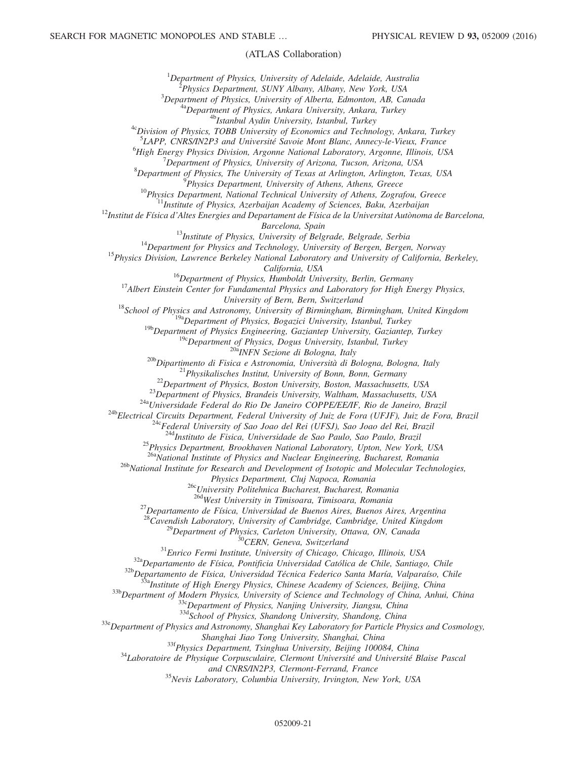#### (ATLAS Collaboration)

 ${}^{1}$ Department of Physics, University of Adelaide, Adelaide, Australia <sup>2</sup>Physics Department, SUNY Albany, Albany, New York, USA  $3$ Department of Physics, University of Alberta, Edmonton, AB, Canada <sup>4a</sup>Department of Physics, Ankara University, Ankara, Turkey <sup>4b</sup>Istanbul Aydin University, Istanbul, Turkey <sup>4c</sup>Division of Physics, TOBB University of Economics and Technology, Ankara, Turkey <sup>5</sup>LAPP, CNRS/IN2P3 and Université Savoie Mont Blanc, Annecy-le-Vieux, France  ${}^{6}$ High Energy Physics Division, Argonne National Laboratory, Argonne, Illinois, USA  $7$ Department of Physics, University of Arizona, Tucson, Arizona, USA  ${}^{8}$ Department of Physics, The University of Texas at Arlington, Arlington, Texas, USA <sup>9</sup>Physics Department, University of Athens, Athens, Greece  $10P$ hysics Department, National Technical University of Athens, Zografou, Greece <sup>1</sup>Institute of Physics, Azerbaijan Academy of Sciences, Baku, Azerbaijan  $^{12}$ Institut de Física d'Altes Energies and Departament de Física de la Universitat Autònoma de Barcelona, Barcelona, Spain <sup>13</sup>Institute of Physics, University of Belgrade, Belgrade, Serbia  $14$ Department for Physics and Technology, University of Bergen, Bergen, Norway <sup>15</sup>Physics Division, Lawrence Berkeley National Laboratory and University of California, Berkeley, California, USA  $16D$ epartment of Physics, Humboldt University, Berlin, Germany <sup>17</sup>Albert Einstein Center for Fundamental Physics and Laboratory for High Energy Physics, University of Bern, Bern, Switzerland  $18$ School of Physics and Astronomy, University of Birmingham, Birmingham, United Kingdom <sup>19a</sup>Department of Physics, Bogazici University, Istanbul, Turkey <sup>19b</sup>Department of Physics Engineering, Gaziantep University, Gaziantep, Turkey  $19c$ Department of Physics, Dogus University, Istanbul, Turkey <sup>20a</sup>INFN Sezione di Bologna, Italy <sup>20b</sup>Dipartimento di Fisica e Astronomia, Università di Bologna, Bologna, Italy  $2^{1}$ Physikalisches Institut, University of Bonn, Bonn, Germany <sup>22</sup>Department of Physics, Boston University, Boston, Massachusetts, USA <sup>23</sup>Department of Physics, Brandeis University, Waltham, Massachusetts, USA <sup>24a</sup>Universidade Federal do Rio De Janeiro COPPE/EE/IF, Rio de Janeiro, Brazil 24bElectrical Circuits Department, Federal University of Juiz de Fora (UFJF), Juiz de Fora, Brazil <sup>c</sup>Federal University of Sao Joao del Rei (UFSJ), Sao Joao del Rei, Brazil <sup>24d</sup>Instituto de Fisica, Universidade de Sao Paulo, Sao Paulo, Brazil <sup>25</sup>Physics Department, Brookhaven National Laboratory, Upton, New York, USA <sup>26a</sup>National Institute of Physics and Nuclear Engineering, Bucharest, Romania <sup>26b</sup>National Institute for Research and Development of Isotopic and Molecular Technologies, Physics Department, Cluj Napoca, Romania <sup>26c</sup>University Politehnica Bucharest, Bucharest, Romania <sup>26d</sup>West University in Timisoara, Timisoara, Romania <sup>27</sup>Departamento de Física, Universidad de Buenos Aires, Buenos Aires, Argentina  $28C$ avendish Laboratory, University of Cambridge, Cambridge, United Kingdom  $^{29}$ Department of Physics, Carleton University, Ottawa, ON, Canada <sup>30</sup>CERN, Geneva, Switzerland  $31$ Enrico Fermi Institute, University of Chicago, Chicago, Illinois, USA <sup>32a</sup>Departamento de Física, Pontificia Universidad Católica de Chile, Santiago, Chile <sup>32b</sup>Departamento de Física, Universidad Técnica Federico Santa María, Valparaíso, Chile <sup>a</sup>Institute of High Energy Physics, Chinese Academy of Sciences, Beijing, China 33bDepartment of Modern Physics, University of Science and Technology of China, Anhui, China <sup>33c</sup>Department of Physics, Nanjing University, Jiangsu, China 33dSchool of Physics, Shandong University, Shandong, China <sup>33e</sup>Department of Physics and Astronomy, Shanghai Key Laboratory for Particle Physics and Cosmology, Shanghai Jiao Tong University, Shanghai, China <sup>33f</sup>Physics Department, Tsinghua University, Beijing 100084, China  $34$ Laboratoire de Physique Corpusculaire, Clermont Université and Université Blaise Pascal and CNRS/IN2P3, Clermont-Ferrand, France <sup>35</sup>Nevis Laboratory, Columbia University, Irvington, New York, USA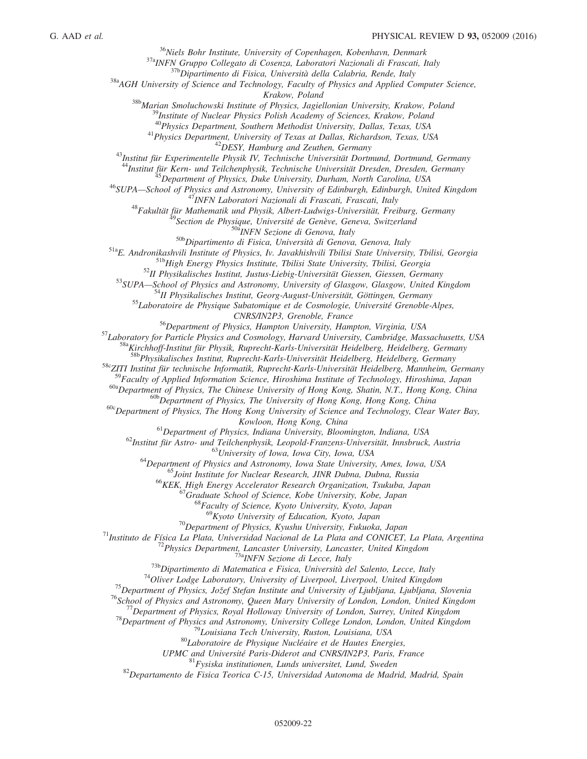$36$ Niels Bohr Institute, University of Copenhagen, Kobenhavn, Denmark

37aINFN Gruppo Collegato di Cosenza, Laboratori Nazionali di Frascati, Italy

<sup>37b</sup>Dipartimento di Fisica, Università della Calabria, Rende, Italy

 $38a$ AGH University of Science and Technology, Faculty of Physics and Applied Computer Science,

Krakow, Poland

<sup>38b</sup>Marian Smoluchowski Institute of Physics, Jagiellonian University, Krakow, Poland

<sup>39</sup>Institute of Nuclear Physics Polish Academy of Sciences, Krakow, Poland

<sup>40</sup>Physics Department, Southern Methodist University, Dallas, Texas, USA

<sup>41</sup>Physics Department, University of Texas at Dallas, Richardson, Texas, USA

 $^{42}$ DESY, Hamburg and Zeuthen, Germany

<sup>43</sup>Institut für Experimentelle Physik IV, Technische Universität Dortmund, Dortmund, Germany

<sup>44</sup>Institut für Kern- und Teilchenphysik, Technische Universität Dresden, Dresden, Germany

<sup>45</sup>Department of Physics, Duke University, Durham, North Carolina, USA

<sup>46</sup>SUPA—School of Physics and Astronomy, University of Edinburgh, Edinburgh, United Kingdom

<sup>47</sup>INFN Laboratori Nazionali di Frascati, Frascati, Italy

<sup>48</sup>Fakultät für Mathematik und Physik, Albert-Ludwigs-Universität, Freiburg, Germany

<sup>49</sup>Section de Physique, Université de Genève, Geneva, Switzerland

50<sup>a</sup>INFN Sezione di Genova, Italy

50bDipartimento di Fisica, Università di Genova, Genova, Italy

51aE. Andronikashvili Institute of Physics, Iv. Javakhishvili Tbilisi State University, Tbilisi, Georgia

51bHigh Energy Physics Institute, Tbilisi State University, Tbilisi, Georgia

<sup>52</sup>II Physikalisches Institut, Justus-Liebig-Universität Giessen, Giessen, Germany

53SUPA-School of Physics and Astronomy, University of Glasgow, Glasgow, United Kingdom

<sup>54</sup>II Physikalisches Institut, Georg-August-Universität, Göttingen, Germany

<sup>55</sup>Laboratoire de Physique Subatomique et de Cosmologie, Université Grenoble-Alpes,

CNRS/IN2P3, Grenoble, France

<sup>56</sup>Department of Physics, Hampton University, Hampton, Virginia, USA

57 Laboratory for Particle Physics and Cosmology, Harvard University, Cambridge, Massachusetts, USA

<sup>58a</sup>Kirchhoff-Institut für Physik, Ruprecht-Karls-Universität Heidelberg, Heidelberg, Germany

<sup>58b</sup>Physikalisches Institut, Ruprecht-Karls-Universität Heidelberg, Heidelberg, Germany

58cZITI Institut für technische Informatik, Ruprecht-Karls-Universität Heidelberg, Mannheim, Germany

 $^{59}$ Faculty of Applied Information Science, Hiroshima Institute of Technology, Hiroshima, Japan

<sup>60a</sup>Department of Physics, The Chinese University of Hong Kong, Shatin, N.T., Hong Kong, China

<sup>60b</sup>Department of Physics, The University of Hong Kong, Hong Kong, China

 $60c$ Department of Physics, The Hong Kong University of Science and Technology, Clear Water Bay,

Kowloon, Hong Kong, China

 $<sup>61</sup>$ Department of Physics, Indiana University, Bloomington, Indiana, USA</sup>

 $^{62}$ Institut für Astro- und Teilchenphysik, Leopold-Franzens-Universität, Innsbruck, Austria

<sup>63</sup>University of Iowa, Iowa City, Iowa, USA

 $64$ Department of Physics and Astronomy, Iowa State University, Ames, Iowa, USA

<sup>65</sup>Joint Institute for Nuclear Research, JINR Dubna, Dubna, Russia

<sup>66</sup>KEK, High Energy Accelerator Research Organization, Tsukuba, Japan

<sup>67</sup>Graduate School of Science, Kobe University, Kobe, Japan

<sup>68</sup>Faculty of Science, Kyoto University, Kyoto, Japan

 $^{69}$ Kyoto University of Education, Kyoto, Japan

 $70$ Department of Physics, Kyushu University, Fukuoka, Japan

 $71$ Instituto de Física La Plata, Universidad Nacional de La Plata and CONICET, La Plata, Argentina

 $72$ Physics Department, Lancaster University, Lancaster, United Kingdom

<sup>3a</sup>INFN Sezione di Lecce, Italy

 $^{73b}$ Dipartimento di Matematica e Fisica, Università del Salento, Lecce, Italy

 $74$ Oliver Lodge Laboratory, University of Liverpool, Liverpool, United Kingdom

 $^{75}$ Department of Physics, Jožef Stefan Institute and University of Ljubljana, Ljubljana, Slovenia

<sup>76</sup>School of Physics and Astronomy, Queen Mary University of London, London, United Kingdom

 $^{77}$ Department of Physics, Royal Holloway University of London, Surrey, United Kingdom

 $78$ Department of Physics and Astronomy, University College London, London, United Kingdom

<sup>79</sup>Louisiana Tech University, Ruston, Louisiana, USA

 $80$ Laboratoire de Physique Nucléaire et de Hautes Energies,

UPMC and Université Paris-Diderot and CNRS/IN2P3, Paris, France

 $81$ Fysiska institutionen, Lunds universitet, Lund, Sweden

 $82$ Departamento de Fisica Teorica C-15, Universidad Autonoma de Madrid, Madrid, Spain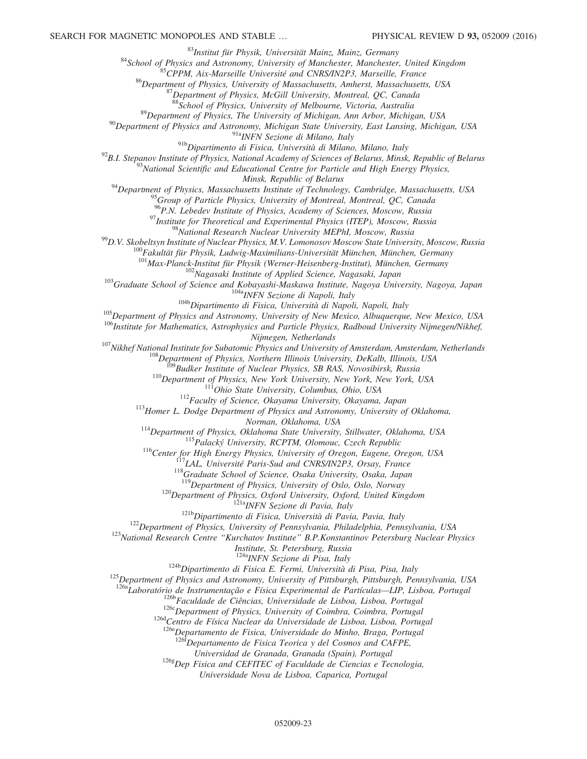<sup>83</sup>Institut für Physik, Universität Mainz, Mainz, Germany

<sup>84</sup>School of Physics and Astronomy, University of Manchester, Manchester, United Kingdom

<sup>85</sup>CPPM, Aix-Marseille Université and CNRS/IN2P3, Marseille, France

<sup>86</sup>Department of Physics, University of Massachusetts, Amherst, Massachusetts, USA

 $87$ Department of Physics, McGill University, Montreal, QC, Canada

88School of Physics, University of Melbourne, Victoria, Australia

<sup>89</sup>Department of Physics, The University of Michigan, Ann Arbor, Michigan, USA

 $90$ Department of Physics and Astronomy, Michigan State University, East Lansing, Michigan, USA

91a<sub>INFN</sub> Sezione di Milano, Italy

91bDipartimento di Fisica, Università di Milano, Milano, Italy

 $^{92}$ B.I. Stepanov Institute of Physics, National Academy of Sciences of Belarus, Minsk, Republic of Belarus

 $^{93}$ National Scientific and Educational Centre for Particle and High Energy Physics,

Minsk, Republic of Belarus

 $94$ Department of Physics, Massachusetts Institute of Technology, Cambridge, Massachusetts, USA

<sup>95</sup>Group of Particle Physics, University of Montreal, Montreal, QC, Canada

<sup>96</sup>P.N. Lebedev Institute of Physics, Academy of Sciences, Moscow, Russia

 $97$ Institute for Theoretical and Experimental Physics (ITEP), Moscow, Russia

<sup>98</sup>National Research Nuclear University MEPhI, Moscow, Russia

 $^{99}$ D.V. Skobeltsyn Institute of Nuclear Physics, M.V. Lomonosov Moscow State University, Moscow, Russia

<sup>100</sup>Fakultät für Physik, Ludwig-Maximilians-Universität München, München, Germany

 $101$ Max-Planck-Institut für Physik (Werner-Heisenberg-Institut), München, Germany

<sup>102</sup>Nagasaki Institute of Applied Science, Nagasaki, Japan

<sup>103</sup>Graduate School of Science and Kobayashi-Maskawa Institute, Nagoya University, Nagoya, Japan <sup>104a</sup>INFN Sezione di Napoli, Italy

<sup>104b</sup>Dipartimento di Fisica, Università di Napoli, Napoli, Italy

<sup>105</sup>Department of Physics and Astronomy, University of New Mexico, Albuquerque, New Mexico, USA

<sup>106</sup>Institute for Mathematics, Astrophysics and Particle Physics, Radboud University Nijmegen/Nikhef,

Nijmegen, Netherlands

<sup>107</sup>Nikhef National Institute for Subatomic Physics and University of Amsterdam, Amsterdam, Netherlands

 $^{108}$ Department of Physics, Northern Illinois University, DeKalb, Illinois, USA

<sup>109</sup>Budker Institute of Nuclear Physics, SB RAS, Novosibirsk, Russia

<sup>110</sup>Department of Physics, New York University, New York, New York, USA

<sup>111</sup>Ohio State University, Columbus, Ohio, USA

 $112$ Faculty of Science, Okayama University, Okayama, Japan

<sup>113</sup>Homer L. Dodge Department of Physics and Astronomy, University of Oklahoma,

Norman, Oklahoma, USA

<sup>114</sup>Department of Physics, Oklahoma State University, Stillwater, Oklahoma, USA

115 Palacký University, RCPTM, Olomouc, Czech Republic

<sup>116</sup>Center for High Energy Physics, University of Oregon, Eugene, Oregon, USA

LAL, Université Paris-Sud and CNRS/IN2P3, Orsay, France

118Graduate School of Science, Osaka University, Osaka, Japan

<sup>119</sup>Department of Physics, University of Oslo, Oslo, Norway

<sup>120</sup>Department of Physics, Oxford University, Oxford, United Kingdom

<sup>121a</sup>INFN Sezione di Pavia, Italy

<sup>121b</sup>Dipartimento di Fisica, Università di Pavia, Pavia, Italy

 $122$ Department of Physics, University of Pennsylvania, Philadelphia, Pennsylvania, USA

<sup>123</sup>National Research Centre "Kurchatov Institute" B.P.Konstantinov Petersburg Nuclear Physics

Institute, St. Petersburg, Russia

<sup>124a</sup>INFN Sezione di Pisa, Italy

 $124b$ Dipartimento di Fisica E. Fermi, Università di Pisa, Pisa, Italy

<sup>125</sup>Department of Physics and Astronomy, University of Pittsburgh, Pittsburgh, Pennsylvania, USA

<sup>126a</sup>Laboratório de Instrumentação e Física Experimental de Partículas—LIP, Lisboa, Portugal

<sup>126b</sup>Faculdade de Ciências, Universidade de Lisboa, Lisboa, Portugal

 $126c$ Department of Physics, University of Coimbra, Coimbra, Portugal

126d Centro de Física Nuclear da Universidade de Lisboa, Lisboa, Portugal

126eDepartamento de Fisica, Universidade do Minho, Braga, Portugal

 $126f$ Departamento de Fisica Teorica y del Cosmos and CAFPE,

Universidad de Granada, Granada (Spain), Portugal

 $126g$ Dep Fisica and CEFITEC of Faculdade de Ciencias e Tecnologia,

Universidade Nova de Lisboa, Caparica, Portugal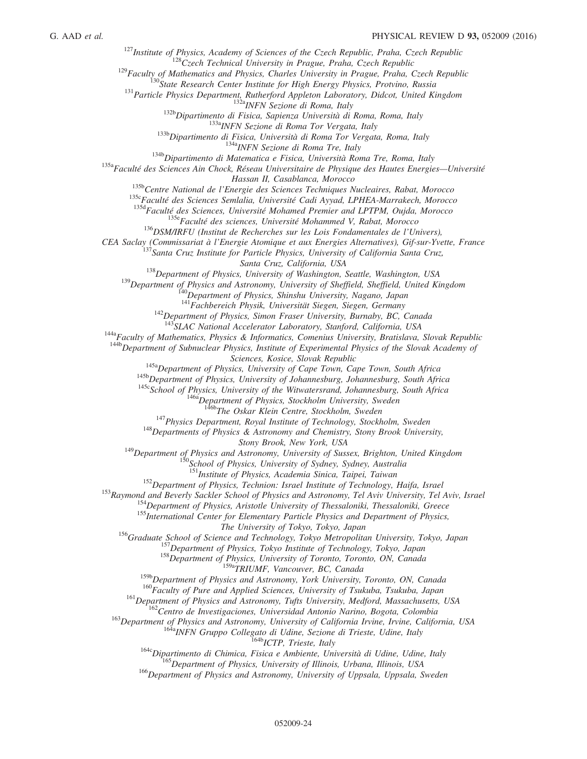$127$ Institute of Physics, Academy of Sciences of the Czech Republic, Praha, Czech Republic

 $128C$ zech Technical University in Prague, Praha, Czech Republic

 $129$ Faculty of Mathematics and Physics, Charles University in Prague, Praha, Czech Republic

<sup>130</sup>State Research Center Institute for High Energy Physics, Protvino, Russia

<sup>131</sup> Particle Physics Department, Rutherford Appleton Laboratory, Didcot, United Kingdom

132aINFN Sezione di Roma, Italy

<sup>132b</sup>Dipartimento di Fisica, Sapienza Università di Roma, Roma, Italy

<sup>133a</sup>INFN Sezione di Roma Tor Vergata, Italy

<sup>133b</sup>Dipartimento di Fisica, Università di Roma Tor Vergata, Roma, Italy

<sup>134a</sup>INFN Sezione di Roma Tre, Italy

<sup>134b</sup>Dipartimento di Matematica e Fisica, Università Roma Tre, Roma, Italy

<sup>135a</sup>Faculté des Sciences Ain Chock, Réseau Universitaire de Physique des Hautes Energies-Université Hassan II, Casablanca, Morocco

135b Centre National de l'Energie des Sciences Techniques Nucleaires, Rabat, Morocco

135cFaculté des Sciences Semlalia, Université Cadi Ayyad, LPHEA-Marrakech, Morocco

135d Faculté des Sciences, Université Mohamed Premier and LPTPM, Oujda, Morocco

<sup>135e</sup>Faculté des sciences, Université Mohammed V, Rabat, Morocco

<sup>136</sup>DSM/IRFU (Institut de Recherches sur les Lois Fondamentales de l'Univers),

<span id="page-24-6"></span><span id="page-24-5"></span><span id="page-24-4"></span><span id="page-24-3"></span><span id="page-24-2"></span><span id="page-24-1"></span><span id="page-24-0"></span>CEA Saclay (Commissariat à l'Energie Atomique et aux Energies Alternatives), Gif-sur-Yvette, France

<sup>137</sup>Santa Cruz Institute for Particle Physics, University of California Santa Cruz,

Santa Cruz, California, USA

 $138$ Department of Physics, University of Washington, Seattle, Washington, USA

<sup>139</sup>Department of Physics and Astronomy, University of Sheffield, Sheffield, United Kingdom

<sup>140</sup>Department of Physics, Shinshu University, Nagano, Japan

<sup>141</sup>Fachbereich Physik, Universität Siegen, Siegen, Germany

 $142$ Department of Physics, Simon Fraser University, Burnaby, BC, Canada

<sup>143</sup>SLAC National Accelerator Laboratory, Stanford, California, USA

<span id="page-24-13"></span><span id="page-24-12"></span><span id="page-24-11"></span><span id="page-24-10"></span><span id="page-24-9"></span><span id="page-24-8"></span><span id="page-24-7"></span> $144a$ Faculty of Mathematics, Physics & Informatics, Comenius University, Bratislava, Slovak Republic

<span id="page-24-18"></span><span id="page-24-17"></span><span id="page-24-16"></span><span id="page-24-15"></span><span id="page-24-14"></span><sup>144b</sup>Department of Subnuclear Physics, Institute of Experimental Physics of the Slovak Academy of Sciences, Kosice, Slovak Republic

<sup>145a</sup>Department of Physics, University of Cape Town, Cape Town, South Africa

<sup>145b</sup>Department of Physics, University of Johannesburg, Johannesburg, South Africa

<sup>145c</sup>School of Physics, University of the Witwatersrand, Johannesburg, South Africa

 $146a$ Department of Physics, Stockholm University, Sweden

146bThe Oskar Klein Centre, Stockholm, Sweden

<sup>147</sup>Physics Department, Royal Institute of Technology, Stockholm, Sweden

 $148$  Departments of Physics & Astronomy and Chemistry, Stony Brook University,

Stony Brook, New York, USA

<span id="page-24-21"></span><span id="page-24-20"></span><span id="page-24-19"></span> $149$ Department of Physics and Astronomy, University of Sussex, Brighton, United Kingdom

 ${}^{0}$ School of Physics, University of Sydney, Sydney, Australia

<sup>151</sup>Institute of Physics, Academia Sinica, Taipei, Taiwan

 $152$ Department of Physics, Technion: Israel Institute of Technology, Haifa, Israel

<span id="page-24-30"></span><span id="page-24-29"></span><span id="page-24-28"></span><span id="page-24-27"></span><span id="page-24-26"></span><span id="page-24-25"></span><span id="page-24-24"></span><span id="page-24-23"></span><span id="page-24-22"></span><sup>153</sup>Raymond and Beverly Sackler School of Physics and Astronomy, Tel Aviv University, Tel Aviv, Israel

<sup>154</sup>Department of Physics, Aristotle University of Thessaloniki, Thessaloniki, Greece

<sup>155</sup>International Center for Elementary Particle Physics and Department of Physics,

The University of Tokyo, Tokyo, Japan

<span id="page-24-33"></span><span id="page-24-32"></span><span id="page-24-31"></span><sup>156</sup>Graduate School of Science and Technology, Tokyo Metropolitan University, Tokyo, Japan

<sup>157</sup>Department of Physics, Tokyo Institute of Technology, Tokyo, Japan

<sup>158</sup>Department of Physics, University of Toronto, Toronto, ON, Canada

<sup>159a</sup>TRIUMF, Vancouver, BC, Canada

<sup>159b</sup>Department of Physics and Astronomy, York University, Toronto, ON, Canada

<sup>160</sup>Faculty of Pure and Applied Sciences, University of Tsukuba, Tsukuba, Japan

161 Department of Physics and Astronomy, Tufts University, Medford, Massachusetts, USA

<sup>162</sup>Centro de Investigaciones, Universidad Antonio Narino, Bogota, Colombia

<span id="page-24-37"></span><span id="page-24-36"></span><span id="page-24-35"></span><span id="page-24-34"></span><sup>163</sup>Department of Physics and Astronomy, University of California Irvine, Irvine, California, USA

<sup>164a</sup>INFN Gruppo Collegato di Udine, Sezione di Trieste, Udine, Italy

<sup>164b</sup>ICTP, Trieste, Italy

<sup>164c</sup>Dipartimento di Chimica, Fisica e Ambiente, Università di Udine, Udine, Italy

<sup>165</sup>Department of Physics, University of Illinois, Urbana, Illinois, USA

<sup>166</sup>Department of Physics and Astronomy, University of Uppsala, Uppsala, Sweden